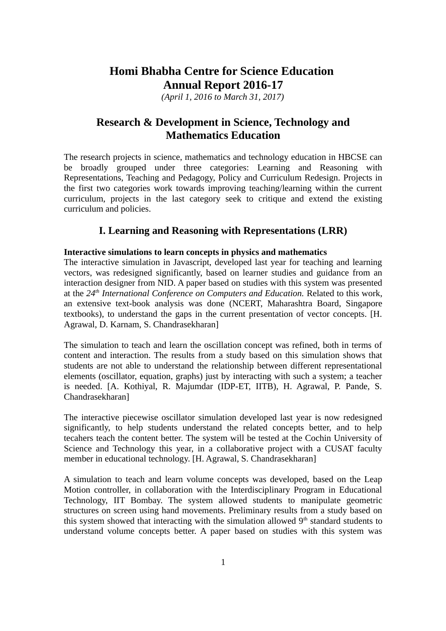# **Homi Bhabha Centre for Science Education Annual Report 2016-17**

*(April 1, 2016 to March 31, 2017)*

# **Research & Development in Science, Technology and Mathematics Education**

The research projects in science, mathematics and technology education in HBCSE can be broadly grouped under three categories: Learning and Reasoning with Representations, Teaching and Pedagogy, Policy and Curriculum Redesign. Projects in the first two categories work towards improving teaching/learning within the current curriculum, projects in the last category seek to critique and extend the existing curriculum and policies.

# **I. Learning and Reasoning with Representations (LRR)**

# **Interactive simulations to learn concepts in physics and mathematics**

The interactive simulation in Javascript, developed last year for teaching and learning vectors, was redesigned significantly, based on learner studies and guidance from an interaction designer from NID. A paper based on studies with this system was presented at the *24th International Conference on Computers and Education.* Related to this work, an extensive text-book analysis was done (NCERT, Maharashtra Board, Singapore textbooks), to understand the gaps in the current presentation of vector concepts. [H. Agrawal, D. Karnam, S. Chandrasekharan]

The simulation to teach and learn the oscillation concept was refined, both in terms of content and interaction. The results from a study based on this simulation shows that students are not able to understand the relationship between different representational elements (oscillator, equation, graphs) just by interacting with such a system; a teacher is needed. [A. Kothiyal, R. Majumdar (IDP-ET, IITB), H. Agrawal, P. Pande, S. Chandrasekharan]

The interactive piecewise oscillator simulation developed last year is now redesigned significantly, to help students understand the related concepts better, and to help tecahers teach the content better. The system will be tested at the Cochin University of Science and Technology this year, in a collaborative project with a CUSAT faculty member in educational technology. [H. Agrawal, S. Chandrasekharan]

A simulation to teach and learn volume concepts was developed, based on the Leap Motion controller, in collaboration with the Interdisciplinary Program in Educational Technology, IIT Bombay. The system allowed students to manipulate geometric structures on screen using hand movements. Preliminary results from a study based on this system showed that interacting with the simulation allowed  $9<sup>th</sup>$  standard students to understand volume concepts better. A paper based on studies with this system was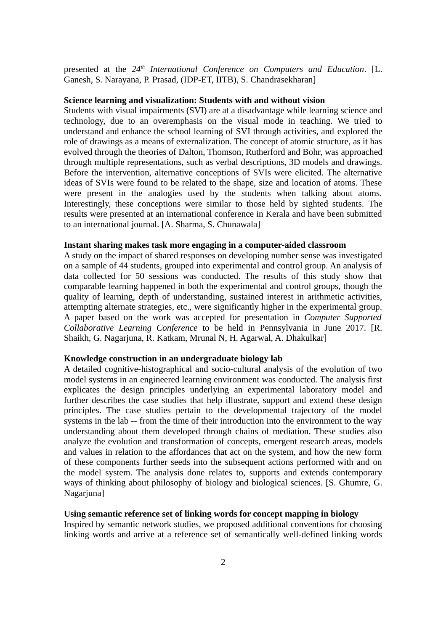presented at the *24th International Conference on Computers and Education*. [L. Ganesh, S. Narayana, P. Prasad, (IDP-ET, IITB), S. Chandrasekharan]

### **Science learning and visualization: Students with and without vision**

Students with visual impairments (SVI) are at a disadvantage while learning science and technology, due to an overemphasis on the visual mode in teaching. We tried to understand and enhance the school learning of SVI through activities, and explored the role of drawings as a means of externalization. The concept of atomic structure, as it has evolved through the theories of Dalton, Thomson, Rutherford and Bohr, was approached through multiple representations, such as verbal descriptions, 3D models and drawings. Before the intervention, alternative conceptions of SVIs were elicited. The alternative ideas of SVIs were found to be related to the shape, size and location of atoms. These were present in the analogies used by the students when talking about atoms. Interestingly, these conceptions were similar to those held by sighted students. The results were presented at an international conference in Kerala and have been submitted to an international journal. [A. Sharma, S. Chunawala]

#### **Instant sharing makes task more engaging in a computer-aided classroom**

A study on the impact of shared responses on developing number sense was investigated on a sample of 44 students, grouped into experimental and control group. An analysis of data collected for 50 sessions was conducted. The results of this study show that comparable learning happened in both the experimental and control groups, though the quality of learning, depth of understanding, sustained interest in arithmetic activities, attempting alternate strategies, etc., were significantly higher in the experimental group. A paper based on the work was accepted for presentation in *Computer Supported Collaborative Learning Conference* to be held in Pennsylvania in June 2017. [R. Shaikh, G. Nagarjuna, R. Katkam, Mrunal N, H. Agarwal, A. Dhakulkar]

# **Knowledge construction in an undergraduate biology lab**

A detailed cognitive-histographical and socio-cultural analysis of the evolution of two model systems in an engineered learning environment was conducted. The analysis first explicates the design principles underlying an experimental laboratory model and further describes the case studies that help illustrate, support and extend these design principles. The case studies pertain to the developmental trajectory of the model systems in the lab -- from the time of their introduction into the environment to the way understanding about them developed through chains of mediation. These studies also analyze the evolution and transformation of concepts, emergent research areas, models and values in relation to the affordances that act on the system, and how the new form of these components further seeds into the subsequent actions performed with and on the model system. The analysis done relates to, supports and extends contemporary ways of thinking about philosophy of biology and biological sciences. [S. Ghumre, G. Nagarjuna]

# **Using semantic reference set of linking words for concept mapping in biology**

Inspired by semantic network studies, we proposed additional conventions for choosing linking words and arrive at a reference set of semantically well-defined linking words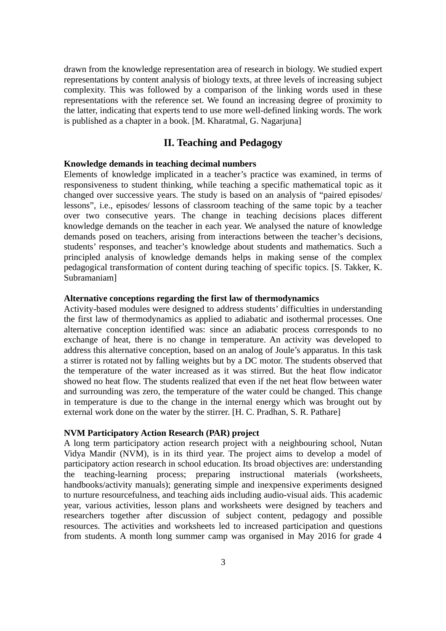drawn from the knowledge representation area of research in biology. We studied expert representations by content analysis of biology texts, at three levels of increasing subject complexity. This was followed by a comparison of the linking words used in these representations with the reference set. We found an increasing degree of proximity to the latter, indicating that experts tend to use more well-defined linking words. The work is published as a chapter in a book. [M. Kharatmal, G. Nagarjuna]

# **II. Teaching and Pedagogy**

### **Knowledge demands in teaching decimal numbers**

Elements of knowledge implicated in a teacher's practice was examined, in terms of responsiveness to student thinking, while teaching a specific mathematical topic as it changed over successive years. The study is based on an analysis of "paired episodes/ lessons", i.e., episodes/ lessons of classroom teaching of the same topic by a teacher over two consecutive years. The change in teaching decisions places different knowledge demands on the teacher in each year. We analysed the nature of knowledge demands posed on teachers, arising from interactions between the teacher's decisions, students' responses, and teacher's knowledge about students and mathematics. Such a principled analysis of knowledge demands helps in making sense of the complex pedagogical transformation of content during teaching of specific topics. [S. Takker, K. Subramaniam]

#### **Alternative conceptions regarding the first law of thermodynamics**

Activity-based modules were designed to address students' difficulties in understanding the first law of thermodynamics as applied to adiabatic and isothermal processes. One alternative conception identified was: since an adiabatic process corresponds to no exchange of heat, there is no change in temperature. An activity was developed to address this alternative conception, based on an analog of Joule's apparatus. In this task a stirrer is rotated not by falling weights but by a DC motor. The students observed that the temperature of the water increased as it was stirred. But the heat flow indicator showed no heat flow. The students realized that even if the net heat flow between water and surrounding was zero, the temperature of the water could be changed. This change in temperature is due to the change in the internal energy which was brought out by external work done on the water by the stirrer. [H. C. Pradhan, S. R. Pathare]

#### **NVM Participatory Action Research (PAR) project**

A long term participatory action research project with a neighbouring school, Nutan Vidya Mandir (NVM), is in its third year. The project aims to develop a model of participatory action research in school education. Its broad objectives are: understanding the teaching-learning process; preparing instructional materials (worksheets, handbooks/activity manuals); generating simple and inexpensive experiments designed to nurture resourcefulness, and teaching aids including audio-visual aids. This academic year, various activities, lesson plans and worksheets were designed by teachers and researchers together after discussion of subject content, pedagogy and possible resources. The activities and worksheets led to increased participation and questions from students. A month long summer camp was organised in May 2016 for grade 4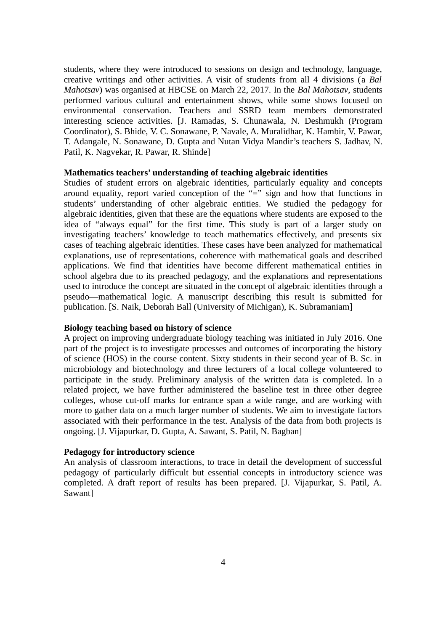students, where they were introduced to sessions on design and technology, language, creative writings and other activities. A visit of students from all 4 divisions (a *Bal Mahotsav*) was organised at HBCSE on March 22, 2017. In the *Bal Mahotsav*, students performed various cultural and entertainment shows, while some shows focused on environmental conservation. Teachers and SSRD team members demonstrated interesting science activities. [J. Ramadas, S. Chunawala, N. Deshmukh (Program Coordinator), S. Bhide, V. C. Sonawane, P. Navale, A. Muralidhar, K. Hambir, V. Pawar, T. Adangale, N. Sonawane, D. Gupta and Nutan Vidya Mandir's teachers S. Jadhav, N. Patil, K. Nagvekar, R. Pawar, R. Shinde]

### **Mathematics teachers' understanding of teaching algebraic identities**

Studies of student errors on algebraic identities, particularly equality and concepts around equality, report varied conception of the "=" sign and how that functions in students' understanding of other algebraic entities. We studied the pedagogy for algebraic identities, given that these are the equations where students are exposed to the idea of "always equal" for the first time. This study is part of a larger study on investigating teachers' knowledge to teach mathematics effectively, and presents six cases of teaching algebraic identities. These cases have been analyzed for mathematical explanations, use of representations, coherence with mathematical goals and described applications. We find that identities have become different mathematical entities in school algebra due to its preached pedagogy, and the explanations and representations used to introduce the concept are situated in the concept of algebraic identities through a pseudo—mathematical logic. A manuscript describing this result is submitted for publication. [S. Naik, Deborah Ball (University of Michigan), K. Subramaniam]

#### **Biology teaching based on history of science**

A project on improving undergraduate biology teaching was initiated in July 2016. One part of the project is to investigate processes and outcomes of incorporating the history of science (HOS) in the course content. Sixty students in their second year of B. Sc. in microbiology and biotechnology and three lecturers of a local college volunteered to participate in the study. Preliminary analysis of the written data is completed. In a related project, we have further administered the baseline test in three other degree colleges, whose cut-off marks for entrance span a wide range, and are working with more to gather data on a much larger number of students. We aim to investigate factors associated with their performance in the test. Analysis of the data from both projects is ongoing. [J. Vijapurkar, D. Gupta, A. Sawant, S. Patil, N. Bagban]

### **Pedagogy for introductory science**

An analysis of classroom interactions, to trace in detail the development of successful pedagogy of particularly difficult but essential concepts in introductory science was completed. A draft report of results has been prepared. [J. Vijapurkar, S. Patil, A. Sawant]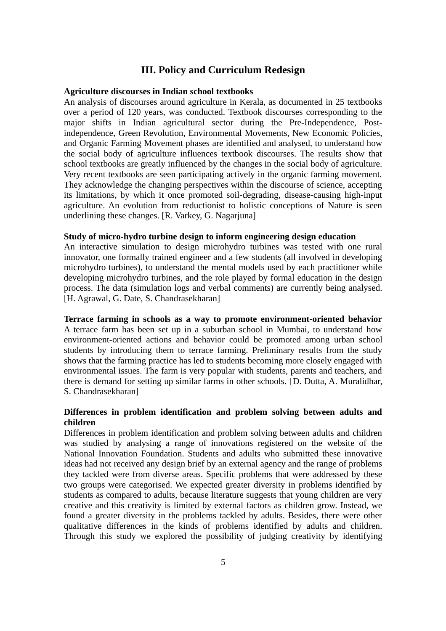# **III. Policy and Curriculum Redesign**

#### **Agriculture discourses in Indian school textbooks**

An analysis of discourses around agriculture in Kerala, as documented in 25 textbooks over a period of 120 years, was conducted. Textbook discourses corresponding to the major shifts in Indian agricultural sector during the Pre-Independence, Postindependence, Green Revolution, Environmental Movements, New Economic Policies, and Organic Farming Movement phases are identified and analysed, to understand how the social body of agriculture influences textbook discourses. The results show that school textbooks are greatly influenced by the changes in the social body of agriculture. Very recent textbooks are seen participating actively in the organic farming movement. They acknowledge the changing perspectives within the discourse of science, accepting its limitations, by which it once promoted soil-degrading, disease-causing high-input agriculture. An evolution from reductionist to holistic conceptions of Nature is seen underlining these changes. [R. Varkey, G. Nagarjuna]

### **Study of micro-hydro turbine design to inform engineering design education**

An interactive simulation to design microhydro turbines was tested with one rural innovator, one formally trained engineer and a few students (all involved in developing microhydro turbines), to understand the mental models used by each practitioner while developing microhydro turbines, and the role played by formal education in the design process. The data (simulation logs and verbal comments) are currently being analysed. [H. Agrawal, G. Date, S. Chandrasekharan]

### **Terrace farming in schools as a way to promote environment-oriented behavior**

A terrace farm has been set up in a suburban school in Mumbai, to understand how environment-oriented actions and behavior could be promoted among urban school students by introducing them to terrace farming. Preliminary results from the study shows that the farming practice has led to students becoming more closely engaged with environmental issues. The farm is very popular with students, parents and teachers, and there is demand for setting up similar farms in other schools. [D. Dutta, A. Muralidhar, S. Chandrasekharan]

# **Differences in problem identification and problem solving between adults and children**

Differences in problem identification and problem solving between adults and children was studied by analysing a range of innovations registered on the website of the National Innovation Foundation. Students and adults who submitted these innovative ideas had not received any design brief by an external agency and the range of problems they tackled were from diverse areas. Specific problems that were addressed by these two groups were categorised. We expected greater diversity in problems identified by students as compared to adults, because literature suggests that young children are very creative and this creativity is limited by external factors as children grow. Instead, we found a greater diversity in the problems tackled by adults. Besides, there were other qualitative differences in the kinds of problems identified by adults and children. Through this study we explored the possibility of judging creativity by identifying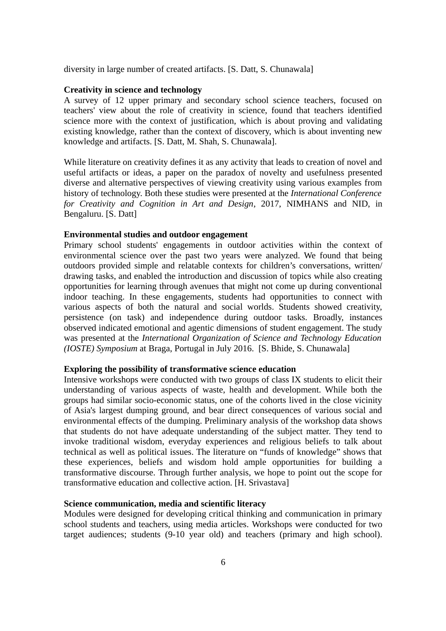diversity in large number of created artifacts. [S. Datt, S. Chunawala]

### **Creativity in science and technology**

A survey of 12 upper primary and secondary school science teachers, focused on teachers' view about the role of creativity in science, found that teachers identified science more with the context of justification, which is about proving and validating existing knowledge, rather than the context of discovery, which is about inventing new knowledge and artifacts. [S. Datt, M. Shah, S. Chunawala].

While literature on creativity defines it as any activity that leads to creation of novel and useful artifacts or ideas, a paper on the paradox of novelty and usefulness presented diverse and alternative perspectives of viewing creativity using various examples from history of technology. Both these studies were presented at the *International Conference for Creativity and Cognition in Art and Design*, 2017, NIMHANS and NID, in Bengaluru. [S. Datt]

### **Environmental studies and outdoor engagement**

Primary school students' engagements in outdoor activities within the context of environmental science over the past two years were analyzed. We found that being outdoors provided simple and relatable contexts for children's conversations, written/ drawing tasks, and enabled the introduction and discussion of topics while also creating opportunities for learning through avenues that might not come up during conventional indoor teaching. In these engagements, students had opportunities to connect with various aspects of both the natural and social worlds. Students showed creativity, persistence (on task) and independence during outdoor tasks. Broadly, instances observed indicated emotional and agentic dimensions of student engagement. The study was presented at the *International Organization of Science and Technology Education (IOSTE) Symposium* at Braga, Portugal in July 2016. [S. Bhide, S. Chunawala]

#### **Exploring the possibility of transformative science education**

Intensive workshops were conducted with two groups of class IX students to elicit their understanding of various aspects of waste, health and development. While both the groups had similar socio-economic status, one of the cohorts lived in the close vicinity of Asia's largest dumping ground, and bear direct consequences of various social and environmental effects of the dumping. Preliminary analysis of the workshop data shows that students do not have adequate understanding of the subject matter. They tend to invoke traditional wisdom, everyday experiences and religious beliefs to talk about technical as well as political issues. The literature on "funds of knowledge" shows that these experiences, beliefs and wisdom hold ample opportunities for building a transformative discourse. Through further analysis, we hope to point out the scope for transformative education and collective action. [H. Srivastava]

# **Science communication, media and scientific literacy**

Modules were designed for developing critical thinking and communication in primary school students and teachers, using media articles. Workshops were conducted for two target audiences; students (9-10 year old) and teachers (primary and high school).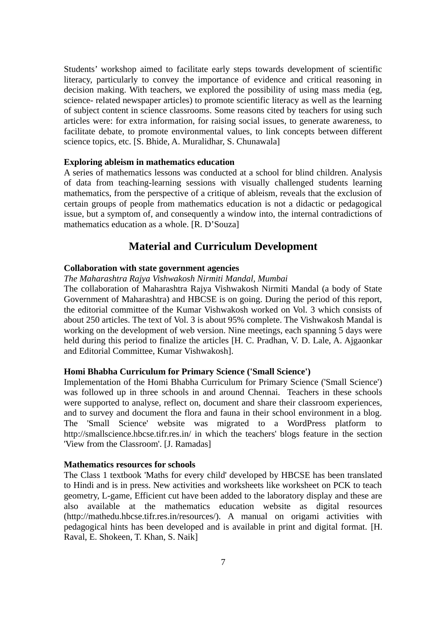Students' workshop aimed to facilitate early steps towards development of scientific literacy, particularly to convey the importance of evidence and critical reasoning in decision making. With teachers, we explored the possibility of using mass media (eg, science- related newspaper articles) to promote scientific literacy as well as the learning of subject content in science classrooms. Some reasons cited by teachers for using such articles were: for extra information, for raising social issues, to generate awareness, to facilitate debate, to promote environmental values, to link concepts between different science topics, etc. [S. Bhide, A. Muralidhar, S. Chunawala]

### **Exploring ableism in mathematics education**

A series of mathematics lessons was conducted at a school for blind children. Analysis of data from teaching-learning sessions with visually challenged students learning mathematics, from the perspective of a critique of ableism, reveals that the exclusion of certain groups of people from mathematics education is not a didactic or pedagogical issue, but a symptom of, and consequently a window into, the internal contradictions of mathematics education as a whole. [R. D'Souza]

# **Material and Curriculum Development**

# **Collaboration with state government agencies**

# *The Maharashtra Rajya Vishwakosh Nirmiti Mandal, Mumbai*

The collaboration of Maharashtra Rajya Vishwakosh Nirmiti Mandal (a body of State Government of Maharashtra) and HBCSE is on going. During the period of this report, the editorial committee of the Kumar Vishwakosh worked on Vol. 3 which consists of about 250 articles. The text of Vol. 3 is about 95% complete. The Vishwakosh Mandal is working on the development of web version. Nine meetings, each spanning 5 days were held during this period to finalize the articles [H. C. Pradhan, V. D. Lale, A. Ajgaonkar and Editorial Committee, Kumar Vishwakosh].

#### **Homi Bhabha Curriculum for Primary Science ('Small Science')**

Implementation of the Homi Bhabha Curriculum for Primary Science ('Small Science') was followed up in three schools in and around Chennai. Teachers in these schools were supported to analyse, reflect on, document and share their classroom experiences, and to survey and document the flora and fauna in their school environment in a blog. The 'Small Science' website was migrated to a WordPress platform to http://smallscience.hbcse.tifr.res.in/ in which the teachers' blogs feature in the section 'View from the Classroom'. [J. Ramadas]

#### **Mathematics resources for schools**

The Class 1 textbook 'Maths for every child' developed by HBCSE has been translated to Hindi and is in press. New activities and worksheets like worksheet on PCK to teach geometry, L-game, Efficient cut have been added to the laboratory display and these are also available at the mathematics education website as digital resources (http://mathedu.hbcse.tifr.res.in/resources/). A manual on origami activities with pedagogical hints has been developed and is available in print and digital format. [H. Raval, E. Shokeen, T. Khan, S. Naik]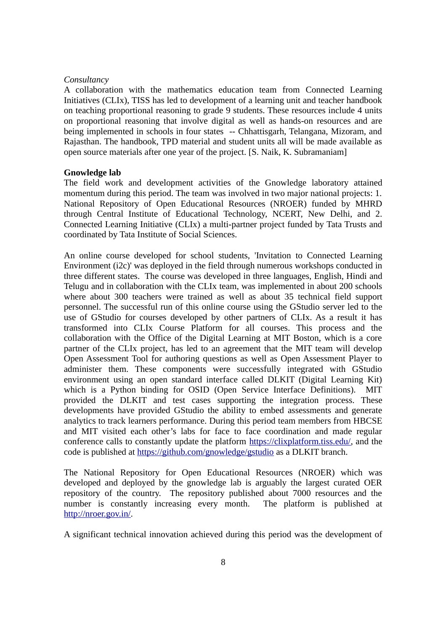### *Consultancy*

A collaboration with the mathematics education team from Connected Learning Initiatives (CLIx), TISS has led to development of a learning unit and teacher handbook on teaching proportional reasoning to grade 9 students. These resources include 4 units on proportional reasoning that involve digital as well as hands-on resources and are being implemented in schools in four states -- Chhattisgarh, Telangana, Mizoram, and Rajasthan. The handbook, TPD material and student units all will be made available as open source materials after one year of the project. [S. Naik, K. Subramaniam]

#### **Gnowledge lab**

The field work and development activities of the Gnowledge laboratory attained momentum during this period. The team was involved in two major national projects: 1. National Repository of Open Educational Resources (NROER) funded by MHRD through Central Institute of Educational Technology, NCERT, New Delhi, and 2. Connected Learning Initiative (CLIx) a multi-partner project funded by Tata Trusts and coordinated by Tata Institute of Social Sciences.

An online course developed for school students, 'Invitation to Connected Learning Environment (i2c)' was deployed in the field through numerous workshops conducted in three different states. The course was developed in three languages, English, Hindi and Telugu and in collaboration with the CLIx team, was implemented in about 200 schools where about 300 teachers were trained as well as about 35 technical field support personnel. The successful run of this online course using the GStudio server led to the use of GStudio for courses developed by other partners of CLIx. As a result it has transformed into CLIx Course Platform for all courses. This process and the collaboration with the Office of the Digital Learning at MIT Boston, which is a core partner of the CLIx project, has led to an agreement that the MIT team will develop Open Assessment Tool for authoring questions as well as Open Assessment Player to administer them. These components were successfully integrated with GStudio environment using an open standard interface called DLKIT (Digital Learning Kit) which is a Python binding for OSID (Open Service Interface Definitions). MIT provided the DLKIT and test cases supporting the integration process. These developments have provided GStudio the ability to embed assessments and generate analytics to track learners performance. During this period team members from HBCSE and MIT visited each other's labs for face to face coordination and made regular conference calls to constantly update the platform [https://clixplatform.tiss.edu/,](https://clixplatform.tiss.edu/) and the code is published at<https://github.com/gnowledge/gstudio>as a DLKIT branch.

The National Repository for Open Educational Resources (NROER) which was developed and deployed by the gnowledge lab is arguably the largest curated OER repository of the country. The repository published about 7000 resources and the number is constantly increasing every month. The platform is published at [http://nroer.gov.in/.](http://nroer.gov.in/)

A significant technical innovation achieved during this period was the development of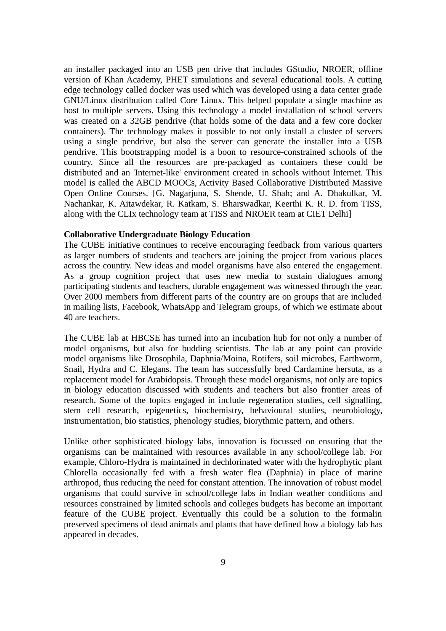an installer packaged into an USB pen drive that includes GStudio, NROER, offline version of Khan Academy, PHET simulations and several educational tools. A cutting edge technology called docker was used which was developed using a data center grade GNU/Linux distribution called Core Linux. This helped populate a single machine as host to multiple servers. Using this technology a model installation of school servers was created on a 32GB pendrive (that holds some of the data and a few core docker containers). The technology makes it possible to not only install a cluster of servers using a single pendrive, but also the server can generate the installer into a USB pendrive. This bootstrapping model is a boon to resource-constrained schools of the country. Since all the resources are pre-packaged as containers these could be distributed and an 'Internet-like' environment created in schools without Internet. This model is called the ABCD MOOCs, Activity Based Collaborative Distributed Massive Open Online Courses. [G. Nagarjuna, S. Shende, U. Shah; and A. Dhakulkar, M. Nachankar, K. Aitawdekar, R. Katkam, S. Bharswadkar, Keerthi K. R. D. from TISS, along with the CLIx technology team at TISS and NROER team at CIET Delhi]

### **Collaborative Undergraduate Biology Education**

The CUBE initiative continues to receive encouraging feedback from various quarters as larger numbers of students and teachers are joining the project from various places across the country. New ideas and model organisms have also entered the engagement. As a group cognition project that uses new media to sustain dialogues among participating students and teachers, durable engagement was witnessed through the year. Over 2000 members from different parts of the country are on groups that are included in mailing lists, Facebook, WhatsApp and Telegram groups, of which we estimate about 40 are teachers.

The CUBE lab at HBCSE has turned into an incubation hub for not only a number of model organisms, but also for budding scientists. The lab at any point can provide model organisms like Drosophila, Daphnia/Moina, Rotifers, soil microbes, Earthworm, Snail, Hydra and C. Elegans. The team has successfully bred Cardamine hersuta, as a replacement model for Arabidopsis. Through these model organisms, not only are topics in biology education discussed with students and teachers but also frontier areas of research. Some of the topics engaged in include regeneration studies, cell signalling, stem cell research, epigenetics, biochemistry, behavioural studies, neurobiology, instrumentation, bio statistics, phenology studies, biorythmic pattern, and others.

Unlike other sophisticated biology labs, innovation is focussed on ensuring that the organisms can be maintained with resources available in any school/college lab. For example, Chloro-Hydra is maintained in dechlorinated water with the hydrophytic plant Chlorella occasionally fed with a fresh water flea (Daphnia) in place of marine arthropod, thus reducing the need for constant attention. The innovation of robust model organisms that could survive in school/college labs in Indian weather conditions and resources constrained by limited schools and colleges budgets has become an important feature of the CUBE project. Eventually this could be a solution to the formalin preserved specimens of dead animals and plants that have defined how a biology lab has appeared in decades.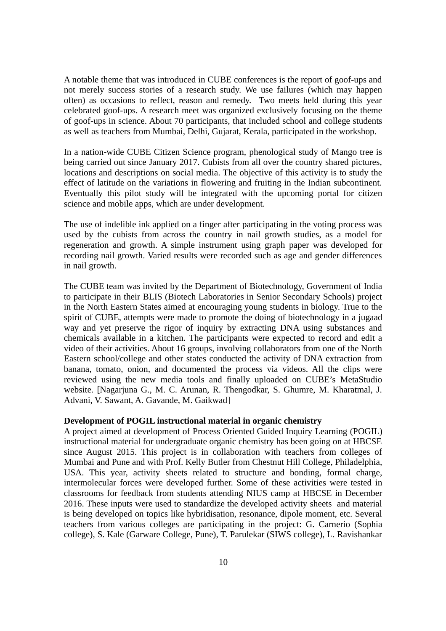A notable theme that was introduced in CUBE conferences is the report of goof-ups and not merely success stories of a research study. We use failures (which may happen often) as occasions to reflect, reason and remedy. Two meets held during this year celebrated goof-ups. A research meet was organized exclusively focusing on the theme of goof-ups in science. About 70 participants, that included school and college students as well as teachers from Mumbai, Delhi, Gujarat, Kerala, participated in the workshop.

In a nation-wide CUBE Citizen Science program, phenological study of Mango tree is being carried out since January 2017. Cubists from all over the country shared pictures, locations and descriptions on social media. The objective of this activity is to study the effect of latitude on the variations in flowering and fruiting in the Indian subcontinent. Eventually this pilot study will be integrated with the upcoming portal for citizen science and mobile apps, which are under development.

The use of indelible ink applied on a finger after participating in the voting process was used by the cubists from across the country in nail growth studies, as a model for regeneration and growth. A simple instrument using graph paper was developed for recording nail growth. Varied results were recorded such as age and gender differences in nail growth.

The CUBE team was invited by the Department of Biotechnology, Government of India to participate in their BLIS (Biotech Laboratories in Senior Secondary Schools) project in the North Eastern States aimed at encouraging young students in biology. True to the spirit of CUBE, attempts were made to promote the doing of biotechnology in a jugaad way and yet preserve the rigor of inquiry by extracting DNA using substances and chemicals available in a kitchen. The participants were expected to record and edit a video of their activities. About 16 groups, involving collaborators from one of the North Eastern school/college and other states conducted the activity of DNA extraction from banana, tomato, onion, and documented the process via videos. All the clips were reviewed using the new media tools and finally uploaded on CUBE's MetaStudio website. [Nagarjuna G., M. C. Arunan, R. Thengodkar, S. Ghumre, M. Kharatmal, J. Advani, V. Sawant, A. Gavande, M. Gaikwad]

#### **Development of POGIL instructional material in organic chemistry**

A project aimed at development of Process Oriented Guided Inquiry Learning (POGIL) instructional material for undergraduate organic chemistry has been going on at HBCSE since August 2015. This project is in collaboration with teachers from colleges of Mumbai and Pune and with Prof. Kelly Butler from Chestnut Hill College, Philadelphia, USA. This year, activity sheets related to structure and bonding, formal charge, intermolecular forces were developed further. Some of these activities were tested in classrooms for feedback from students attending NIUS camp at HBCSE in December 2016. These inputs were used to standardize the developed activity sheets and material is being developed on topics like hybridisation, resonance, dipole moment, etc. Several teachers from various colleges are participating in the project: G. Carnerio (Sophia college), S. Kale (Garware College, Pune), T. Parulekar (SIWS college), L. Ravishankar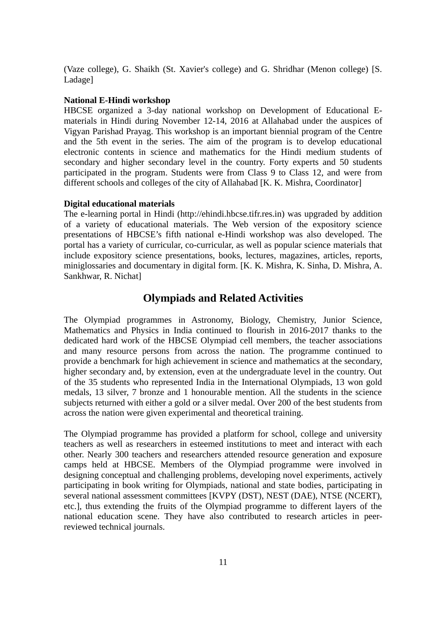(Vaze college), G. Shaikh (St. Xavier's college) and G. Shridhar (Menon college) [S. Ladage]

#### **National E-Hindi workshop**

HBCSE organized a 3-day national workshop on Development of Educational Ematerials in Hindi during November 12-14, 2016 at Allahabad under the auspices of Vigyan Parishad Prayag. This workshop is an important biennial program of the Centre and the 5th event in the series. The aim of the program is to develop educational electronic contents in science and mathematics for the Hindi medium students of secondary and higher secondary level in the country. Forty experts and 50 students participated in the program. Students were from Class 9 to Class 12, and were from different schools and colleges of the city of Allahabad [K. K. Mishra, Coordinator]

#### **Digital educational materials**

The e-learning portal in Hindi (http://ehindi.hbcse.tifr.res.in) was upgraded by addition of a variety of educational materials. The Web version of the expository science presentations of HBCSE's fifth national e-Hindi workshop was also developed. The portal has a variety of curricular, co-curricular, as well as popular science materials that include expository science presentations, books, lectures, magazines, articles, reports, miniglossaries and documentary in digital form. [K. K. Mishra, K. Sinha, D. Mishra, A. Sankhwar, R. Nichat]

# **Olympiads and Related Activities**

The Olympiad programmes in Astronomy, Biology, Chemistry, Junior Science, Mathematics and Physics in India continued to flourish in 2016-2017 thanks to the dedicated hard work of the HBCSE Olympiad cell members, the teacher associations and many resource persons from across the nation. The programme continued to provide a benchmark for high achievement in science and mathematics at the secondary, higher secondary and, by extension, even at the undergraduate level in the country. Out of the 35 students who represented India in the International Olympiads, 13 won gold medals, 13 silver, 7 bronze and 1 honourable mention. All the students in the science subjects returned with either a gold or a silver medal. Over 200 of the best students from across the nation were given experimental and theoretical training.

The Olympiad programme has provided a platform for school, college and university teachers as well as researchers in esteemed institutions to meet and interact with each other. Nearly 300 teachers and researchers attended resource generation and exposure camps held at HBCSE. Members of the Olympiad programme were involved in designing conceptual and challenging problems, developing novel experiments, actively participating in book writing for Olympiads, national and state bodies, participating in several national assessment committees [KVPY (DST), NEST (DAE), NTSE (NCERT), etc.], thus extending the fruits of the Olympiad programme to different layers of the national education scene. They have also contributed to research articles in peerreviewed technical journals.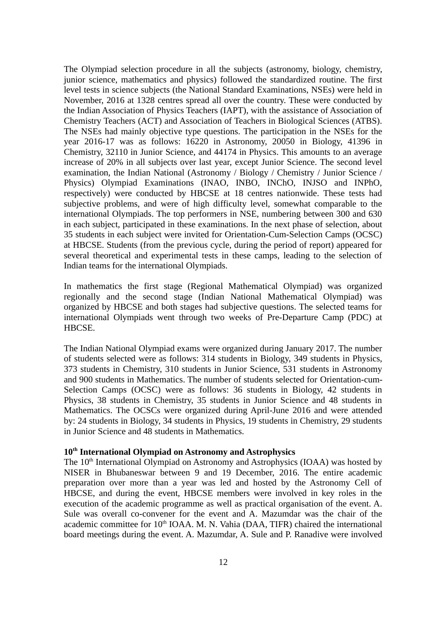The Olympiad selection procedure in all the subjects (astronomy, biology, chemistry, junior science, mathematics and physics) followed the standardized routine. The first level tests in science subjects (the National Standard Examinations, NSEs) were held in November, 2016 at 1328 centres spread all over the country. These were conducted by the Indian Association of Physics Teachers (IAPT), with the assistance of Association of Chemistry Teachers (ACT) and Association of Teachers in Biological Sciences (ATBS). The NSEs had mainly objective type questions. The participation in the NSEs for the year 2016-17 was as follows: 16220 in Astronomy, 20050 in Biology, 41396 in Chemistry, 32110 in Junior Science, and 44174 in Physics. This amounts to an average increase of 20% in all subjects over last year, except Junior Science. The second level examination, the Indian National (Astronomy / Biology / Chemistry / Junior Science / Physics) Olympiad Examinations (INAO, INBO, INChO, INJSO and INPhO, respectively) were conducted by HBCSE at 18 centres nationwide. These tests had subjective problems, and were of high difficulty level, somewhat comparable to the international Olympiads. The top performers in NSE, numbering between 300 and 630 in each subject, participated in these examinations. In the next phase of selection, about 35 students in each subject were invited for Orientation-Cum-Selection Camps (OCSC) at HBCSE. Students (from the previous cycle, during the period of report) appeared for several theoretical and experimental tests in these camps, leading to the selection of Indian teams for the international Olympiads.

In mathematics the first stage (Regional Mathematical Olympiad) was organized regionally and the second stage (Indian National Mathematical Olympiad) was organized by HBCSE and both stages had subjective questions. The selected teams for international Olympiads went through two weeks of Pre-Departure Camp (PDC) at HBCSE.

The Indian National Olympiad exams were organized during January 2017. The number of students selected were as follows: 314 students in Biology, 349 students in Physics, 373 students in Chemistry, 310 students in Junior Science, 531 students in Astronomy and 900 students in Mathematics. The number of students selected for Orientation-cum-Selection Camps (OCSC) were as follows: 36 students in Biology, 42 students in Physics, 38 students in Chemistry, 35 students in Junior Science and 48 students in Mathematics. The OCSCs were organized during April-June 2016 and were attended by: 24 students in Biology, 34 students in Physics, 19 students in Chemistry, 29 students in Junior Science and 48 students in Mathematics.

# **10th International Olympiad on Astronomy and Astrophysics**

The 10<sup>th</sup> International Olympiad on Astronomy and Astrophysics (IOAA) was hosted by NISER in Bhubaneswar between 9 and 19 December, 2016. The entire academic preparation over more than a year was led and hosted by the Astronomy Cell of HBCSE, and during the event, HBCSE members were involved in key roles in the execution of the academic programme as well as practical organisation of the event. A. Sule was overall co-convener for the event and A. Mazumdar was the chair of the academic committee for  $10<sup>th</sup>$  IOAA, M. N. Vahia (DAA, TIFR) chaired the international board meetings during the event. A. Mazumdar, A. Sule and P. Ranadive were involved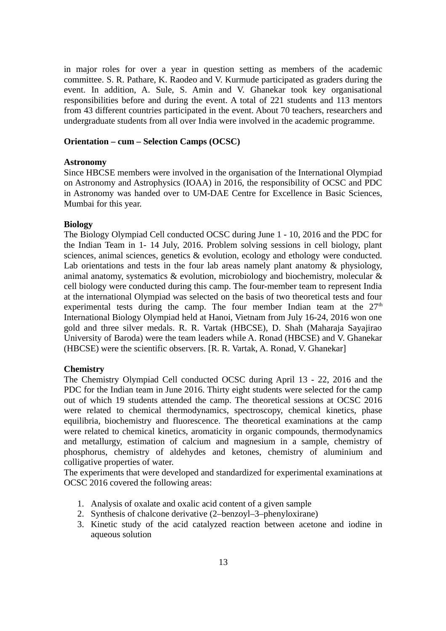in major roles for over a year in question setting as members of the academic committee. S. R. Pathare, K. Raodeo and V. Kurmude participated as graders during the event. In addition, A. Sule, S. Amin and V. Ghanekar took key organisational responsibilities before and during the event. A total of 221 students and 113 mentors from 43 different countries participated in the event. About 70 teachers, researchers and undergraduate students from all over India were involved in the academic programme.

### **Orientation – cum – Selection Camps (OCSC)**

#### **Astronomy**

Since HBCSE members were involved in the organisation of the International Olympiad on Astronomy and Astrophysics (IOAA) in 2016, the responsibility of OCSC and PDC in Astronomy was handed over to UM-DAE Centre for Excellence in Basic Sciences, Mumbai for this year.

#### **Biology**

The Biology Olympiad Cell conducted OCSC during June 1 - 10, 2016 and the PDC for the Indian Team in 1- 14 July, 2016. Problem solving sessions in cell biology, plant sciences, animal sciences, genetics & evolution, ecology and ethology were conducted. Lab orientations and tests in the four lab areas namely plant anatomy & physiology, animal anatomy, systematics & evolution, microbiology and biochemistry, molecular & cell biology were conducted during this camp. The four-member team to represent India at the international Olympiad was selected on the basis of two theoretical tests and four experimental tests during the camp. The four member Indian team at the  $27<sup>th</sup>$ International Biology Olympiad held at Hanoi, Vietnam from July 16-24, 2016 won one gold and three silver medals. R. R. Vartak (HBCSE), D. Shah (Maharaja Sayajirao University of Baroda) were the team leaders while A. Ronad (HBCSE) and V. Ghanekar (HBCSE) were the scientific observers. [R. R. Vartak, A. Ronad, V. Ghanekar]

#### **Chemistry**

The Chemistry Olympiad Cell conducted OCSC during April 13 - 22, 2016 and the PDC for the Indian team in June 2016. Thirty eight students were selected for the camp out of which 19 students attended the camp. The theoretical sessions at OCSC 2016 were related to chemical thermodynamics, spectroscopy, chemical kinetics, phase equilibria, biochemistry and fluorescence. The theoretical examinations at the camp were related to chemical kinetics, aromaticity in organic compounds, thermodynamics and metallurgy, estimation of calcium and magnesium in a sample, chemistry of phosphorus, chemistry of aldehydes and ketones, chemistry of aluminium and colligative properties of water.

The experiments that were developed and standardized for experimental examinations at OCSC 2016 covered the following areas:

- 1. Analysis of oxalate and oxalic acid content of a given sample
- 2. Synthesis of chalcone derivative (2–benzoyl–3–phenyloxirane)
- 3. Kinetic study of the acid catalyzed reaction between acetone and iodine in aqueous solution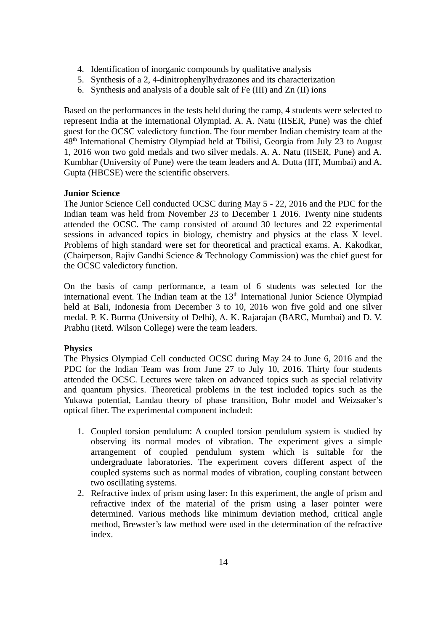- 4. Identification of inorganic compounds by qualitative analysis
- 5. Synthesis of a 2, 4-dinitrophenylhydrazones and its characterization
- 6. Synthesis and analysis of a double salt of Fe (III) and Zn (II) ions

Based on the performances in the tests held during the camp, 4 students were selected to represent India at the international Olympiad. A. A. Natu (IISER, Pune) was the chief guest for the OCSC valedictory function. The four member Indian chemistry team at the  $48<sup>th</sup>$  International Chemistry Olympiad held at Tbilisi, Georgia from July 23 to August 1, 2016 won two gold medals and two silver medals. A. A. Natu (IISER, Pune) and A. Kumbhar (University of Pune) were the team leaders and A. Dutta (IIT, Mumbai) and A. Gupta (HBCSE) were the scientific observers.

# **Junior Science**

The Junior Science Cell conducted OCSC during May 5 - 22, 2016 and the PDC for the Indian team was held from November 23 to December 1 2016. Twenty nine students attended the OCSC. The camp consisted of around 30 lectures and 22 experimental sessions in advanced topics in biology, chemistry and physics at the class X level. Problems of high standard were set for theoretical and practical exams. A. Kakodkar, (Chairperson, Rajiv Gandhi Science & Technology Commission) was the chief guest for the OCSC valedictory function.

On the basis of camp performance, a team of 6 students was selected for the international event. The Indian team at the  $13<sup>th</sup>$  International Junior Science Olympiad held at Bali, Indonesia from December 3 to 10, 2016 won five gold and one silver medal. P. K. Burma (University of Delhi), A. K. Rajarajan (BARC, Mumbai) and D. V. Prabhu (Retd. Wilson College) were the team leaders.

# **Physics**

The Physics Olympiad Cell conducted OCSC during May 24 to June 6, 2016 and the PDC for the Indian Team was from June 27 to July 10, 2016. Thirty four students attended the OCSC. Lectures were taken on advanced topics such as special relativity and quantum physics. Theoretical problems in the test included topics such as the Yukawa potential, Landau theory of phase transition, Bohr model and Weizsaker's optical fiber. The experimental component included:

- 1. Coupled torsion pendulum: A coupled torsion pendulum system is studied by observing its normal modes of vibration. The experiment gives a simple arrangement of coupled pendulum system which is suitable for the undergraduate laboratories. The experiment covers different aspect of the coupled systems such as normal modes of vibration, coupling constant between two oscillating systems.
- 2. Refractive index of prism using laser: In this experiment, the angle of prism and refractive index of the material of the prism using a laser pointer were determined. Various methods like minimum deviation method, critical angle method, Brewster's law method were used in the determination of the refractive index.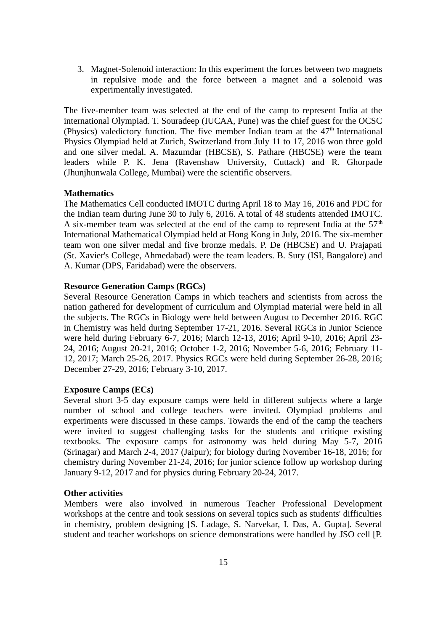3. Magnet-Solenoid interaction: In this experiment the forces between two magnets in repulsive mode and the force between a magnet and a solenoid was experimentally investigated.

The five-member team was selected at the end of the camp to represent India at the international Olympiad. T. Souradeep (IUCAA, Pune) was the chief guest for the OCSC (Physics) valedictory function. The five member Indian team at the  $47<sup>th</sup>$  International Physics Olympiad held at Zurich, Switzerland from July 11 to 17, 2016 won three gold and one silver medal. A. Mazumdar (HBCSE), S. Pathare (HBCSE) were the team leaders while P. K. Jena (Ravenshaw University, Cuttack) and R. Ghorpade (Jhunjhunwala College, Mumbai) were the scientific observers.

# **Mathematics**

The Mathematics Cell conducted IMOTC during April 18 to May 16, 2016 and PDC for the Indian team during June 30 to July 6, 2016. A total of 48 students attended IMOTC. A six-member team was selected at the end of the camp to represent India at the  $57<sup>th</sup>$ International Mathematical Olympiad held at Hong Kong in July, 2016. The six-member team won one silver medal and five bronze medals. P. De (HBCSE) and U. Prajapati (St. Xavier's College, Ahmedabad) were the team leaders. B. Sury (ISI, Bangalore) and A. Kumar (DPS, Faridabad) were the observers.

### **Resource Generation Camps (RGCs)**

Several Resource Generation Camps in which teachers and scientists from across the nation gathered for development of curriculum and Olympiad material were held in all the subjects. The RGCs in Biology were held between August to December 2016. RGC in Chemistry was held during September 17-21, 2016. Several RGCs in Junior Science were held during February 6-7, 2016; March 12-13, 2016; April 9-10, 2016; April 23- 24, 2016; August 20-21, 2016; October 1-2, 2016; November 5-6, 2016; February 11- 12, 2017; March 25-26, 2017. Physics RGCs were held during September 26-28, 2016; December 27-29, 2016; February 3-10, 2017.

### **Exposure Camps (ECs)**

Several short 3-5 day exposure camps were held in different subjects where a large number of school and college teachers were invited. Olympiad problems and experiments were discussed in these camps. Towards the end of the camp the teachers were invited to suggest challenging tasks for the students and critique existing textbooks. The exposure camps for astronomy was held during May 5-7, 2016 (Srinagar) and March 2-4, 2017 (Jaipur); for biology during November 16-18, 2016; for chemistry during November 21-24, 2016; for junior science follow up workshop during January 9-12, 2017 and for physics during February 20-24, 2017.

### **Other activities**

Members were also involved in numerous Teacher Professional Development workshops at the centre and took sessions on several topics such as students' difficulties in chemistry, problem designing [S. Ladage, S. Narvekar, I. Das, A. Gupta]. Several student and teacher workshops on science demonstrations were handled by JSO cell [P.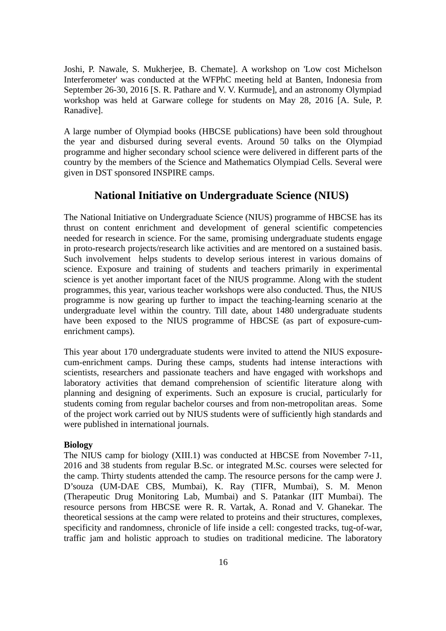Joshi, P. Nawale, S. Mukherjee, B. Chemate]. A workshop on 'Low cost Michelson Interferometer' was conducted at the WFPhC meeting held at Banten, Indonesia from September 26-30, 2016 [S. R. Pathare and V. V. Kurmude], and an astronomy Olympiad workshop was held at Garware college for students on May 28, 2016 [A. Sule, P. Ranadive].

A large number of Olympiad books (HBCSE publications) have been sold throughout the year and disbursed during several events. Around 50 talks on the Olympiad programme and higher secondary school science were delivered in different parts of the country by the members of the Science and Mathematics Olympiad Cells. Several were given in DST sponsored INSPIRE camps.

# **National Initiative on Undergraduate Science (NIUS)**

The National Initiative on Undergraduate Science (NIUS) programme of HBCSE has its thrust on content enrichment and development of general scientific competencies needed for research in science. For the same, promising undergraduate students engage in proto-research projects/research like activities and are mentored on a sustained basis. Such involvement helps students to develop serious interest in various domains of science. Exposure and training of students and teachers primarily in experimental science is yet another important facet of the NIUS programme. Along with the student programmes, this year, various teacher workshops were also conducted. Thus, the NIUS programme is now gearing up further to impact the teaching-learning scenario at the undergraduate level within the country. Till date, about 1480 undergraduate students have been exposed to the NIUS programme of HBCSE (as part of exposure-cumenrichment camps).

This year about 170 undergraduate students were invited to attend the NIUS exposurecum-enrichment camps. During these camps, students had intense interactions with scientists, researchers and passionate teachers and have engaged with workshops and laboratory activities that demand comprehension of scientific literature along with planning and designing of experiments. Such an exposure is crucial, particularly for students coming from regular bachelor courses and from non-metropolitan areas. Some of the project work carried out by NIUS students were of sufficiently high standards and were published in international journals.

#### **Biology**

The NIUS camp for biology (XIII.1) was conducted at HBCSE from November 7-11, 2016 and 38 students from regular B.Sc. or integrated M.Sc. courses were selected for the camp. Thirty students attended the camp. The resource persons for the camp were J. D'souza (UM-DAE CBS, Mumbai), K. Ray (TIFR, Mumbai), S. M. Menon (Therapeutic Drug Monitoring Lab, Mumbai) and S. Patankar (IIT Mumbai). The resource persons from HBCSE were R. R. Vartak, A. Ronad and V. Ghanekar. The theoretical sessions at the camp were related to proteins and their structures, complexes, specificity and randomness, chronicle of life inside a cell: congested tracks, tug-of-war, traffic jam and holistic approach to studies on traditional medicine. The laboratory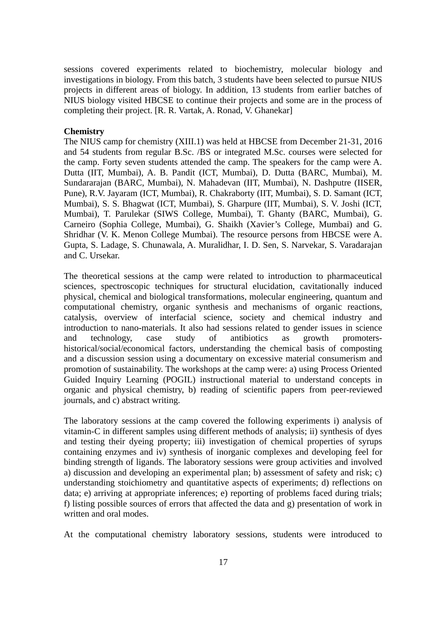sessions covered experiments related to biochemistry, molecular biology and investigations in biology. From this batch, 3 students have been selected to pursue NIUS projects in different areas of biology. In addition, 13 students from earlier batches of NIUS biology visited HBCSE to continue their projects and some are in the process of completing their project. [R. R. Vartak, A. Ronad, V. Ghanekar]

#### **Chemistry**

The NIUS camp for chemistry (XIII.1) was held at HBCSE from December 21-31, 2016 and 54 students from regular B.Sc. /BS or integrated M.Sc. courses were selected for the camp. Forty seven students attended the camp. The speakers for the camp were A. Dutta (IIT, Mumbai), A. B. Pandit (ICT, Mumbai), D. Dutta (BARC, Mumbai), M. Sundararajan (BARC, Mumbai), N. Mahadevan (IIT, Mumbai), N. Dashputre (IISER, Pune), R.V. Jayaram (ICT, Mumbai), R. Chakraborty (IIT, Mumbai), S. D. Samant (ICT, Mumbai), S. S. Bhagwat (ICT, Mumbai), S. Gharpure (IIT, Mumbai), S. V. Joshi (ICT, Mumbai), T. Parulekar (SIWS College, Mumbai), T. Ghanty (BARC, Mumbai), G. Carneiro (Sophia College, Mumbai), G. Shaikh (Xavier's College, Mumbai) and G. Shridhar (V. K. Menon College Mumbai). The resource persons from HBCSE were A. Gupta, S. Ladage, S. Chunawala, A. Muralidhar, I. D. Sen, S. Narvekar, S. Varadarajan and C. Ursekar.

The theoretical sessions at the camp were related to introduction to pharmaceutical sciences, spectroscopic techniques for structural elucidation, cavitationally induced physical, chemical and biological transformations, molecular engineering, quantum and computational chemistry, organic synthesis and mechanisms of organic reactions, catalysis, overview of interfacial science, society and chemical industry and introduction to nano-materials. It also had sessions related to gender issues in science and technology, case study of antibiotics as growth promotershistorical/social/economical factors, understanding the chemical basis of composting and a discussion session using a documentary on excessive material consumerism and promotion of sustainability. The workshops at the camp were: a) using Process Oriented Guided Inquiry Learning (POGIL) instructional material to understand concepts in organic and physical chemistry, b) reading of scientific papers from peer-reviewed journals, and c) abstract writing.

The laboratory sessions at the camp covered the following experiments i) analysis of vitamin-C in different samples using different methods of analysis; ii) synthesis of dyes and testing their dyeing property; iii) investigation of chemical properties of syrups containing enzymes and iv) synthesis of inorganic complexes and developing feel for binding strength of ligands. The laboratory sessions were group activities and involved a) discussion and developing an experimental plan; b) assessment of safety and risk; c) understanding stoichiometry and quantitative aspects of experiments; d) reflections on data; e) arriving at appropriate inferences; e) reporting of problems faced during trials; f) listing possible sources of errors that affected the data and g) presentation of work in written and oral modes.

At the computational chemistry laboratory sessions, students were introduced to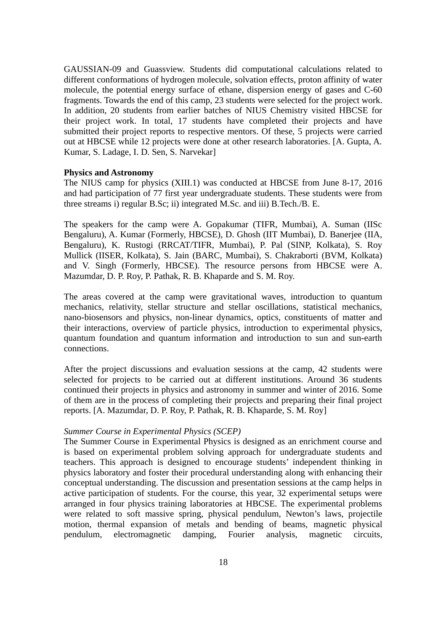GAUSSIAN-09 and Guassview. Students did computational calculations related to different conformations of hydrogen molecule, solvation effects, proton affinity of water molecule, the potential energy surface of ethane, dispersion energy of gases and C-60 fragments. Towards the end of this camp, 23 students were selected for the project work. In addition, 20 students from earlier batches of NIUS Chemistry visited HBCSE for their project work. In total, 17 students have completed their projects and have submitted their project reports to respective mentors. Of these, 5 projects were carried out at HBCSE while 12 projects were done at other research laboratories. [A. Gupta, A. Kumar, S. Ladage, I. D. Sen, S. Narvekar]

#### **Physics and Astronomy**

The NIUS camp for physics (XIII.1) was conducted at HBCSE from June 8-17, 2016 and had participation of 77 first year undergraduate students. These students were from three streams i) regular B.Sc; ii) integrated M.Sc. and iii) B.Tech./B. E.

The speakers for the camp were A. Gopakumar (TIFR, Mumbai), A. Suman (IISc Bengaluru), A. Kumar (Formerly, HBCSE), D. Ghosh (IIT Mumbai), D. Banerjee (IIA, Bengaluru), K. Rustogi (RRCAT/TIFR, Mumbai), P. Pal (SINP, Kolkata), S. Roy Mullick (IISER, Kolkata), S. Jain (BARC, Mumbai), S. Chakraborti (BVM, Kolkata) and V. Singh (Formerly, HBCSE). The resource persons from HBCSE were A. Mazumdar, D. P. Roy, P. Pathak, R. B. Khaparde and S. M. Roy.

The areas covered at the camp were gravitational waves, introduction to quantum mechanics, relativity, stellar structure and stellar oscillations, statistical mechanics, nano-biosensors and physics, non-linear dynamics, optics, constituents of matter and their interactions, overview of particle physics, introduction to experimental physics, quantum foundation and quantum information and introduction to sun and sun-earth connections.

After the project discussions and evaluation sessions at the camp, 42 students were selected for projects to be carried out at different institutions. Around 36 students continued their projects in physics and astronomy in summer and winter of 2016. Some of them are in the process of completing their projects and preparing their final project reports. [A. Mazumdar, D. P. Roy, P. Pathak, R. B. Khaparde, S. M. Roy]

### *Summer Course in Experimental Physics (SCEP)*

The Summer Course in Experimental Physics is designed as an enrichment course and is based on experimental problem solving approach for undergraduate students and teachers. This approach is designed to encourage students' independent thinking in physics laboratory and foster their procedural understanding along with enhancing their conceptual understanding. The discussion and presentation sessions at the camp helps in active participation of students. For the course, this year, 32 experimental setups were arranged in four physics training laboratories at HBCSE. The experimental problems were related to soft massive spring, physical pendulum, Newton's laws, projectile motion, thermal expansion of metals and bending of beams, magnetic physical pendulum, electromagnetic damping, Fourier analysis, magnetic circuits,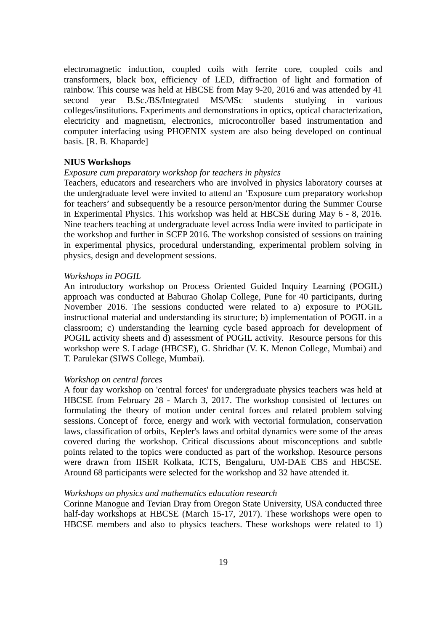electromagnetic induction, coupled coils with ferrite core, coupled coils and transformers, black box, efficiency of LED, diffraction of light and formation of rainbow. This course was held at HBCSE from May 9-20, 2016 and was attended by 41 second year B.Sc./BS/Integrated MS/MSc students studying in various colleges/institutions. Experiments and demonstrations in optics, optical characterization, electricity and magnetism, electronics, microcontroller based instrumentation and computer interfacing using PHOENIX system are also being developed on continual basis. [R. B. Khaparde]

### **NIUS Workshops**

### *Exposure cum preparatory workshop for teachers in physics*

Teachers, educators and researchers who are involved in physics laboratory courses at the undergraduate level were invited to attend an 'Exposure cum preparatory workshop for teachers' and subsequently be a resource person/mentor during the Summer Course in Experimental Physics. This workshop was held at HBCSE during May 6 - 8, 2016. Nine teachers teaching at undergraduate level across India were invited to participate in the workshop and further in SCEP 2016. The workshop consisted of sessions on training in experimental physics, procedural understanding, experimental problem solving in physics, design and development sessions.

### *Workshops in POGIL*

An introductory workshop on Process Oriented Guided Inquiry Learning (POGIL) approach was conducted at Baburao Gholap College, Pune for 40 participants, during November 2016. The sessions conducted were related to a) exposure to POGIL instructional material and understanding its structure; b) implementation of POGIL in a classroom; c) understanding the learning cycle based approach for development of POGIL activity sheets and d) assessment of POGIL activity. Resource persons for this workshop were S. Ladage (HBCSE), G. Shridhar (V. K. Menon College, Mumbai) and T. Parulekar (SIWS College, Mumbai).

#### *Workshop on central forces*

A four day workshop on 'central forces' for undergraduate physics teachers was held at HBCSE from February 28 - March 3, 2017. The workshop consisted of lectures on formulating the theory of motion under central forces and related problem solving sessions. Concept of force, energy and work with vectorial formulation, conservation laws, classification of orbits, Kepler's laws and orbital dynamics were some of the areas covered during the workshop. Critical discussions about misconceptions and subtle points related to the topics were conducted as part of the workshop. Resource persons were drawn from IISER Kolkata, ICTS, Bengaluru, UM-DAE CBS and HBCSE. Around 68 participants were selected for the workshop and 32 have attended it.

#### *Workshops on physics and mathematics education research*

Corinne Manogue and Tevian Dray from Oregon State University, USA conducted three half-day workshops at HBCSE (March 15-17, 2017). These workshops were open to HBCSE members and also to physics teachers. These workshops were related to 1)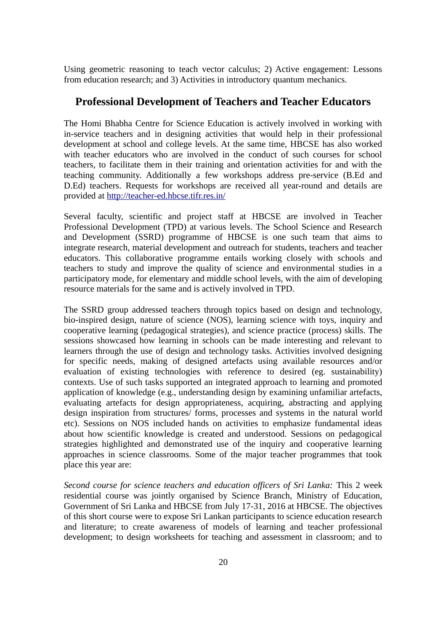Using geometric reasoning to teach vector calculus; 2) Active engagement: Lessons from education research; and 3) Activities in introductory quantum mechanics.

# **Professional Development of Teachers and Teacher Educators**

The Homi Bhabha Centre for Science Education is actively involved in working with in-service teachers and in designing activities that would help in their professional development at school and college levels. At the same time, HBCSE has also worked with teacher educators who are involved in the conduct of such courses for school teachers, to facilitate them in their training and orientation activities for and with the teaching community. Additionally a few workshops address pre-service (B.Ed and D.Ed) teachers. Requests for workshops are received all year-round and details are provided at <http://teacher-ed.hbcse.tifr.res.in/>

Several faculty, scientific and project staff at HBCSE are involved in Teacher Professional Development (TPD) at various levels. The School Science and Research and Development (SSRD) programme of HBCSE is one such team that aims to integrate research, material development and outreach for students, teachers and teacher educators. This collaborative programme entails working closely with schools and teachers to study and improve the quality of science and environmental studies in a participatory mode, for elementary and middle school levels, with the aim of developing resource materials for the same and is actively involved in TPD.

The SSRD group addressed teachers through topics based on design and technology, bio-inspired design, nature of science (NOS), learning science with toys, inquiry and cooperative learning (pedagogical strategies), and science practice (process) skills. The sessions showcased how learning in schools can be made interesting and relevant to learners through the use of design and technology tasks. Activities involved designing for specific needs, making of designed artefacts using available resources and/or evaluation of existing technologies with reference to desired (eg. sustainability) contexts. Use of such tasks supported an integrated approach to learning and promoted application of knowledge (e.g., understanding design by examining unfamiliar artefacts, evaluating artefacts for design appropriateness, acquiring, abstracting and applying design inspiration from structures/ forms, processes and systems in the natural world etc). Sessions on NOS included hands on activities to emphasize fundamental ideas about how scientific knowledge is created and understood. Sessions on pedagogical strategies highlighted and demonstrated use of the inquiry and cooperative learning approaches in science classrooms. Some of the major teacher programmes that took place this year are:

*Second course for science teachers and education officers of Sri Lanka:* This 2 week residential course was jointly organised by Science Branch, Ministry of Education, Government of Sri Lanka and HBCSE from July 17-31, 2016 at HBCSE. The objectives of this short course were to expose Sri Lankan participants to science education research and literature; to create awareness of models of learning and teacher professional development; to design worksheets for teaching and assessment in classroom; and to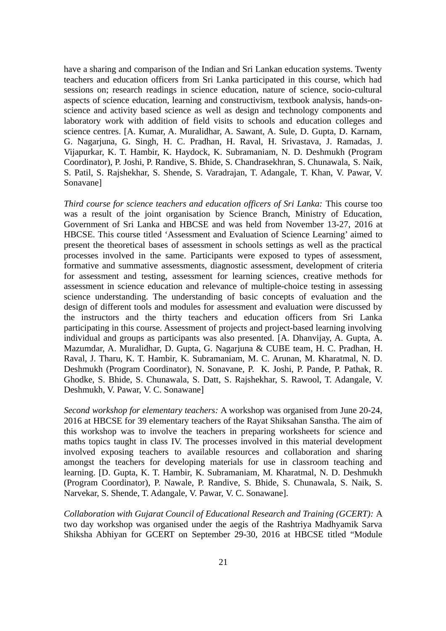have a sharing and comparison of the Indian and Sri Lankan education systems. Twenty teachers and education officers from Sri Lanka participated in this course, which had sessions on; research readings in science education, nature of science, socio-cultural aspects of science education, learning and constructivism, textbook analysis, hands-onscience and activity based science as well as design and technology components and laboratory work with addition of field visits to schools and education colleges and science centres. [A. Kumar, A. Muralidhar, A. Sawant, A. Sule, D. Gupta, D. Karnam, G. Nagarjuna, G. Singh, H. C. Pradhan, H. Raval, H. Srivastava, J. Ramadas, J. Vijapurkar, K. T. Hambir, K. Haydock, K. Subramaniam, N. D. Deshmukh (Program Coordinator), P. Joshi, P. Randive, S. Bhide, S. Chandrasekhran, S. Chunawala, S. Naik, S. Patil, S. Rajshekhar, S. Shende, S. Varadrajan, T. Adangale, T. Khan, V. Pawar, V. Sonavane]

*Third course for science teachers and education officers of Sri Lanka:* This course too was a result of the joint organisation by Science Branch, Ministry of Education, Government of Sri Lanka and HBCSE and was held from November 13-27, 2016 at HBCSE. This course titled 'Assessment and Evaluation of Science Learning' aimed to present the theoretical bases of assessment in schools settings as well as the practical processes involved in the same. Participants were exposed to types of assessment, formative and summative assessments, diagnostic assessment, development of criteria for assessment and testing, assessment for learning sciences, creative methods for assessment in science education and relevance of multiple-choice testing in assessing science understanding. The understanding of basic concepts of evaluation and the design of different tools and modules for assessment and evaluation were discussed by the instructors and the thirty teachers and education officers from Sri Lanka participating in this course. Assessment of projects and project-based learning involving individual and groups as participants was also presented. [A. Dhanvijay, A. Gupta, A. Mazumdar, A. Muralidhar, D. Gupta, G. Nagarjuna & CUBE team, H. C. Pradhan, H. Raval, J. Tharu, K. T. Hambir, K. Subramaniam, M. C. Arunan, M. Kharatmal, N. D. Deshmukh (Program Coordinator), N. Sonavane, P. K. Joshi, P. Pande, P. Pathak, R. Ghodke, S. Bhide, S. Chunawala, S. Datt, S. Rajshekhar, S. Rawool, T. Adangale, V. Deshmukh, V. Pawar, V. C. Sonawane]

*Second workshop for elementary teachers:* A workshop was organised from June 20-24, 2016 at HBCSE for 39 elementary teachers of the Rayat Shiksahan Sanstha. The aim of this workshop was to involve the teachers in preparing worksheets for science and maths topics taught in class IV. The processes involved in this material development involved exposing teachers to available resources and collaboration and sharing amongst the teachers for developing materials for use in classroom teaching and learning. [D. Gupta, K. T. Hambir, K. Subramaniam, M. Kharatmal, N. D. Deshmukh (Program Coordinator), P. Nawale, P. Randive, S. Bhide, S. Chunawala, S. Naik, S. Narvekar, S. Shende, T. Adangale, V. Pawar, V. C. Sonawane].

*Collaboration with Gujarat Council of Educational Research and Training (GCERT):* A two day workshop was organised under the aegis of the Rashtriya Madhyamik Sarva Shiksha Abhiyan for GCERT on September 29-30, 2016 at HBCSE titled "Module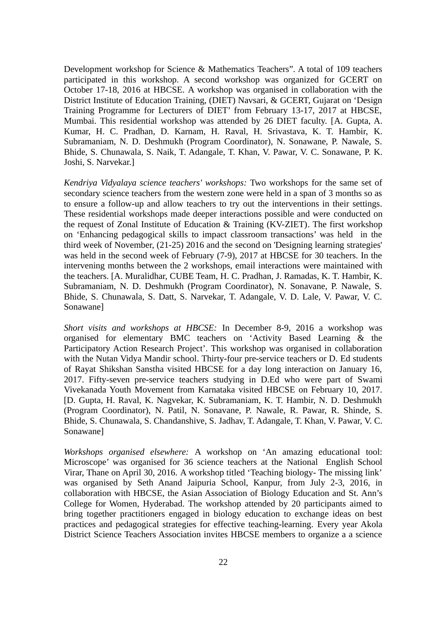Development workshop for Science & Mathematics Teachers". A total of 109 teachers participated in this workshop. A second workshop was organized for GCERT on October 17-18, 2016 at HBCSE. A workshop was organised in collaboration with the District Institute of Education Training, (DIET) Navsari, & GCERT, Gujarat on 'Design Training Programme for Lecturers of DIET' from February 13-17, 2017 at HBCSE, Mumbai. This residential workshop was attended by 26 DIET faculty. [A. Gupta, A. Kumar, H. C. Pradhan, D. Karnam, H. Raval, H. Srivastava, K. T. Hambir, K. Subramaniam, N. D. Deshmukh (Program Coordinator), N. Sonawane, P. Nawale, S. Bhide, S. Chunawala, S. Naik, T. Adangale, T. Khan, V. Pawar, V. C. Sonawane, P. K. Joshi, S. Narvekar.]

*Kendriya Vidyalaya science teachers' workshops:* Two workshops for the same set of secondary science teachers from the western zone were held in a span of 3 months so as to ensure a follow-up and allow teachers to try out the interventions in their settings. These residential workshops made deeper interactions possible and were conducted on the request of Zonal Institute of Education & Training (KV-ZIET). The first workshop on 'Enhancing pedagogical skills to impact classroom transactions' was held in the third week of November, (21-25) 2016 and the second on 'Designing learning strategies' was held in the second week of February (7-9), 2017 at HBCSE for 30 teachers. In the intervening months between the 2 workshops, email interactions were maintained with the teachers. [A. Muralidhar, CUBE Team, H. C. Pradhan, J. Ramadas, K. T. Hambir, K. Subramaniam, N. D. Deshmukh (Program Coordinator), N. Sonavane, P. Nawale, S. Bhide, S. Chunawala, S. Datt, S. Narvekar, T. Adangale, V. D. Lale, V. Pawar, V. C. Sonawane]

*Short visits and workshops at HBCSE:* In December 8-9, 2016 a workshop was organised for elementary BMC teachers on 'Activity Based Learning & the Participatory Action Research Project'. This workshop was organised in collaboration with the Nutan Vidya Mandir school. Thirty-four pre-service teachers or D. Ed students of Rayat Shikshan Sanstha visited HBCSE for a day long interaction on January 16, 2017. Fifty-seven pre-service teachers studying in D.Ed who were part of Swami Vivekanada Youth Movement from Karnataka visited HBCSE on February 10, 2017. [D. Gupta, H. Raval, K. Nagvekar, K. Subramaniam, K. T. Hambir, N. D. Deshmukh (Program Coordinator), N. Patil, N. Sonavane, P. Nawale, R. Pawar, R. Shinde, S. Bhide, S. Chunawala, S. Chandanshive, S. Jadhav, T. Adangale, T. Khan, V. Pawar, V. C. Sonawane]

*Workshops organised elsewhere:* A workshop on 'An amazing educational tool: Microscope' was organised for 36 science teachers at the National English School Virar, Thane on April 30, 2016. A workshop titled 'Teaching biology- The missing link' was organised by Seth Anand Jaipuria School, Kanpur, from July 2-3, 2016, in collaboration with HBCSE, the Asian Association of Biology Education and St. Ann's College for Women, Hyderabad. The workshop attended by 20 participants aimed to bring together practitioners engaged in biology education to exchange ideas on best practices and pedagogical strategies for effective teaching-learning. Every year Akola District Science Teachers Association invites HBCSE members to organize a a science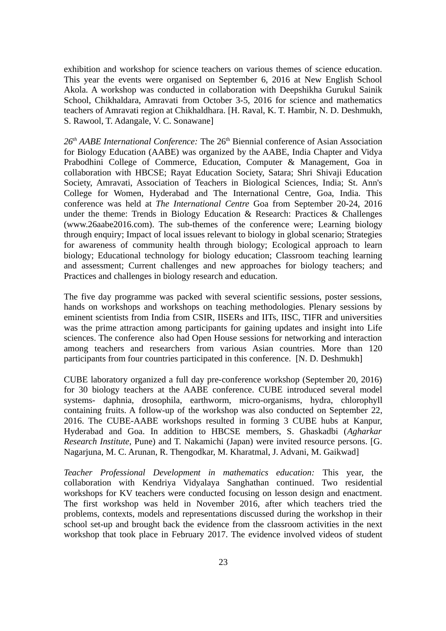exhibition and workshop for science teachers on various themes of science education. This year the events were organised on September 6, 2016 at New English School Akola. A workshop was conducted in collaboration with Deepshikha Gurukul Sainik School, Chikhaldara, Amravati from October 3-5, 2016 for science and mathematics teachers of Amravati region at Chikhaldhara. [H. Raval, K. T. Hambir, N. D. Deshmukh, S. Rawool, T. Adangale, V. C. Sonawane]

26<sup>th</sup> AABE International Conference: The 26<sup>th</sup> Biennial conference of Asian Association for Biology Education (AABE) was organized by the AABE, India Chapter and Vidya Prabodhini College of Commerce, Education, Computer & Management, Goa in collaboration with HBCSE; Rayat Education Society, Satara; Shri Shivaji Education Society, Amravati, Association of Teachers in Biological Sciences, India; St. Ann's College for Women, Hyderabad and The International Centre, Goa, India. This conference was held at *The International Centre* Goa from September 20-24, 2016 under the theme: Trends in Biology Education & Research: Practices & Challenges (www.26aabe2016.com). The sub-themes of the conference were; Learning biology through enquiry; Impact of local issues relevant to biology in global scenario; Strategies for awareness of community health through biology; Ecological approach to learn biology; Educational technology for biology education; Classroom teaching learning and assessment; Current challenges and new approaches for biology teachers; and Practices and challenges in biology research and education.

The five day programme was packed with several scientific sessions, poster sessions, hands on workshops and workshops on teaching methodologies. Plenary sessions by eminent scientists from India from CSIR, IISERs and IITs, IISC, TIFR and universities was the prime attraction among participants for gaining updates and insight into Life sciences. The conference also had Open House sessions for networking and interaction among teachers and researchers from various Asian countries. More than 120 participants from four countries participated in this conference. [N. D. Deshmukh]

CUBE laboratory organized a full day pre-conference workshop (September 20, 2016) for 30 biology teachers at the AABE conference. CUBE introduced several model systems- daphnia, drosophila, earthworm, micro-organisms, hydra, chlorophyll containing fruits. A follow-up of the workshop was also conducted on September 22, 2016. The CUBE-AABE workshops resulted in forming 3 CUBE hubs at Kanpur, Hyderabad and Goa. In addition to HBCSE members, S. Ghaskadbi (*Agharkar Research Institute*, Pune) and T. Nakamichi (Japan) were invited resource persons. [G. Nagarjuna, M. C. Arunan, R. Thengodkar, M. Kharatmal, J. Advani, M. Gaikwad]

*Teacher Professional Development in mathematics education:* This year, the collaboration with Kendriya Vidyalaya Sanghathan continued. Two residential workshops for KV teachers were conducted focusing on lesson design and enactment. The first workshop was held in November 2016, after which teachers tried the problems, contexts, models and representations discussed during the workshop in their school set-up and brought back the evidence from the classroom activities in the next workshop that took place in February 2017. The evidence involved videos of student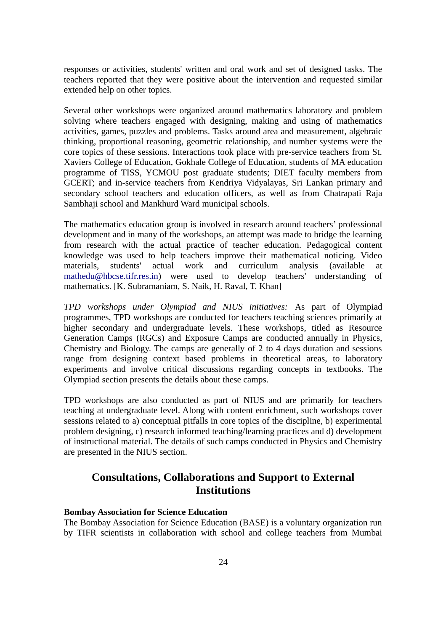responses or activities, students' written and oral work and set of designed tasks. The teachers reported that they were positive about the intervention and requested similar extended help on other topics.

Several other workshops were organized around mathematics laboratory and problem solving where teachers engaged with designing, making and using of mathematics activities, games, puzzles and problems. Tasks around area and measurement, algebraic thinking, proportional reasoning, geometric relationship, and number systems were the core topics of these sessions. Interactions took place with pre-service teachers from St. Xaviers College of Education, Gokhale College of Education, students of MA education programme of TISS, YCMOU post graduate students; DIET faculty members from GCERT; and in-service teachers from Kendriya Vidyalayas, Sri Lankan primary and secondary school teachers and education officers, as well as from Chatrapati Raja Sambhaji school and Mankhurd Ward municipal schools.

The mathematics education group is involved in research around teachers' professional development and in many of the workshops, an attempt was made to bridge the learning from research with the actual practice of teacher education. Pedagogical content knowledge was used to help teachers improve their mathematical noticing. Video materials, students' actual work and curriculum analysis (available at [mathedu@hbcse.tifr.res.in\)](mailto:mathedu@hbcse.tifr.res.in) were used to develop teachers' understanding of mathematics. [K. Subramaniam, S. Naik, H. Raval, T. Khan]

*TPD workshops under Olympiad and NIUS initiatives:* As part of Olympiad programmes, TPD workshops are conducted for teachers teaching sciences primarily at higher secondary and undergraduate levels. These workshops, titled as Resource Generation Camps (RGCs) and Exposure Camps are conducted annually in Physics, Chemistry and Biology. The camps are generally of 2 to 4 days duration and sessions range from designing context based problems in theoretical areas, to laboratory experiments and involve critical discussions regarding concepts in textbooks. The Olympiad section presents the details about these camps.

TPD workshops are also conducted as part of NIUS and are primarily for teachers teaching at undergraduate level. Along with content enrichment, such workshops cover sessions related to a) conceptual pitfalls in core topics of the discipline, b) experimental problem designing, c) research informed teaching/learning practices and d) development of instructional material. The details of such camps conducted in Physics and Chemistry are presented in the NIUS section.

# **Consultations, Collaborations and Support to External Institutions**

# **Bombay Association for Science Education**

The Bombay Association for Science Education (BASE) is a voluntary organization run by TIFR scientists in collaboration with school and college teachers from Mumbai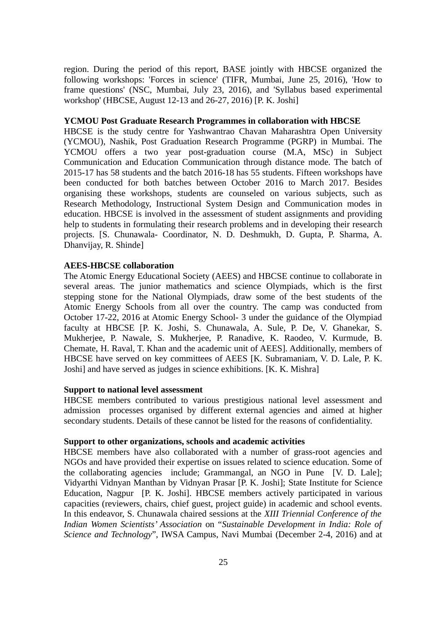region. During the period of this report, BASE jointly with HBCSE organized the following workshops: 'Forces in science' (TIFR, Mumbai, June 25, 2016), 'How to frame questions' (NSC, Mumbai, July 23, 2016), and 'Syllabus based experimental workshop' (HBCSE, August 12-13 and 26-27, 2016) [P. K. Joshi]

#### **YCMOU Post Graduate Research Programmes in collaboration with HBCSE**

HBCSE is the study centre for Yashwantrao Chavan Maharashtra Open University (YCMOU), Nashik, Post Graduation Research Programme (PGRP) in Mumbai. The YCMOU offers a two year post-graduation course (M.A, MSc) in Subject Communication and Education Communication through distance mode. The batch of 2015-17 has 58 students and the batch 2016-18 has 55 students. Fifteen workshops have been conducted for both batches between October 2016 to March 2017. Besides organising these workshops, students are counseled on various subjects, such as Research Methodology, Instructional System Design and Communication modes in education. HBCSE is involved in the assessment of student assignments and providing help to students in formulating their research problems and in developing their research projects. [S. Chunawala- Coordinator, N. D. Deshmukh, D. Gupta, P. Sharma, A. Dhanvijay, R. Shinde]

#### **AEES-HBCSE collaboration**

The Atomic Energy Educational Society (AEES) and HBCSE continue to collaborate in several areas. The junior mathematics and science Olympiads, which is the first stepping stone for the National Olympiads, draw some of the best students of the Atomic Energy Schools from all over the country. The camp was conducted from October 17-22, 2016 at Atomic Energy School- 3 under the guidance of the Olympiad faculty at HBCSE [P. K. Joshi, S. Chunawala, A. Sule, P. De, V. Ghanekar, S. Mukherjee, P. Nawale, S. Mukherjee, P. Ranadive, K. Raodeo, V. Kurmude, B. Chemate, H. Raval, T. Khan and the academic unit of AEES]. Additionally, members of HBCSE have served on key committees of AEES [K. Subramaniam, V. D. Lale, P. K. Joshi] and have served as judges in science exhibitions. [K. K. Mishra]

#### **Support to national level assessment**

HBCSE members contributed to various prestigious national level assessment and admission processes organised by different external agencies and aimed at higher secondary students. Details of these cannot be listed for the reasons of confidentiality.

#### **Support to other organizations, schools and academic activities**

HBCSE members have also collaborated with a number of grass-root agencies and NGOs and have provided their expertise on issues related to science education. Some of the collaborating agencies include; Grammangal, an NGO in Pune [V. D. Lale]; Vidyarthi Vidnyan Manthan by Vidnyan Prasar [P. K. Joshi]; State Institute for Science Education, Nagpur [P. K. Joshi]. HBCSE members actively participated in various capacities (reviewers, chairs, chief guest, project guide) in academic and school events. In this endeavor, S. Chunawala chaired sessions at the *XIII Triennial Conference of the Indian Women Scientists' Association* on "*Sustainable Development in India: Role of Science and Technology*", IWSA Campus, Navi Mumbai (December 2-4, 2016) and at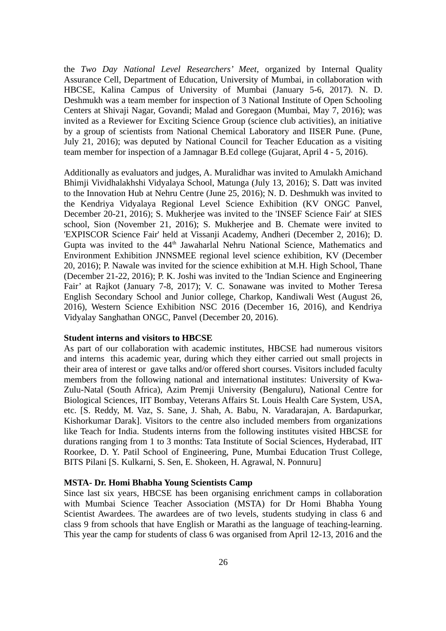the *Two Day National Level Researchers' Meet,* organized by Internal Quality Assurance Cell, Department of Education, University of Mumbai, in collaboration with HBCSE, Kalina Campus of University of Mumbai (January 5-6, 2017). N. D. Deshmukh was a team member for inspection of 3 National Institute of Open Schooling Centers at Shivaji Nagar, Govandi; Malad and Goregaon (Mumbai, May 7, 2016); was invited as a Reviewer for Exciting Science Group (science club activities), an initiative by a group of scientists from National Chemical Laboratory and IISER Pune. (Pune, July 21, 2016); was deputed by National Council for Teacher Education as a visiting team member for inspection of a Jamnagar B.Ed college (Gujarat, April 4 - 5, 2016).

Additionally as evaluators and judges, A. Muralidhar was invited to Amulakh Amichand Bhimji Vividhalakhshi Vidyalaya School, Matunga (July 13, 2016); S. Datt was invited to the Innovation Hub at Nehru Centre (June 25, 2016); N. D. Deshmukh was invited to the Kendriya Vidyalaya Regional Level Science Exhibition (KV ONGC Panvel, December 20-21, 2016); S. Mukherjee was invited to the 'INSEF Science Fair' at SIES school, Sion (November 21, 2016); S. Mukherjee and B. Chemate were invited to 'EXPISCOR Science Fair' held at Vissanji Academy, Andheri (December 2, 2016); D. Gupta was invited to the 44<sup>th</sup> Jawaharlal Nehru National Science, Mathematics and Environment Exhibition JNNSMEE regional level science exhibition, KV (December 20, 2016); P. Nawale was invited for the science exhibition at M.H. High School, Thane (December 21-22, 2016); P. K. Joshi was invited to the 'Indian Science and Engineering Fair' at Rajkot (January 7-8, 2017); V. C. Sonawane was invited to Mother Teresa English Secondary School and Junior college, Charkop, Kandiwali West (August 26, 2016), Western Science Exhibition NSC 2016 (December 16, 2016), and Kendriya Vidyalay Sanghathan ONGC, Panvel (December 20, 2016).

#### **Student interns and visitors to HBCSE**

As part of our collaboration with academic institutes, HBCSE had numerous visitors and interns this academic year, during which they either carried out small projects in their area of interest or gave talks and/or offered short courses. Visitors included faculty members from the following national and international institutes: University of Kwa-Zulu-Natal (South Africa), Azim Premji University (Bengaluru), National Centre for Biological Sciences, IIT Bombay, Veterans Affairs St. Louis Health Care System, USA, etc. [S. Reddy, M. Vaz, S. Sane, J. Shah, A. Babu, N. Varadarajan, A. Bardapurkar, Kishorkumar Darak]. Visitors to the centre also included members from organizations like Teach for India. Students interns from the following institutes visited HBCSE for durations ranging from 1 to 3 months: Tata Institute of Social Sciences, Hyderabad, IIT Roorkee, D. Y. Patil School of Engineering, Pune, Mumbai Education Trust College, BITS Pilani [S. Kulkarni, S. Sen, E. Shokeen, H. Agrawal, N. Ponnuru]

#### **MSTA- Dr. Homi Bhabha Young Scientists Camp**

Since last six years, HBCSE has been organising enrichment camps in collaboration with Mumbai Science Teacher Association (MSTA) for Dr Homi Bhabha Young Scientist Awardees. The awardees are of two levels, students studying in class 6 and class 9 from schools that have English or Marathi as the language of teaching-learning. This year the camp for students of class 6 was organised from April 12-13, 2016 and the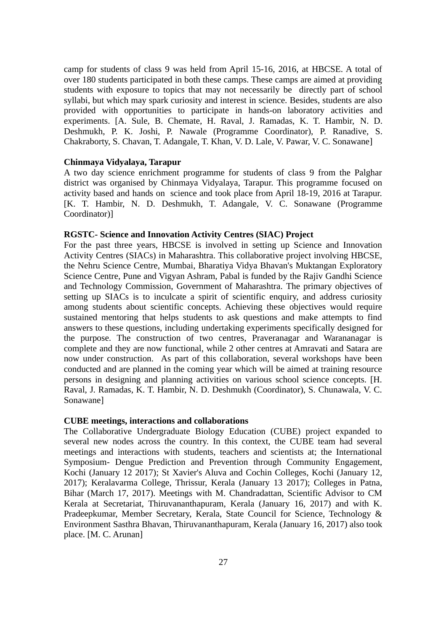camp for students of class 9 was held from April 15-16, 2016, at HBCSE. A total of over 180 students participated in both these camps. These camps are aimed at providing students with exposure to topics that may not necessarily be directly part of school syllabi, but which may spark curiosity and interest in science. Besides, students are also provided with opportunities to participate in hands-on laboratory activities and experiments. [A. Sule, B. Chemate, H. Raval, J. Ramadas, K. T. Hambir, N. D. Deshmukh, P. K. Joshi, P. Nawale (Programme Coordinator), P. Ranadive, S. Chakraborty, S. Chavan, T. Adangale, T. Khan, V. D. Lale, V. Pawar, V. C. Sonawane]

### **Chinmaya Vidyalaya, Tarapur**

A two day science enrichment programme for students of class 9 from the Palghar district was organised by Chinmaya Vidyalaya, Tarapur. This programme focused on activity based and hands on science and took place from April 18-19, 2016 at Tarapur. [K. T. Hambir, N. D. Deshmukh, T. Adangale, V. C. Sonawane (Programme Coordinator)]

# **RGSTC- Science and Innovation Activity Centres (SIAC) Project**

For the past three years, HBCSE is involved in setting up Science and Innovation Activity Centres (SIACs) in Maharashtra. This collaborative project involving HBCSE, the Nehru Science Centre, Mumbai, Bharatiya Vidya Bhavan's Muktangan Exploratory Science Centre, Pune and Vigyan Ashram, Pabal is funded by the Rajiv Gandhi Science and Technology Commission, Government of Maharashtra. The primary objectives of setting up SIACs is to inculcate a spirit of scientific enquiry, and address curiosity among students about scientific concepts. Achieving these objectives would require sustained mentoring that helps students to ask questions and make attempts to find answers to these questions, including undertaking experiments specifically designed for the purpose. The construction of two centres, Praveranagar and Warananagar is complete and they are now functional, while 2 other centres at Amravati and Satara are now under construction. As part of this collaboration, several workshops have been conducted and are planned in the coming year which will be aimed at training resource persons in designing and planning activities on various school science concepts. [H. Raval, J. Ramadas, K. T. Hambir, N. D. Deshmukh (Coordinator), S. Chunawala, V. C. Sonawane]

#### **CUBE meetings, interactions and collaborations**

The Collaborative Undergraduate Biology Education (CUBE) project expanded to several new nodes across the country. In this context, the CUBE team had several meetings and interactions with students, teachers and scientists at; the International Symposium- Dengue Prediction and Prevention through Community Engagement, Kochi (January 12 2017); St Xavier's Aluva and Cochin Colleges, Kochi (January 12, 2017); Keralavarma College, Thrissur, Kerala (January 13 2017); Colleges in Patna, Bihar (March 17, 2017). Meetings with M. Chandradattan, Scientific Advisor to CM Kerala at Secretariat, Thiruvananthapuram, Kerala (January 16, 2017) and with K. Pradeepkumar, Member Secretary, Kerala, State Council for Science, Technology & Environment Sasthra Bhavan, Thiruvananthapuram, Kerala (January 16, 2017) also took place. [M. C. Arunan]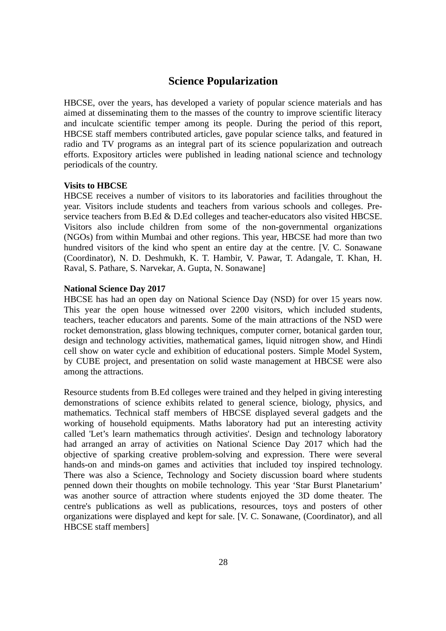# **Science Popularization**

HBCSE, over the years, has developed a variety of popular science materials and has aimed at disseminating them to the masses of the country to improve scientific literacy and inculcate scientific temper among its people. During the period of this report, HBCSE staff members contributed articles, gave popular science talks, and featured in radio and TV programs as an integral part of its science popularization and outreach efforts. Expository articles were published in leading national science and technology periodicals of the country.

### **Visits to HBCSE**

HBCSE receives a number of visitors to its laboratories and facilities throughout the year. Visitors include students and teachers from various schools and colleges. Preservice teachers from B.Ed & D.Ed colleges and teacher-educators also visited HBCSE. Visitors also include children from some of the non-governmental organizations (NGOs) from within Mumbai and other regions. This year, HBCSE had more than two hundred visitors of the kind who spent an entire day at the centre. [V. C. Sonawane (Coordinator), N. D. Deshmukh, K. T. Hambir, V. Pawar, T. Adangale, T. Khan, H. Raval, S. Pathare, S. Narvekar, A. Gupta, N. Sonawane]

### **National Science Day 2017**

HBCSE has had an open day on National Science Day (NSD) for over 15 years now. This year the open house witnessed over 2200 visitors, which included students, teachers, teacher educators and parents. Some of the main attractions of the NSD were rocket demonstration, glass blowing techniques, computer corner, botanical garden tour, design and technology activities, mathematical games, liquid nitrogen show, and Hindi cell show on water cycle and exhibition of educational posters. Simple Model System, by CUBE project, and presentation on solid waste management at HBCSE were also among the attractions.

Resource students from B.Ed colleges were trained and they helped in giving interesting demonstrations of science exhibits related to general science, biology, physics, and mathematics. Technical staff members of HBCSE displayed several gadgets and the working of household equipments. Maths laboratory had put an interesting activity called 'Let's learn mathematics through activities'. Design and technology laboratory had arranged an array of activities on National Science Day 2017 which had the objective of sparking creative problem-solving and expression. There were several hands-on and minds-on games and activities that included toy inspired technology. There was also a Science, Technology and Society discussion board where students penned down their thoughts on mobile technology. This year 'Star Burst Planetarium' was another source of attraction where students enjoyed the 3D dome theater. The centre's publications as well as publications, resources, toys and posters of other organizations were displayed and kept for sale. [V. C. Sonawane, (Coordinator), and all HBCSE staff members]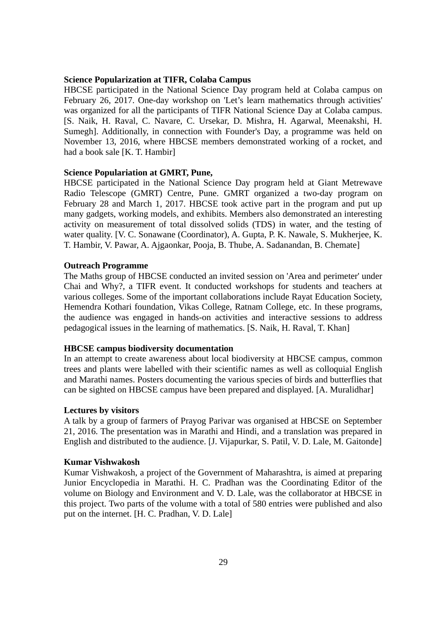### **Science Popularization at TIFR, Colaba Campus**

HBCSE participated in the National Science Day program held at Colaba campus on February 26, 2017. One-day workshop on 'Let's learn mathematics through activities' was organized for all the participants of TIFR National Science Day at Colaba campus. [S. Naik, H. Raval, C. Navare, C. Ursekar, D. Mishra, H. Agarwal, Meenakshi, H. Sumegh]. Additionally, in connection with Founder's Day, a programme was held on November 13, 2016, where HBCSE members demonstrated working of a rocket, and had a book sale [K. T. Hambir]

# **Science Populariation at GMRT, Pune,**

HBCSE participated in the National Science Day program held at Giant Metrewave Radio Telescope (GMRT) Centre, Pune. GMRT organized a two-day program on February 28 and March 1, 2017. HBCSE took active part in the program and put up many gadgets, working models, and exhibits. Members also demonstrated an interesting activity on measurement of total dissolved solids (TDS) in water, and the testing of water quality. [V. C. Sonawane (Coordinator), A. Gupta, P. K. Nawale, S. Mukherjee, K. T. Hambir, V. Pawar, A. Ajgaonkar, Pooja, B. Thube, A. Sadanandan, B. Chemate]

#### **Outreach Programme**

The Maths group of HBCSE conducted an invited session on 'Area and perimeter' under Chai and Why?, a TIFR event. It conducted workshops for students and teachers at various colleges. Some of the important collaborations include Rayat Education Society, Hemendra Kothari foundation, Vikas College, Ratnam College, etc. In these programs, the audience was engaged in hands-on activities and interactive sessions to address pedagogical issues in the learning of mathematics. [S. Naik, H. Raval, T. Khan]

#### **HBCSE campus biodiversity documentation**

In an attempt to create awareness about local biodiversity at HBCSE campus, common trees and plants were labelled with their scientific names as well as colloquial English and Marathi names. Posters documenting the various species of birds and butterflies that can be sighted on HBCSE campus have been prepared and displayed. [A. Muralidhar]

#### **Lectures by visitors**

A talk by a group of farmers of Prayog Parivar was organised at HBCSE on September 21, 2016. The presentation was in Marathi and Hindi, and a translation was prepared in English and distributed to the audience. [J. Vijapurkar, S. Patil, V. D. Lale, M. Gaitonde]

#### **Kumar Vishwakosh**

Kumar Vishwakosh, a project of the Government of Maharashtra, is aimed at preparing Junior Encyclopedia in Marathi. H. C. Pradhan was the Coordinating Editor of the volume on Biology and Environment and V. D. Lale, was the collaborator at HBCSE in this project. Two parts of the volume with a total of 580 entries were published and also put on the internet. [H. C. Pradhan, V. D. Lale]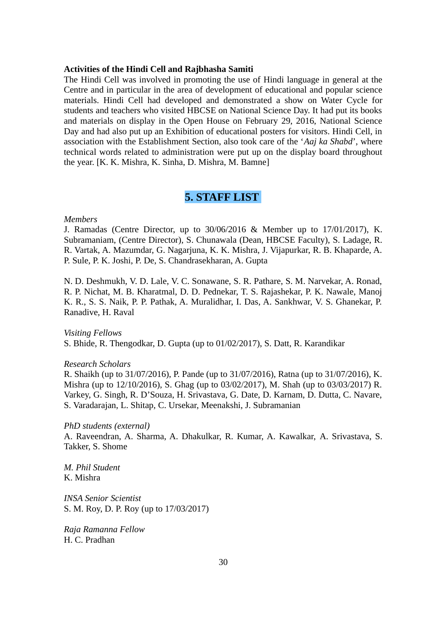#### **Activities of the Hindi Cell and Rajbhasha Samiti**

The Hindi Cell was involved in promoting the use of Hindi language in general at the Centre and in particular in the area of development of educational and popular science materials. Hindi Cell had developed and demonstrated a show on Water Cycle for students and teachers who visited HBCSE on National Science Day. It had put its books and materials on display in the Open House on February 29, 2016, National Science Day and had also put up an Exhibition of educational posters for visitors. Hindi Cell, in association with the Establishment Section, also took care of the '*Aaj ka Shabd*', where technical words related to administration were put up on the display board throughout the year. [K. K. Mishra, K. Sinha, D. Mishra, M. Bamne]

# **5. STAFF LIST**

#### *Members*

J. Ramadas (Centre Director, up to 30/06/2016 & Member up to 17/01/2017), K. Subramaniam, (Centre Director)*,* S. Chunawala (Dean, HBCSE Faculty), S. Ladage, R. R. Vartak, A. Mazumdar, G. Nagarjuna, K. K. Mishra, J. Vijapurkar, R. B. Khaparde, A. P. Sule, P. K. Joshi, P. De, S. Chandrasekharan, A. Gupta

N. D. Deshmukh, V. D. Lale, V. C. Sonawane, S. R. Pathare, S. M. Narvekar, A. Ronad, R. P. Nichat, M. B. Kharatmal, D. D. Pednekar, T. S. Rajashekar, P. K. Nawale, Manoj K. R., S. S. Naik, P. P. Pathak, A. Muralidhar, I. Das, A. Sankhwar, V. S. Ghanekar, P. Ranadive, H. Raval

*Visiting Fellows* S. Bhide, R. Thengodkar, D. Gupta (up to 01/02/2017), S. Datt, R. Karandikar

*Research Scholars*

R. Shaikh (up to 31/07/2016), P. Pande (up to 31/07/2016), Ratna (up to 31/07/2016), K. Mishra (up to 12/10/2016), S. Ghag (up to 03/02/2017), M. Shah (up to 03/03/2017) R. Varkey, G. Singh, R. D'Souza, H. Srivastava, G. Date, D. Karnam, D. Dutta, C. Navare, S. Varadarajan, L. Shitap, C. Ursekar, Meenakshi, J. Subramanian

*PhD students (external)* 

A. Raveendran, A. Sharma, A. Dhakulkar, R. Kumar, A. Kawalkar, A. Srivastava, S. Takker, S. Shome

*M. Phil Student* K. Mishra

*INSA Senior Scientist* S. M. Roy, D. P. Roy (up to 17/03/2017)

*Raja Ramanna Fellow* H. C. Pradhan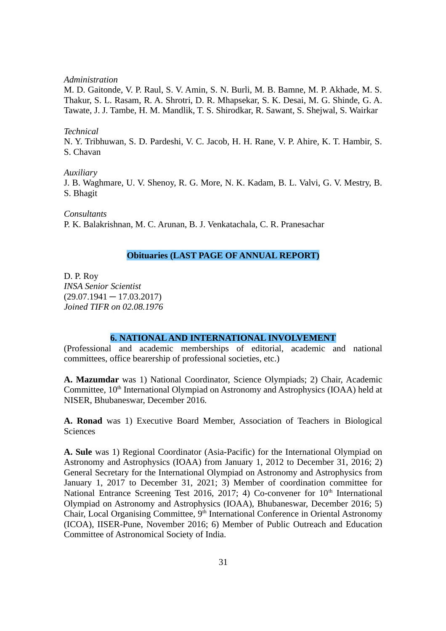*Administration*

M. D. Gaitonde, V. P. Raul, S. V. Amin, S. N. Burli, M. B. Bamne, M. P. Akhade, M. S. Thakur, S. L. Rasam, R. A. Shrotri, D. R. Mhapsekar, S. K. Desai, M. G. Shinde, G. A. Tawate, J. J. Tambe, H. M. Mandlik, T. S. Shirodkar, R. Sawant, S. Shejwal, S. Wairkar

#### *Technical*

N. Y. Tribhuwan, S. D. Pardeshi, V. C. Jacob, H. H. Rane, V. P. Ahire, K. T. Hambir, S. S. Chavan

#### *Auxiliary*

J. B. Waghmare, U. V. Shenoy, R. G. More, N. K. Kadam, B. L. Valvi, G. V. Mestry, B. S. Bhagit

*Consultants* P. K. Balakrishnan, M. C. Arunan, B. J. Venkatachala, C. R. Pranesachar

# **Obituaries (LAST PAGE OF ANNUAL REPORT)**

D. P. Roy *INSA Senior Scientist*  $(29.07.1941 - 17.03.2017)$ *Joined TIFR on 02.08.1976*

### **6. NATIONAL AND INTERNATIONAL INVOLVEMENT**

(Professional and academic memberships of editorial, academic and national committees, office bearership of professional societies, etc.)

**A. Mazumdar** was 1) National Coordinator, Science Olympiads; 2) Chair, Academic Committee, 10<sup>th</sup> International Olympiad on Astronomy and Astrophysics (IOAA) held at NISER, Bhubaneswar, December 2016.

**A. Ronad** was 1) Executive Board Member, Association of Teachers in Biological **Sciences** 

**A. Sule** was 1) Regional Coordinator (Asia-Pacific) for the International Olympiad on Astronomy and Astrophysics (IOAA) from January 1, 2012 to December 31, 2016; 2) General Secretary for the International Olympiad on Astronomy and Astrophysics from January 1, 2017 to December 31, 2021; 3) Member of coordination committee for National Entrance Screening Test 2016, 2017; 4) Co-convener for  $10<sup>th</sup>$  International Olympiad on Astronomy and Astrophysics (IOAA), Bhubaneswar, December 2016; 5) Chair, Local Organising Committee,  $9<sup>th</sup>$  International Conference in Oriental Astronomy (ICOA), IISER-Pune, November 2016; 6) Member of Public Outreach and Education Committee of Astronomical Society of India.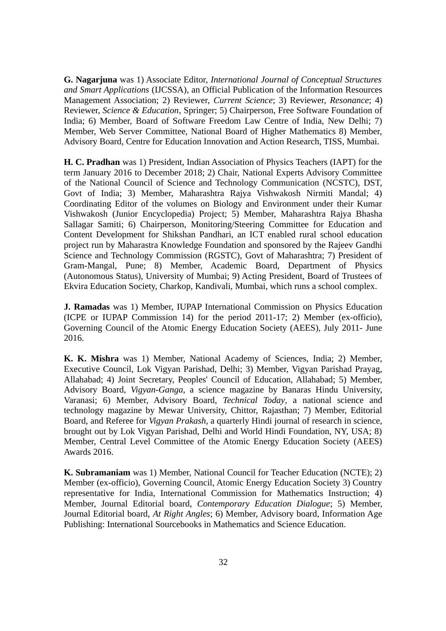**G. Nagarjuna** was 1) Associate Editor, *International Journal of Conceptual Structures and Smart Applications* (IJCSSA), an Official Publication of the Information Resources Management Association; 2) Reviewer, *Current Science*; 3) Reviewer, *Resonance*; 4) Reviewer, *Science & Education*, Springer; 5) Chairperson, Free Software Foundation of India; 6) Member, Board of Software Freedom Law Centre of India, New Delhi; 7) Member, Web Server Committee, National Board of Higher Mathematics 8) Member, Advisory Board, Centre for Education Innovation and Action Research, TISS, Mumbai.

**H. C. Pradhan** was 1) President, Indian Association of Physics Teachers (IAPT) for the term January 2016 to December 2018; 2) Chair, National Experts Advisory Committee of the National Council of Science and Technology Communication (NCSTC), DST, Govt of India; 3) Member, Maharashtra Rajya Vishwakosh Nirmiti Mandal; 4) Coordinating Editor of the volumes on Biology and Environment under their Kumar Vishwakosh (Junior Encyclopedia) Project; 5) Member, Maharashtra Rajya Bhasha Sallagar Samiti; 6) Chairperson, Monitoring/Steering Committee for Education and Content Development for Shikshan Pandhari, an ICT enabled rural school education project run by Maharastra Knowledge Foundation and sponsored by the Rajeev Gandhi Science and Technology Commission (RGSTC), Govt of Maharashtra; 7) President of Gram-Mangal, Pune; 8) Member, Academic Board, Department of Physics (Autonomous Status), University of Mumbai; 9) Acting President, Board of Trustees of Ekvira Education Society, Charkop, Kandivali, Mumbai, which runs a school complex.

**J. Ramadas** was 1) Member, IUPAP International Commission on Physics Education (ICPE or IUPAP Commission 14) for the period 2011-17; 2) Member (ex-officio), Governing Council of the Atomic Energy Education Society (AEES), July 2011- June 2016.

**K. K. Mishra** was 1) Member, National Academy of Sciences, India; 2) Member, Executive Council, Lok Vigyan Parishad, Delhi; 3) Member, Vigyan Parishad Prayag, Allahabad; 4) Joint Secretary, Peoples' Council of Education, Allahabad; 5) Member, Advisory Board, *Vigyan-Ganga*, a science magazine by Banaras Hindu University, Varanasi; 6) Member, Advisory Board, *Technical Today*, a national science and technology magazine by Mewar University, Chittor, Rajasthan; 7) Member, Editorial Board, and Referee for *Vigyan Prakash*, a quarterly Hindi journal of research in science, brought out by Lok Vigyan Parishad, Delhi and World Hindi Foundation, NY, USA; 8) Member, Central Level Committee of the Atomic Energy Education Society (AEES) Awards 2016.

**K. Subramaniam** was 1) Member, National Council for Teacher Education (NCTE); 2) Member (ex-officio), Governing Council, Atomic Energy Education Society 3) Country representative for India, International Commission for Mathematics Instruction; 4) Member, Journal Editorial board, *Contemporary Education Dialogue*; 5) Member, Journal Editorial board, *At Right Angles*; 6) Member, Advisory board, Information Age Publishing: International Sourcebooks in Mathematics and Science Education.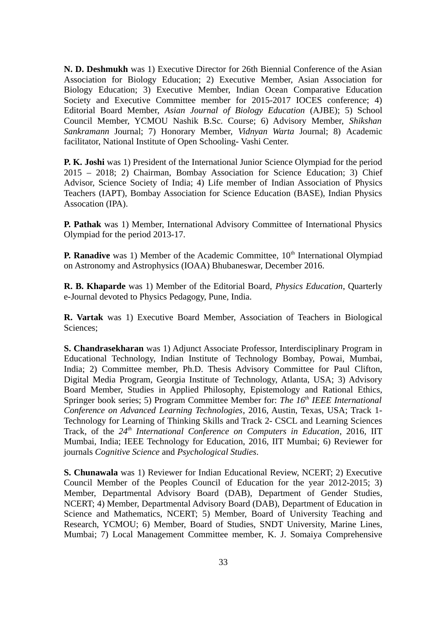**N. D. Deshmukh** was 1) Executive Director for 26th Biennial Conference of the Asian Association for Biology Education; 2) Executive Member, Asian Association for Biology Education; 3) Executive Member, Indian Ocean Comparative Education Society and Executive Committee member for 2015-2017 IOCES conference; 4) Editorial Board Member, *Asian Journal of Biology Education* (AJBE); 5) School Council Member, YCMOU Nashik B.Sc. Course; 6) Advisory Member, *Shikshan Sankramann* Journal; 7) Honorary Member, *Vidnyan Warta* Journal; 8) Academic facilitator, National Institute of Open Schooling- Vashi Center.

**P. K. Joshi** was 1) President of the International Junior Science Olympiad for the period 2015 – 2018; 2) Chairman, Bombay Association for Science Education; 3) Chief Advisor, Science Society of India; 4) Life member of Indian Association of Physics Teachers (IAPT), Bombay Association for Science Education (BASE), Indian Physics Assocation (IPA).

**P. Pathak** was 1) Member, International Advisory Committee of International Physics Olympiad for the period 2013-17.

**P. Ranadive** was 1) Member of the Academic Committee, 10<sup>th</sup> International Olympiad on Astronomy and Astrophysics (IOAA) Bhubaneswar, December 2016.

**R. B. Khaparde** was 1) Member of the Editorial Board, *Physics Education*, Quarterly e-Journal devoted to Physics Pedagogy, Pune, India.

**R. Vartak** was 1) Executive Board Member, Association of Teachers in Biological Sciences;

**S. Chandrasekharan** was 1) Adjunct Associate Professor, Interdisciplinary Program in Educational Technology, Indian Institute of Technology Bombay, Powai, Mumbai, India; 2) Committee member, Ph.D. Thesis Advisory Committee for Paul Clifton, Digital Media Program, Georgia Institute of Technology, Atlanta, USA; 3) Advisory Board Member, Studies in Applied Philosophy, Epistemology and Rational Ethics, Springer book series; 5) Program Committee Member for: *The 16th IEEE International Conference on Advanced Learning Technologies*, 2016, Austin, Texas, USA; Track 1- Technology for Learning of Thinking Skills and Track 2- CSCL and Learning Sciences Track, of the *24th International Conference on Computers in Education*, 2016, IIT Mumbai, India; IEEE Technology for Education, 2016, IIT Mumbai; 6) Reviewer for journals *Cognitive Science* and *Psychological Studies*.

**S. Chunawala** was 1) Reviewer for Indian Educational Review, NCERT; 2) Executive Council Member of the Peoples Council of Education for the year 2012-2015; 3) Member, Departmental Advisory Board (DAB), Department of Gender Studies, NCERT; 4) Member, Departmental Advisory Board (DAB), Department of Education in Science and Mathematics, NCERT; 5) Member, Board of University Teaching and Research, YCMOU; 6) Member, Board of Studies, SNDT University, Marine Lines, Mumbai; 7) Local Management Committee member, K. J. Somaiya Comprehensive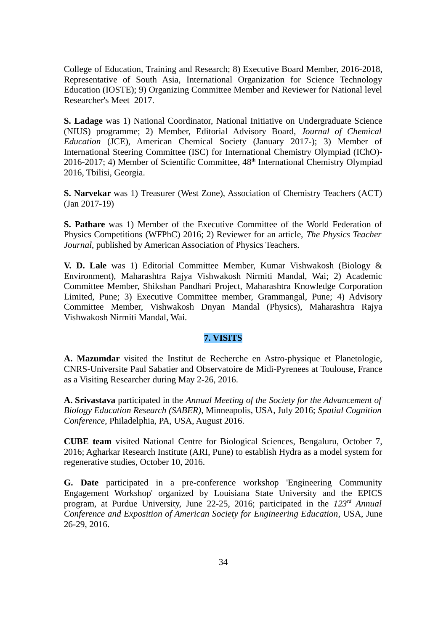College of Education, Training and Research; 8) Executive Board Member, 2016-2018, Representative of South Asia, International Organization for Science Technology Education (IOSTE); 9) Organizing Committee Member and Reviewer for National level Researcher's Meet 2017.

**S. Ladage** was 1) National Coordinator, National Initiative on Undergraduate Science (NIUS) programme; 2) Member, Editorial Advisory Board, *Journal of Chemical Education* (JCE), American Chemical Society (January 2017-); 3) Member of International Steering Committee (ISC) for International Chemistry Olympiad (IChO)- 2016-2017; 4) Member of Scientific Committee, 48<sup>th</sup> International Chemistry Olympiad 2016, Tbilisi, Georgia.

**S. Narvekar** was 1) Treasurer (West Zone), Association of Chemistry Teachers (ACT) (Jan 2017-19)

**S. Pathare** was 1) Member of the Executive Committee of the World Federation of Physics Competitions (WFPhC) 2016; 2) Reviewer for an article, *The Physics Teacher Journal*, published by American Association of Physics Teachers.

**V. D. Lale** was 1) Editorial Committee Member, Kumar Vishwakosh (Biology & Environment), Maharashtra Rajya Vishwakosh Nirmiti Mandal, Wai; 2) Academic Committee Member, Shikshan Pandhari Project, Maharashtra Knowledge Corporation Limited, Pune; 3) Executive Committee member, Grammangal, Pune; 4) Advisory Committee Member, Vishwakosh Dnyan Mandal (Physics), Maharashtra Rajya Vishwakosh Nirmiti Mandal, Wai.

# **7. VISITS**

**A. Mazumdar** visited the Institut de Recherche en Astro-physique et Planetologie, CNRS-Universite Paul Sabatier and Observatoire de Midi-Pyrenees at Toulouse, France as a Visiting Researcher during May 2-26, 2016.

**A. Srivastava** participated in the *Annual Meeting of the Society for the Advancement of Biology Education Research (SABER)*, Minneapolis, USA, July 2016; *Spatial Cognition Conference*, Philadelphia, PA, USA, August 2016.

**CUBE team** visited National Centre for Biological Sciences, Bengaluru, October 7, 2016; Agharkar Research Institute (ARI, Pune) to establish Hydra as a model system for regenerative studies, October 10, 2016.

**G. Date** participated in a pre-conference workshop 'Engineering Community Engagement Workshop' organized by Louisiana State University and the EPICS program, at Purdue University, June 22-25, 2016; participated in the *123rd Annual Conference and Exposition of American Society for Engineering Education*, USA, June 26-29, 2016.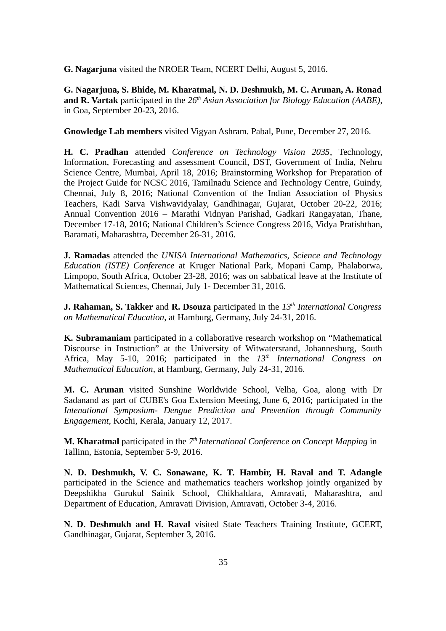**G. Nagarjuna** visited the NROER Team, NCERT Delhi, August 5, 2016.

**G. Nagarjuna, S. Bhide, M. Kharatmal, N. D. Deshmukh, M. C. Arunan, A. Ronad and R. Vartak** participated in the *26th Asian Association for Biology Education (AABE)*, in Goa, September 20-23, 2016.

**Gnowledge Lab members** visited Vigyan Ashram. Pabal, Pune, December 27, 2016.

**H. C. Pradhan** attended *Conference on Technology Vision 2035*, Technology, Information, Forecasting and assessment Council, DST, Government of India, Nehru Science Centre, Mumbai, April 18, 2016; Brainstorming Workshop for Preparation of the Project Guide for NCSC 2016, Tamilnadu Science and Technology Centre, Guindy, Chennai, July 8, 2016; National Convention of the Indian Association of Physics Teachers, Kadi Sarva Vishwavidyalay, Gandhinagar, Gujarat, October 20-22, 2016; Annual Convention 2016 – Marathi Vidnyan Parishad, Gadkari Rangayatan, Thane, December 17-18, 2016; National Children's Science Congress 2016, Vidya Pratishthan, Baramati, Maharashtra, December 26-31, 2016.

**J. Ramadas** attended the *UNISA International Mathematics, Science and Technology Education (ISTE) Conference* at Kruger National Park, Mopani Camp, Phalaborwa, Limpopo, South Africa, October 23-28, 2016; was on sabbatical leave at the Institute of Mathematical Sciences, Chennai, July 1- December 31, 2016.

**J. Rahaman, S. Takker** and **R. Dsouza** participated in the *13th International Congress on Mathematical Education*, at Hamburg, Germany, July 24-31, 2016.

**K. Subramaniam** participated in a collaborative research workshop on "Mathematical Discourse in Instruction" at the University of Witwatersrand, Johannesburg, South Africa, May 5-10, 2016; participated in the *13th International Congress on Mathematical Education*, at Hamburg, Germany, July 24-31, 2016.

**M. C. Arunan** visited Sunshine Worldwide School, Velha, Goa, along with Dr Sadanand as part of CUBE's Goa Extension Meeting, June 6, 2016; participated in the *Intenational Symposium- Dengue Prediction and Prevention through Community Engagement,* Kochi, Kerala, January 12, 2017.

**M. Kharatmal** participated in the *7th International Conference on Concept Mapping* in Tallinn, Estonia, September 5-9, 2016.

**N. D. Deshmukh, V. C. Sonawane, K. T. Hambir, H. Raval and T. Adangle** participated in the Science and mathematics teachers workshop jointly organized by Deepshikha Gurukul Sainik School, Chikhaldara, Amravati, Maharashtra, and Department of Education, Amravati Division, Amravati, October 3-4, 2016.

**N. D. Deshmukh and H. Raval** visited State Teachers Training Institute, GCERT, Gandhinagar, Gujarat, September 3, 2016.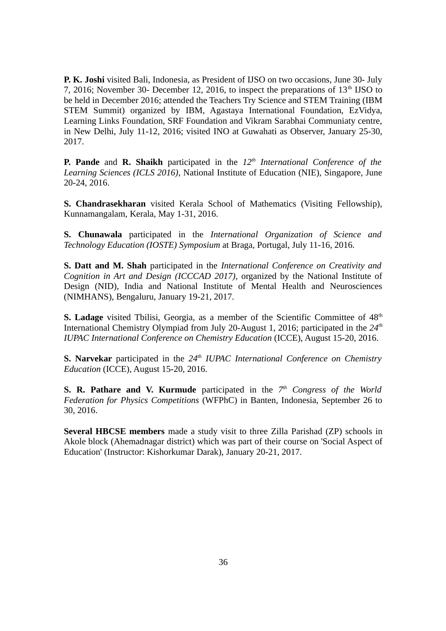**P. K. Joshi** visited Bali, Indonesia, as President of IJSO on two occasions, June 30- July 7, 2016; November 30- December 12, 2016, to inspect the preparations of  $13<sup>th</sup>$  IJSO to be held in December 2016; attended the Teachers Try Science and STEM Training (IBM STEM Summit) organized by IBM, Agastaya International Foundation, EzVidya, Learning Links Foundation, SRF Foundation and Vikram Sarabhai Communiaty centre, in New Delhi, July 11-12, 2016; visited INO at Guwahati as Observer, January 25-30, 2017.

**P. Pande** and **R. Shaikh** participated in the *12th International Conference of the Learning Sciences (ICLS 2016)*, National Institute of Education (NIE), Singapore, June 20-24, 2016.

**S. Chandrasekharan** visited Kerala School of Mathematics (Visiting Fellowship), Kunnamangalam, Kerala, May 1-31, 2016.

**S. Chunawala** participated in the *International Organization of Science and Technology Education (IOSTE) Symposium* at Braga, Portugal, July 11-16, 2016.

**S. Datt and M. Shah** participated in the *International Conference on Creativity and Cognition in Art and Design (ICCCAD 2017),* organized by the National Institute of Design (NID), India and National Institute of Mental Health and Neurosciences (NIMHANS), Bengaluru, January 19-21, 2017.

**S. Ladage** visited Tbilisi, Georgia, as a member of the Scientific Committee of 48<sup>th</sup> International Chemistry Olympiad from July 20-August 1, 2016; participated in the *24th IUPAC International Conference on Chemistry Education* (ICCE), August 15-20, 2016.

**S. Narvekar** participated in the *24th IUPAC International Conference on Chemistry Education* (ICCE), August 15-20, 2016.

**S. R. Pathare and V. Kurmude** participated in the  $7<sup>th</sup>$  Congress of the World *Federation for Physics Competitions* (WFPhC) in Banten, Indonesia, September 26 to 30, 2016.

**Several HBCSE members** made a study visit to three Zilla Parishad (ZP) schools in Akole block (Ahemadnagar district) which was part of their course on 'Social Aspect of Education' (Instructor: Kishorkumar Darak), January 20-21, 2017.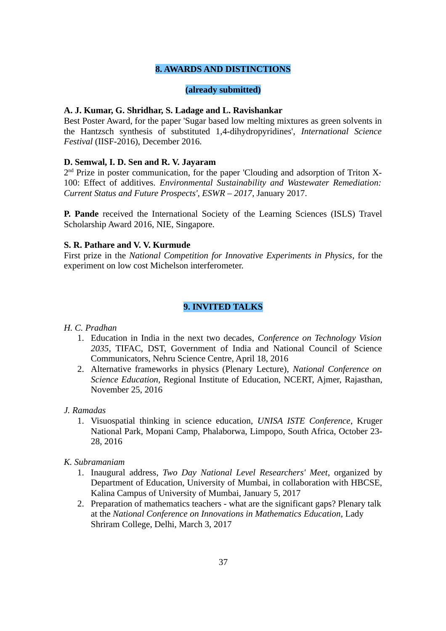# **8. AWARDS AND DISTINCTIONS**

# **(already submitted)**

# **A. J. Kumar, G. Shridhar, S. Ladage and L. Ravishankar**

Best Poster Award, for the paper 'Sugar based low melting mixtures as green solvents in the Hantzsch synthesis of substituted 1,4-dihydropyridines', *International Science Festival* (IISF-2016), December 2016.

### **D. Semwal, I. D. Sen and R. V. Jayaram**

2<sup>nd</sup> Prize in poster communication, for the paper 'Clouding and adsorption of Triton X-100: Effect of additives. *Environmental Sustainability and Wastewater Remediation: Current Status and Future Prospects', ESWR – 2017*, January 2017.

**P. Pande** received the International Society of the Learning Sciences (ISLS) Travel Scholarship Award 2016, NIE, Singapore.

### **S. R. Pathare and V. V. Kurmude**

First prize in the *National Competition for Innovative Experiments in Physics*, for the experiment on low cost Michelson interferometer.

# **9. INVITED TALKS**

### *H. C. Pradhan*

- 1. Education in India in the next two decades, *Conference on Technology Vision 2035*, TIFAC, DST, Government of India and National Council of Science Communicators, Nehru Science Centre, April 18, 2016
- 2. Alternative frameworks in physics (Plenary Lecture), *National Conference on Science Education*, Regional Institute of Education, NCERT, Ajmer, Rajasthan, November 25, 2016

#### *J. Ramadas*

1. Visuospatial thinking in science education, *UNISA ISTE Conference*, Kruger National Park, Mopani Camp, Phalaborwa, Limpopo, South Africa, October 23- 28, 2016

# *K. Subramaniam*

- 1. Inaugural address, *Two Day National Level Researchers' Meet*, organized by Department of Education, University of Mumbai, in collaboration with HBCSE, Kalina Campus of University of Mumbai, January 5, 2017
- 2. Preparation of mathematics teachers what are the significant gaps? Plenary talk at the *National Conference on Innovations in Mathematics Education*, Lady Shriram College, Delhi, March 3, 2017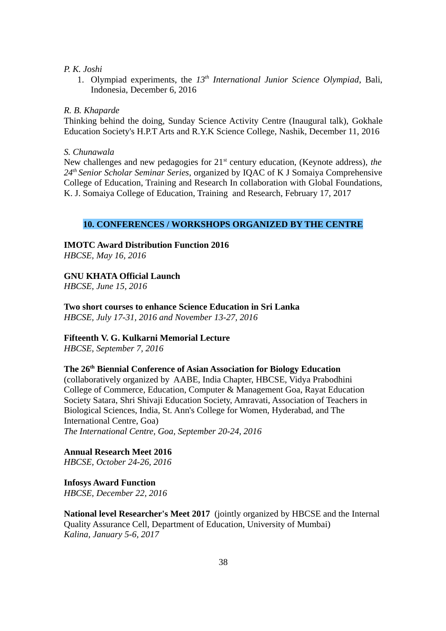### *P. K. Joshi*

1. Olympiad experiments, the *13th International Junior Science Olympiad*, Bali, Indonesia, December 6, 2016

### *R. B. Khaparde*

Thinking behind the doing, Sunday Science Activity Centre (Inaugural talk), Gokhale Education Society's H.P.T Arts and R.Y.K Science College, Nashik, December 11, 2016

#### *S. Chunawala*

New challenges and new pedagogies for 21st century education, (Keynote address), *the 24th Senior Scholar Seminar Series*, organized by IQAC of K J Somaiya Comprehensive College of Education, Training and Research In collaboration with Global Foundations, K. J. Somaiya College of Education, Training and Research, February 17, 2017

### **10. CONFERENCES / WORKSHOPS ORGANIZED BY THE CENTRE**

**IMOTC Award Distribution Function 2016**

*HBCSE, May 16, 2016*

# **GNU KHATA Official Launch**

*HBCSE, June 15, 2016* 

**Two short courses to enhance Science Education in Sri Lanka**  *HBCSE, July 17-31, 2016 and November 13-27, 2016*

### **Fifteenth V. G. Kulkarni Memorial Lecture**

*HBCSE, September 7, 2016*

### **The 26th Biennial Conference of Asian Association for Biology Education**

(collaboratively organized by AABE, India Chapter, HBCSE, Vidya Prabodhini College of Commerce, Education, Computer & Management Goa, Rayat Education Society Satara, Shri Shivaji Education Society, Amravati, Association of Teachers in Biological Sciences, India, St. Ann's College for Women, Hyderabad, and The International Centre, Goa)

*The International Centre, Goa, September 20-24, 2016*

### **Annual Research Meet 2016**

*HBCSE, October 24-26, 2016*

**Infosys Award Function** *HBCSE, December 22, 2016*

**National level Researcher's Meet 2017** (jointly organized by HBCSE and the Internal Quality Assurance Cell, Department of Education, University of Mumbai) *Kalina, January 5-6, 2017*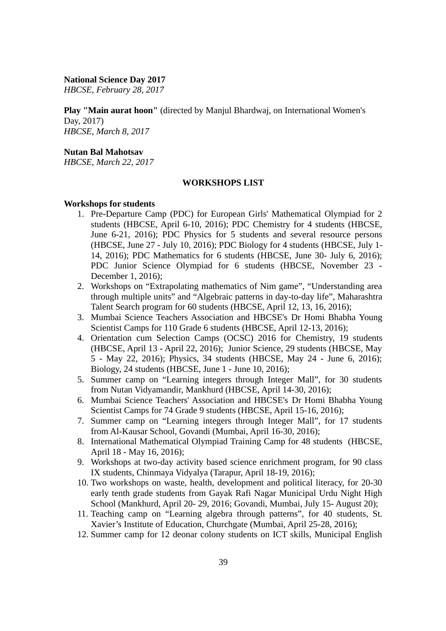**National Science Day 2017**

*HBCSE, February 28, 2017*

**Play "Main aurat hoon"** (directed by Manjul Bhardwaj, on International Women's Day, 2017) *HBCSE, March 8, 2017*

# **Nutan Bal Mahotsav**

*HBCSE, March 22, 2017* 

#### **WORKSHOPS LIST**

#### **Workshops for students**

- 1. Pre-Departure Camp (PDC) for European Girls' Mathematical Olympiad for 2 students (HBCSE, April 6-10, 2016); PDC Chemistry for 4 students (HBCSE, June 6-21, 2016); PDC Physics for 5 students and several resource persons (HBCSE, June 27 - July 10, 2016); PDC Biology for 4 students (HBCSE, July 1- 14, 2016); PDC Mathematics for 6 students (HBCSE, June 30- July 6, 2016); PDC Junior Science Olympiad for 6 students (HBCSE, November 23 - December 1, 2016);
- 2. Workshops on "Extrapolating mathematics of Nim game", "Understanding area through multiple units" and "Algebraic patterns in day-to-day life", Maharashtra Talent Search program for 60 students (HBCSE, April 12, 13, 16, 2016);
- 3. Mumbai Science Teachers Association and HBCSE's Dr Homi Bhabha Young Scientist Camps for 110 Grade 6 students (HBCSE, April 12-13, 2016);
- 4. Orientation cum Selection Camps (OCSC) 2016 for Chemistry, 19 students (HBCSE, April 13 - April 22, 2016); Junior Science, 29 students (HBCSE, May 5 - May 22, 2016); Physics, 34 students (HBCSE, May 24 - June 6, 2016); Biology, 24 students (HBCSE, June 1 - June 10, 2016);
- 5. Summer camp on "Learning integers through Integer Mall", for 30 students from Nutan Vidyamandir, Mankhurd (HBCSE, April 14-30, 2016);
- 6. Mumbai Science Teachers' Association and HBCSE's Dr Homi Bhabha Young Scientist Camps for 74 Grade 9 students (HBCSE, April 15-16, 2016);
- 7. Summer camp on "Learning integers through Integer Mall", for 17 students from Al-Kausar School, Govandi (Mumbai, April 16-30, 2016);
- 8. International Mathematical Olympiad Training Camp for 48 students (HBCSE, April 18 - May 16, 2016);
- 9. Workshops at two-day activity based science enrichment program, for 90 class IX students, Chinmaya Vidyalya (Tarapur, April 18-19, 2016);
- 10. Two workshops on waste, health, development and political literacy, for 20-30 early tenth grade students from Gayak Rafi Nagar Municipal Urdu Night High School (Mankhurd, April 20- 29, 2016; Govandi, Mumbai, July 15- August 20);
- 11. Teaching camp on "Learning algebra through patterns", for 40 students, St. Xavier's Institute of Education, Churchgate (Mumbai, April 25-28, 2016);
- 12. Summer camp for 12 deonar colony students on ICT skills, Municipal English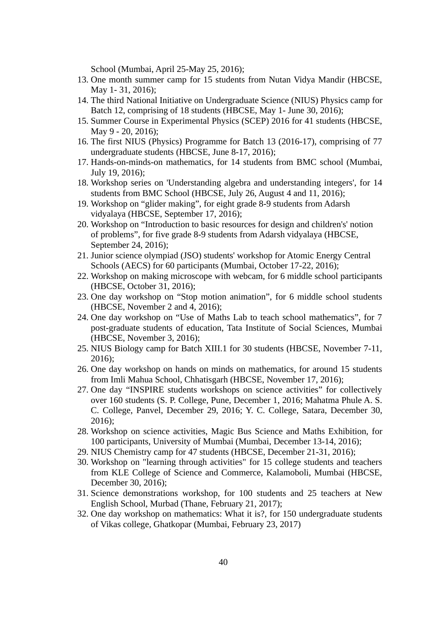School (Mumbai, April 25-May 25, 2016);

- 13. One month summer camp for 15 students from Nutan Vidya Mandir (HBCSE, May 1- 31, 2016);
- 14. The third National Initiative on Undergraduate Science (NIUS) Physics camp for Batch 12, comprising of 18 students (HBCSE, May 1- June 30, 2016);
- 15. Summer Course in Experimental Physics (SCEP) 2016 for 41 students (HBCSE, May 9 - 20, 2016);
- 16. The first NIUS (Physics) Programme for Batch 13 (2016-17), comprising of 77 undergraduate students (HBCSE, June 8-17, 2016);
- 17. Hands-on-minds-on mathematics, for 14 students from BMC school (Mumbai, July 19, 2016);
- 18. Workshop series on 'Understanding algebra and understanding integers', for 14 students from BMC School (HBCSE, July 26, August 4 and 11, 2016);
- 19. Workshop on "glider making", for eight grade 8-9 students from Adarsh vidyalaya (HBCSE, September 17, 2016);
- 20. Workshop on "Introduction to basic resources for design and children's' notion of problems", for five grade 8-9 students from Adarsh vidyalaya (HBCSE, September 24, 2016);
- 21. Junior science olympiad (JSO) students' workshop for Atomic Energy Central Schools (AECS) for 60 participants (Mumbai, October 17-22, 2016);
- 22. Workshop on making microscope with webcam, for 6 middle school participants (HBCSE, October 31, 2016);
- 23. One day workshop on "Stop motion animation", for 6 middle school students (HBCSE, November 2 and 4, 2016);
- 24. One day workshop on "Use of Maths Lab to teach school mathematics", for 7 post-graduate students of education, Tata Institute of Social Sciences, Mumbai (HBCSE, November 3, 2016);
- 25. NIUS Biology camp for Batch XIII.1 for 30 students (HBCSE, November 7-11, 2016);
- 26. One day workshop on hands on minds on mathematics, for around 15 students from Imli Mahua School, Chhatisgarh (HBCSE, November 17, 2016);
- 27. One day "INSPIRE students workshops on science activities" for collectively over 160 students (S. P. College, Pune, December 1, 2016; Mahatma Phule A. S. C. College, Panvel, December 29, 2016; Y. C. College, Satara, December 30, 2016);
- 28. Workshop on science activities, Magic Bus Science and Maths Exhibition, for 100 participants, University of Mumbai (Mumbai, December 13-14, 2016);
- 29. NIUS Chemistry camp for 47 students (HBCSE, December 21-31, 2016);
- 30. Workshop on "learning through activities" for 15 college students and teachers from KLE College of Science and Commerce, Kalamoboli, Mumbai (HBCSE, December 30, 2016);
- 31. Science demonstrations workshop, for 100 students and 25 teachers at New English School, Murbad (Thane, February 21, 2017);
- 32. One day workshop on mathematics: What it is?, for 150 undergraduate students of Vikas college, Ghatkopar (Mumbai, February 23, 2017)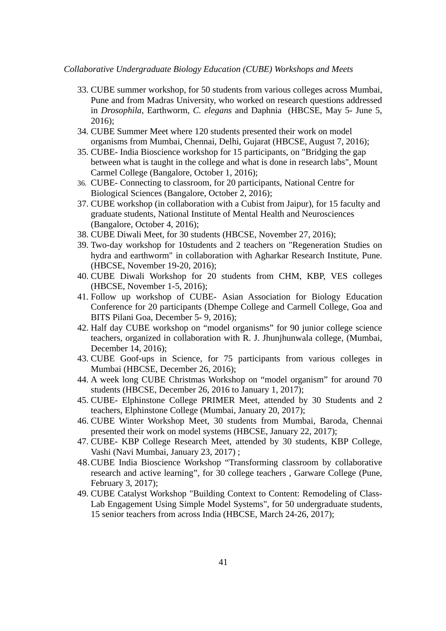### *Collaborative Undergraduate Biology Education (CUBE) Workshops and Meets*

- 33. CUBE summer workshop, for 50 students from various colleges across Mumbai, Pune and from Madras University, who worked on research questions addressed in *Drosophila*, Earthworm, *C. elegans* and Daphnia (HBCSE, May 5- June 5, 2016);
- 34. CUBE Summer Meet where 120 students presented their work on model organisms from Mumbai, Chennai, Delhi, Gujarat (HBCSE, August 7, 2016);
- 35. CUBE- India Bioscience workshop for 15 participants, on "Bridging the gap between what is taught in the college and what is done in research labs", Mount Carmel College (Bangalore, October 1, 2016);
- 36. CUBE- Connecting to classroom, for 20 participants, National Centre for Biological Sciences (Bangalore, October 2, 2016);
- 37. CUBE workshop (in collaboration with a Cubist from Jaipur), for 15 faculty and graduate students, National Institute of Mental Health and Neurosciences (Bangalore, October 4, 2016);
- 38. CUBE Diwali Meet, for 30 students (HBCSE, November 27, 2016);
- 39. Two-day workshop for 10students and 2 teachers on "Regeneration Studies on hydra and earthworm" in collaboration with Agharkar Research Institute, Pune. (HBCSE, November 19-20, 2016);
- 40. CUBE Diwali Workshop for 20 students from CHM, KBP, VES colleges (HBCSE, November 1-5, 2016);
- 41. Follow up workshop of CUBE- Asian Association for Biology Education Conference for 20 participants (Dhempe College and Carmell College, Goa and BITS Pilani Goa, December 5- 9, 2016);
- 42. Half day CUBE workshop on "model organisms" for 90 junior college science teachers, organized in collaboration with R. J. Jhunjhunwala college, (Mumbai, December 14, 2016);
- 43. CUBE Goof-ups in Science, for 75 participants from various colleges in Mumbai (HBCSE, December 26, 2016);
- 44. A week long CUBE Christmas Workshop on "model organism" for around 70 students (HBCSE, December 26, 2016 to January 1, 2017);
- 45. CUBE- Elphinstone College PRIMER Meet, attended by 30 Students and 2 teachers, Elphinstone College (Mumbai, January 20, 2017);
- 46. CUBE Winter Workshop Meet, 30 students from Mumbai, Baroda, Chennai presented their work on model systems (HBCSE, January 22, 2017);
- 47. CUBE- KBP College Research Meet, attended by 30 students, KBP College, Vashi (Navi Mumbai, January 23, 2017) ;
- 48.CUBE India Bioscience Workshop "Transforming classroom by collaborative research and active learning", for 30 college teachers , Garware College (Pune, February 3, 2017);
- 49. CUBE Catalyst Workshop "Building Context to Content: Remodeling of Class-Lab Engagement Using Simple Model Systems", for 50 undergraduate students, 15 senior teachers from across India (HBCSE, March 24-26, 2017);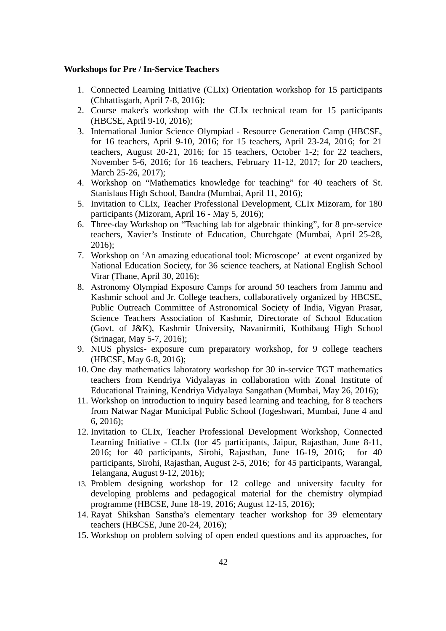#### **Workshops for Pre / In-Service Teachers**

- 1. Connected Learning Initiative (CLIx) Orientation workshop for 15 participants (Chhattisgarh, April 7-8, 2016);
- 2. Course maker's workshop with the CLIx technical team for 15 participants (HBCSE, April 9-10, 2016);
- 3. International Junior Science Olympiad Resource Generation Camp (HBCSE, for 16 teachers, April 9-10, 2016; for 15 teachers, April 23-24, 2016; for 21 teachers, August 20-21, 2016; for 15 teachers, October 1-2; for 22 teachers, November 5-6, 2016; for 16 teachers, February 11-12, 2017; for 20 teachers, March 25-26, 2017);
- 4. Workshop on "Mathematics knowledge for teaching" for 40 teachers of St. Stanislaus High School, Bandra (Mumbai, April 11, 2016);
- 5. Invitation to CLIx, Teacher Professional Development, CLIx Mizoram, for 180 participants (Mizoram, April 16 - May 5, 2016);
- 6. Three-day Workshop on "Teaching lab for algebraic thinking", for 8 pre-service teachers, Xavier's Institute of Education, Churchgate (Mumbai, April 25-28, 2016);
- 7. Workshop on 'An amazing educational tool: Microscope' at event organized by National Education Society, for 36 science teachers, at National English School Virar (Thane, April 30, 2016);
- 8. Astronomy Olympiad Exposure Camps for around 50 teachers from Jammu and Kashmir school and Jr. College teachers, collaboratively organized by HBCSE, Public Outreach Committee of Astronomical Society of India, Vigyan Prasar, Science Teachers Association of Kashmir, Directorate of School Education (Govt. of J&K), Kashmir University, Navanirmiti, Kothibaug High School (Srinagar, May 5-7, 2016);
- 9. NIUS physics- exposure cum preparatory workshop, for 9 college teachers (HBCSE, May 6-8, 2016);
- 10. One day mathematics laboratory workshop for 30 in-service TGT mathematics teachers from Kendriya Vidyalayas in collaboration with Zonal Institute of Educational Training, Kendriya Vidyalaya Sangathan (Mumbai, May 26, 2016);
- 11. Workshop on introduction to inquiry based learning and teaching, for 8 teachers from Natwar Nagar Municipal Public School (Jogeshwari, Mumbai, June 4 and 6, 2016);
- 12. Invitation to CLIx, Teacher Professional Development Workshop, Connected Learning Initiative - CLIx (for 45 participants, Jaipur, Rajasthan, June 8-11, 2016; for 40 participants, Sirohi, Rajasthan, June 16-19, 2016; for 40 participants, Sirohi, Rajasthan, August 2-5, 2016; for 45 participants, Warangal, Telangana, August 9-12, 2016);
- 13. Problem designing workshop for 12 college and university faculty for developing problems and pedagogical material for the chemistry olympiad programme (HBCSE, June 18-19, 2016; August 12-15, 2016);
- 14. Rayat Shikshan Sanstha's elementary teacher workshop for 39 elementary teachers (HBCSE, June 20-24, 2016);
- 15. Workshop on problem solving of open ended questions and its approaches, for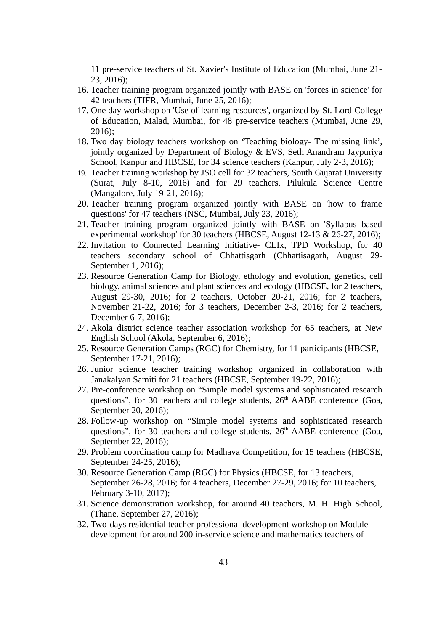11 pre-service teachers of St. Xavier's Institute of Education (Mumbai, June 21- 23, 2016);

- 16. Teacher training program organized jointly with BASE on 'forces in science' for 42 teachers (TIFR, Mumbai, June 25, 2016);
- 17. One day workshop on 'Use of learning resources', organized by St. Lord College of Education, Malad, Mumbai, for 48 pre-service teachers (Mumbai, June 29, 2016);
- 18. Two day biology teachers workshop on 'Teaching biology- The missing link', jointly organized by Department of Biology & EVS, Seth Anandram Jaypuriya School, Kanpur and HBCSE, for 34 science teachers (Kanpur, July 2-3, 2016);
- 19. Teacher training workshop by JSO cell for 32 teachers, South Gujarat University (Surat, July 8-10, 2016) and for 29 teachers, Pilukula Science Centre (Mangalore, July 19-21, 2016);
- 20. Teacher training program organized jointly with BASE on 'how to frame questions' for 47 teachers (NSC, Mumbai, July 23, 2016);
- 21. Teacher training program organized jointly with BASE on 'Syllabus based experimental workshop' for 30 teachers (HBCSE, August 12-13 & 26-27, 2016);
- 22. Invitation to Connected Learning Initiative- CLIx, TPD Workshop, for 40 teachers secondary school of Chhattisgarh (Chhattisagarh, August 29- September 1, 2016);
- 23. Resource Generation Camp for Biology, ethology and evolution, genetics, cell biology, animal sciences and plant sciences and ecology (HBCSE, for 2 teachers, August 29-30, 2016; for 2 teachers, October 20-21, 2016; for 2 teachers, November 21-22, 2016; for 3 teachers, December 2-3, 2016; for 2 teachers, December 6-7, 2016);
- 24. Akola district science teacher association workshop for 65 teachers, at New English School (Akola, September 6, 2016);
- 25. Resource Generation Camps (RGC) for Chemistry, for 11 participants (HBCSE, September 17-21, 2016);
- 26. Junior science teacher training workshop organized in collaboration with Janakalyan Samiti for 21 teachers (HBCSE, September 19-22, 2016);
- 27. Pre-conference workshop on "Simple model systems and sophisticated research questions", for 30 teachers and college students,  $26<sup>th</sup>$  AABE conference (Goa, September 20, 2016);
- 28. Follow-up workshop on "Simple model systems and sophisticated research questions", for 30 teachers and college students,  $26<sup>th</sup>$  AABE conference (Goa, September 22, 2016);
- 29. Problem coordination camp for Madhava Competition, for 15 teachers (HBCSE, September 24-25, 2016);
- 30. Resource Generation Camp (RGC) for Physics (HBCSE, for 13 teachers, September 26-28, 2016; for 4 teachers, December 27-29, 2016; for 10 teachers, February 3-10, 2017);
- 31. Science demonstration workshop, for around 40 teachers, M. H. High School, (Thane, September 27, 2016);
- 32. Two-days residential teacher professional development workshop on Module development for around 200 in-service science and mathematics teachers of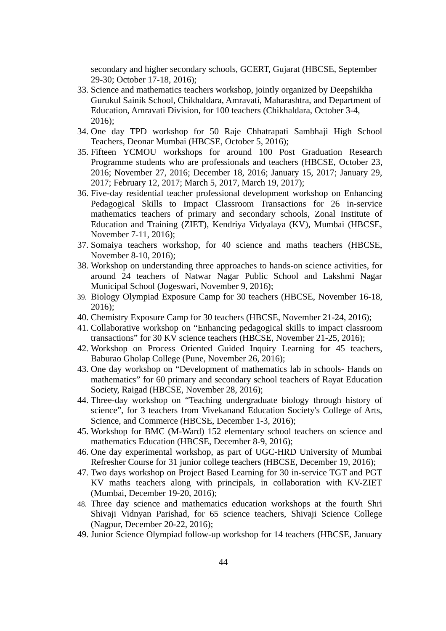secondary and higher secondary schools, GCERT, Gujarat (HBCSE, September 29-30; October 17-18, 2016);

- 33. Science and mathematics teachers workshop, jointly organized by Deepshikha Gurukul Sainik School, Chikhaldara, Amravati, Maharashtra, and Department of Education, Amravati Division, for 100 teachers (Chikhaldara, October 3-4, 2016);
- 34. One day TPD workshop for 50 Raje Chhatrapati Sambhaji High School Teachers, Deonar Mumbai (HBCSE, October 5, 2016);
- 35. Fifteen YCMOU workshops for around 100 Post Graduation Research Programme students who are professionals and teachers (HBCSE, October 23, 2016; November 27, 2016; December 18, 2016; January 15, 2017; January 29, 2017; February 12, 2017; March 5, 2017, March 19, 2017);
- 36. Five-day residential teacher professional development workshop on Enhancing Pedagogical Skills to Impact Classroom Transactions for 26 in-service mathematics teachers of primary and secondary schools, Zonal Institute of Education and Training (ZIET), Kendriya Vidyalaya (KV), Mumbai (HBCSE, November 7-11, 2016);
- 37. Somaiya teachers workshop, for 40 science and maths teachers (HBCSE, November 8-10, 2016);
- 38. Workshop on understanding three approaches to hands-on science activities, for around 24 teachers of Natwar Nagar Public School and Lakshmi Nagar Municipal School (Jogeswari, November 9, 2016);
- 39. Biology Olympiad Exposure Camp for 30 teachers (HBCSE, November 16-18, 2016);
- 40. Chemistry Exposure Camp for 30 teachers (HBCSE, November 21-24, 2016);
- 41. Collaborative workshop on "Enhancing pedagogical skills to impact classroom transactions" for 30 KV science teachers (HBCSE, November 21-25, 2016);
- 42. Workshop on Process Oriented Guided Inquiry Learning for 45 teachers, Baburao Gholap College (Pune, November 26, 2016);
- 43. One day workshop on "Development of mathematics lab in schools- Hands on mathematics" for 60 primary and secondary school teachers of Rayat Education Society, Raigad (HBCSE, November 28, 2016);
- 44. Three-day workshop on "Teaching undergraduate biology through history of science", for 3 teachers from Vivekanand Education Society's College of Arts, Science, and Commerce (HBCSE, December 1-3, 2016);
- 45. Workshop for BMC (M-Ward) 152 elementary school teachers on science and mathematics Education (HBCSE, December 8-9, 2016);
- 46. One day experimental workshop, as part of UGC-HRD University of Mumbai Refresher Course for 31 junior college teachers (HBCSE, December 19, 2016);
- 47. Two days workshop on Project Based Learning for 30 in-service TGT and PGT KV maths teachers along with principals, in collaboration with KV-ZIET (Mumbai, December 19-20, 2016);
- 48. Three day science and mathematics education workshops at the fourth Shri Shivaji Vidnyan Parishad, for 65 science teachers, Shivaji Science College (Nagpur, December 20-22, 2016);
- 49. Junior Science Olympiad follow-up workshop for 14 teachers (HBCSE, January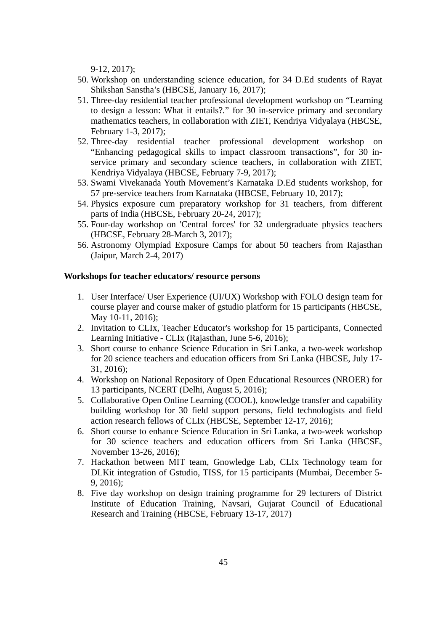9-12, 2017);

- 50. Workshop on understanding science education, for 34 D.Ed students of Rayat Shikshan Sanstha's (HBCSE, January 16, 2017);
- 51. Three-day residential teacher professional development workshop on "Learning to design a lesson: What it entails?." for 30 in-service primary and secondary mathematics teachers, in collaboration with ZIET, Kendriya Vidyalaya (HBCSE, February 1-3, 2017);
- 52. Three-day residential teacher professional development workshop on "Enhancing pedagogical skills to impact classroom transactions", for 30 inservice primary and secondary science teachers, in collaboration with ZIET, Kendriya Vidyalaya (HBCSE, February 7-9, 2017);
- 53. Swami Vivekanada Youth Movement's Karnataka D.Ed students workshop, for 57 pre-service teachers from Karnataka (HBCSE, February 10, 2017);
- 54. Physics exposure cum preparatory workshop for 31 teachers, from different parts of India (HBCSE, February 20-24, 2017);
- 55. Four-day workshop on 'Central forces' for 32 undergraduate physics teachers (HBCSE, February 28-March 3, 2017);
- 56. Astronomy Olympiad Exposure Camps for about 50 teachers from Rajasthan (Jaipur, March 2-4, 2017)

# **Workshops for teacher educators/ resource persons**

- 1. User Interface/ User Experience (UI/UX) Workshop with FOLO design team for course player and course maker of gstudio platform for 15 participants (HBCSE, May 10-11, 2016);
- 2. Invitation to CLIx, Teacher Educator's workshop for 15 participants, Connected Learning Initiative - CLIx (Rajasthan, June 5-6, 2016);
- 3. Short course to enhance Science Education in Sri Lanka, a two-week workshop for 20 science teachers and education officers from Sri Lanka (HBCSE, July 17- 31, 2016);
- 4. Workshop on National Repository of Open Educational Resources (NROER) for 13 participants, NCERT (Delhi, August 5, 2016);
- 5. Collaborative Open Online Learning (COOL), knowledge transfer and capability building workshop for 30 field support persons, field technologists and field action research fellows of CLIx (HBCSE, September 12-17, 2016);
- 6. Short course to enhance Science Education in Sri Lanka, a two-week workshop for 30 science teachers and education officers from Sri Lanka (HBCSE, November 13-26, 2016);
- 7. Hackathon between MIT team, Gnowledge Lab, CLIx Technology team for DLKit integration of Gstudio, TISS, for 15 participants (Mumbai, December 5- 9, 2016);
- 8. Five day workshop on design training programme for 29 lecturers of District Institute of Education Training, Navsari, Gujarat Council of Educational Research and Training (HBCSE, February 13-17, 2017)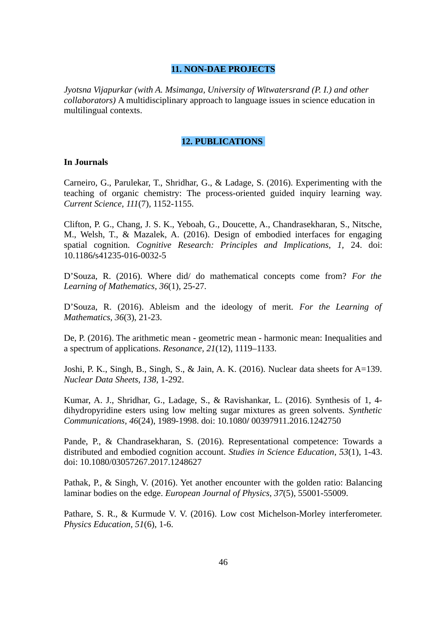# **11. NON-DAE PROJECTS**

*Jyotsna Vijapurkar (with A. Msimanga, University of Witwatersrand (P. I.) and other collaborators)* A multidisciplinary approach to language issues in science education in multilingual contexts.

### **12. PUBLICATIONS**

### **In Journals**

Carneiro, G., Parulekar, T., Shridhar, G., & Ladage, S. (2016). Experimenting with the teaching of organic chemistry: The process-oriented guided inquiry learning way. *Current Science*, *111*(7)*,* 1152-1155.

Clifton, P. G., Chang, J. S. K., Yeboah, G., Doucette, A., Chandrasekharan, S., Nitsche, M., Welsh, T., & Mazalek, A. (2016). Design of embodied interfaces for engaging spatial cognition. *Cognitive Research: Principles and Implications, 1,* 24. doi: 10.1186**/**s41235-016-0032-5

D'Souza, R. (2016). Where did/ do mathematical concepts come from? *For the Learning of Mathematics, 36*(1)*,* 25-27.

D'Souza, R. (2016). Ableism and the ideology of merit. *For the Learning of Mathematics, 36*(3), 21-23.

De, P. (2016). The arithmetic mean - geometric mean - harmonic mean: Inequalities and a spectrum of applications. *Resonance, 21*(12), 1119–1133.

Joshi, P. K., Singh, B., Singh, S., & Jain, A. K. (2016). Nuclear data sheets for A=139. *Nuclear Data Sheets*, *138*, 1-292.

Kumar, A. J., Shridhar, G., Ladage, S., & Ravishankar, L. (2016). Synthesis of 1, 4 dihydropyridine esters using low melting sugar mixtures as green solvents. *Synthetic Communications*, *46*(24), 1989-1998. doi: 10.1080**/** 00397911.2016.1242750

Pande, P., & Chandrasekharan, S. (2016). Representational competence: Towards a distributed and embodied cognition account. *Studies in Science Education*, *53*(1), 1-43. doi: 10.1080/03057267.2017.1248627

Pathak, P., & Singh, V. (2016). Yet another encounter with the golden ratio: Balancing laminar bodies on the edge. *European Journal of Physics, 37*(5), 55001-55009.

Pathare, S. R., & Kurmude V. V. (2016). Low cost Michelson-Morley interferometer. *Physics Education, 51*(6), 1-6.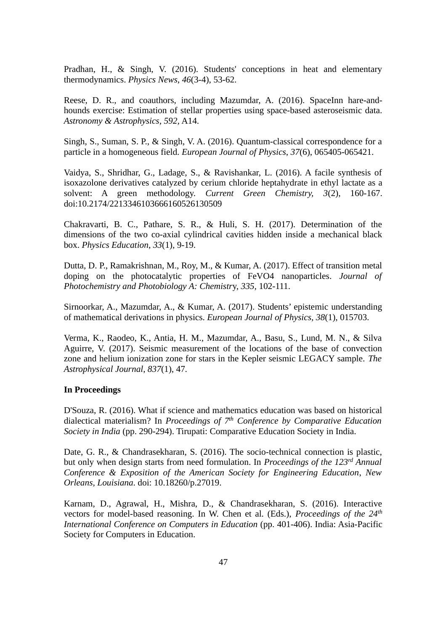Pradhan, H., & Singh, V. (2016). Students' conceptions in heat and elementary thermodynamics. *Physics News*, *46*(3-4), 53-62.

Reese, D. R., and coauthors, including Mazumdar, A. (2016). SpaceInn hare-andhounds exercise: Estimation of stellar properties using space-based asteroseismic data. *Astronomy & Astrophysics, 592,* A14.

Singh, S., Suman, S. P., & Singh, V. A. (2016). Quantum-classical correspondence for a particle in a homogeneous field. *European Journal of Physics*, *37*(6), 065405-065421.

Vaidya, S., Shridhar, G., Ladage, S., & Ravishankar, L. (2016). A facile synthesis of isoxazolone derivatives catalyzed by cerium chloride heptahydrate in ethyl lactate as a solvent: A green methodology. *Current Green Chemistry, 3*(2), 160-167. doi:10.2174/2213346103666160526130509

Chakravarti, B. C., Pathare, S. R., & Huli, S. H. (2017). Determination of the dimensions of the two co-axial cylindrical cavities hidden inside a mechanical black box. *Physics Education*, *33*(1)*,* 9-19.

Dutta, D. P., Ramakrishnan, M., Roy, M., & Kumar, A. (2017). Effect of transition metal doping on the photocatalytic properties of FeVO4 nanoparticles. *Journal of Photochemistry and Photobiology A: Chemistr*y, *335,* 102-111.

Sirnoorkar, A., Mazumdar, A., & Kumar, A. (2017). Students' epistemic understanding of mathematical derivations in physics. *European Journal of Physics, 38*(1), 015703.

Verma, K., Raodeo, K., Antia, H. M., Mazumdar, A., Basu, S., Lund, M. N., & Silva Aguirre, V. (2017). Seismic measurement of the locations of the base of convection zone and helium ionization zone for stars in the Kepler seismic LEGACY sample. *The Astrophysical Journal*, *837*(1), 47*.*

### **In Proceedings**

D'Souza, R. (2016). What if science and mathematics education was based on historical dialectical materialism? In *Proceedings of 7th Conference by Comparative Education Society in India* (pp. 290-294). Tirupati: Comparative Education Society in India.

Date, G. R., & Chandrasekharan, S. (2016). The socio-technical connection is plastic, but only when design starts from need formulation. In *Proceedings of the 123rd Annual Conference & Exposition of the American Society for Engineering Education*, *New Orleans, Louisiana*. doi: 10.18260/p.27019.

Karnam, D., Agrawal, H., Mishra, D., & Chandrasekharan, S. (2016). Interactive vectors for model-based reasoning. In W. Chen et al. (Eds.), *Proceedings of the 24th International Conference on Computers in Education* (pp. 401-406). India: Asia-Pacific Society for Computers in Education.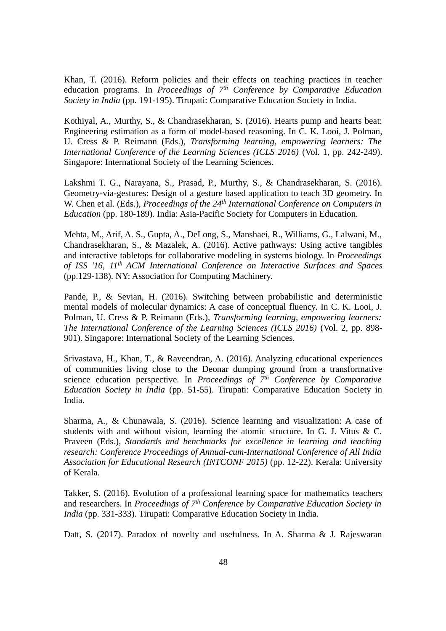Khan, T. (2016). Reform policies and their effects on teaching practices in teacher education programs. In *Proceedings of 7th Conference by Comparative Education Society in India* (pp. 191-195). Tirupati: Comparative Education Society in India.

Kothiyal, A., Murthy, S., & Chandrasekharan, S. (2016). Hearts pump and hearts beat: Engineering estimation as a form of model-based reasoning. In C. K. Looi, J. Polman, U. Cress & P. Reimann (Eds.), *Transforming learning, empowering learners: The International Conference of the Learning Sciences (ICLS 2016)* (Vol. 1, pp. 242-249). Singapore: International Society of the Learning Sciences.

Lakshmi T. G., Narayana, S., Prasad, P., Murthy, S., & Chandrasekharan, S. (2016). Geometry-via-gestures: Design of a gesture based application to teach 3D geometry. In W. Chen et al. (Eds.), *Proceedings of the 24th International Conference on Computers in Education* (pp. 180-189)*.* India: Asia-Pacific Society for Computers in Education.

Mehta, M., Arif, A. S., Gupta, A., DeLong, S., Manshaei, R., Williams, G., Lalwani, M., Chandrasekharan, S., & Mazalek, A. (2016). Active pathways: Using active tangibles and interactive tabletops for collaborative modeling in systems biology. In *Proceedings of ISS '16, 11th ACM International Conference on Interactive Surfaces and Spaces* (pp.129-138). NY: Association for Computing Machinery.

Pande, P., & Sevian, H. (2016). Switching between probabilistic and deterministic mental models of molecular dynamics: A case of conceptual fluency. In C. K. Looi, J. Polman, U. Cress & P. Reimann (Eds.), *Transforming learning, empowering learners: The International Conference of the Learning Sciences (ICLS 2016)* (Vol. 2, pp. 898-901). Singapore: International Society of the Learning Sciences.

Srivastava, H., Khan, T., & Raveendran, A. (2016). Analyzing educational experiences of communities living close to the Deonar dumping ground from a transformative science education perspective. In *Proceedings of 7th Conference by Comparative Education Society in India* (pp. 51-55). Tirupati: Comparative Education Society in India.

Sharma, A., & Chunawala, S. (2016). Science learning and visualization: A case of students with and without vision, learning the atomic structure. In G. J. Vitus & C. Praveen (Eds.), *Standards and benchmarks for excellence in learning and teaching research: Conference Proceedings of Annual-cum-International Conference of All India Association for Educational Research (INTCONF 2015)* (pp. 12-22). Kerala: University of Kerala.

Takker, S. (2016). Evolution of a professional learning space for mathematics teachers and researchers. In *Proceedings of 7th Conference by Comparative Education Society in India* (pp. 331-333). Tirupati: Comparative Education Society in India.

Datt, S. (2017). Paradox of novelty and usefulness. In A. Sharma & J. Rajeswaran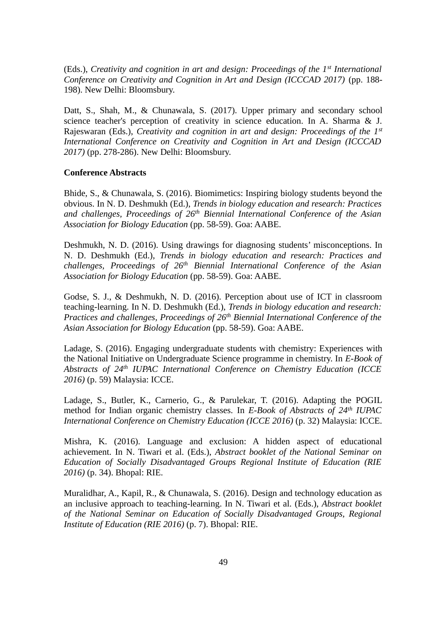(Eds.), *Creativity and cognition in art and design: Proceedings of the 1st International Conference on Creativity and Cognition in Art and Design (ICCCAD 2017)* (pp. 188- 198). New Delhi: Bloomsbury.

Datt, S., Shah, M., & Chunawala, S. (2017). Upper primary and secondary school science teacher's perception of creativity in science education. In A. Sharma & J. Rajeswaran (Eds.), *Creativity and cognition in art and design: Proceedings of the 1st International Conference on Creativity and Cognition in Art and Design (ICCCAD 2017)* (pp. 278-286). New Delhi: Bloomsbury.

### **Conference Abstracts**

Bhide, S., & Chunawala, S. (2016). Biomimetics: Inspiring biology students beyond the obvious. In N. D. Deshmukh (Ed.), *Trends in biology education and research: Practices and challenges, Proceedings of 26th Biennial International Conference of the Asian Association for Biology Education* (pp. 58-59). Goa: AABE.

Deshmukh, N. D. (2016). Using drawings for diagnosing students' misconceptions. In N. D. Deshmukh (Ed.), *Trends in biology education and research: Practices and challenges, Proceedings of 26th Biennial International Conference of the Asian Association for Biology Education* (pp. 58-59). Goa: AABE.

Godse, S. J., & Deshmukh, N. D. (2016). Perception about use of ICT in classroom teaching-learning. In N. D. Deshmukh (Ed.), *Trends in biology education and research: Practices and challenges, Proceedings of 26th Biennial International Conference of the Asian Association for Biology Education* (pp. 58-59). Goa: AABE.

Ladage, S. (2016). Engaging undergraduate students with chemistry: Experiences with the National Initiative on Undergraduate Science programme in chemistry. In *E-Book of Abstracts of 24th IUPAC International Conference on Chemistry Education (ICCE 2016)* (p. 59) Malaysia: ICCE.

Ladage, S., Butler, K., Carnerio, G., & Parulekar, T. (2016). Adapting the POGIL method for Indian organic chemistry classes. In *E-Book of Abstracts of 24th IUPAC International Conference on Chemistry Education (ICCE 2016)* (p. 32) Malaysia: ICCE.

Mishra, K. (2016). Language and exclusion: A hidden aspect of educational achievement. In N. Tiwari et al. (Eds.), *Abstract booklet of the National Seminar on Education of Socially Disadvantaged Groups Regional Institute of Education (RIE 2016)* (p. 34). Bhopal: RIE.

Muralidhar, A., Kapil, R., & Chunawala, S. (2016). Design and technology education as an inclusive approach to teaching-learning. In N. Tiwari et al. (Eds.), *Abstract booklet of the National Seminar on Education of Socially Disadvantaged Groups, Regional Institute of Education (RIE 2016)* (p. 7). Bhopal: RIE.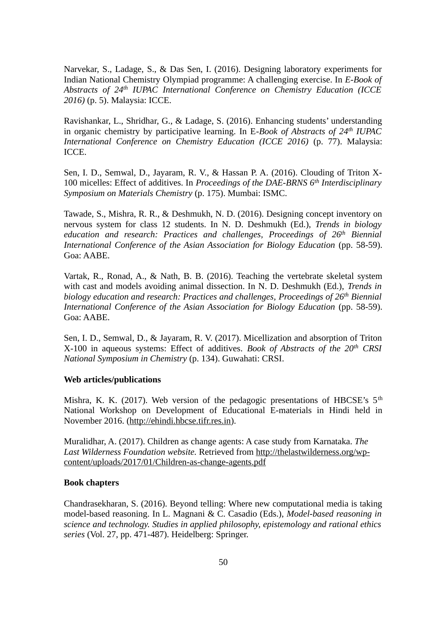Narvekar, S., Ladage, S., & Das Sen, I. (2016). Designing laboratory experiments for Indian National Chemistry Olympiad programme: A challenging exercise. In *E-Book of Abstracts of 24th IUPAC International Conference on Chemistry Education (ICCE 2016)* (p. 5). Malaysia: ICCE.

Ravishankar, L., Shridhar, G., & Ladage, S. (2016). Enhancing students' understanding in organic chemistry by participative learning. In E*-Book of Abstracts of 24th IUPAC International Conference on Chemistry Education (ICCE 2016)* (p. 77). Malaysia: ICCE.

Sen, I. D., Semwal, D., Jayaram, R. V., & Hassan P. A. (2016). Clouding of Triton X-100 micelles: Effect of additives. In *Proceedings of the DAE-BRNS 6th Interdisciplinary Symposium on Materials Chemistry* (p. 175). Mumbai: ISMC.

Tawade, S., Mishra, R. R., & Deshmukh, N. D. (2016). Designing concept inventory on nervous system for class 12 students. In N. D. Deshmukh (Ed.), *Trends in biology education and research: Practices and challenges, Proceedings of 26th Biennial International Conference of the Asian Association for Biology Education (pp. 58-59).* Goa: AABE.

Vartak, R., Ronad, A., & Nath, B. B. (2016). Teaching the vertebrate skeletal system with cast and models avoiding animal dissection. In N. D. Deshmukh (Ed.), *Trends in biology education and research: Practices and challenges, Proceedings of 26th Biennial International Conference of the Asian Association for Biology Education (pp. 58-59).* Goa: AABE.

Sen, I. D., Semwal, D., & Jayaram, R. V. (2017). Micellization and absorption of Triton X-100 in aqueous systems: Effect of additives*. Book of Abstracts of the 20th CRSI National Symposium in Chemistry* (p. 134). Guwahati: CRSI.

# **Web articles/publications**

Mishra, K. K. (2017). Web version of the pedagogic presentations of HBCSE's  $5<sup>th</sup>$ National Workshop on Development of Educational E-materials in Hindi held in November 2016. [\(http://ehindi.hbcse.tifr.res.in\)](http://ehindi.hbcse.tifr.res.in/).

Muralidhar, A. (2017). Children as change agents: A case study from Karnataka. *The Last Wilderness Foundation website.* Retrieved from [http://thelastwilderness.org/wp](http://thelastwilderness.org/wp-content/uploads/2017/01/Children-as-change-agents.pdf)[content/uploads/2017/01/Children-as-change-agents.pdf](http://thelastwilderness.org/wp-content/uploads/2017/01/Children-as-change-agents.pdf)

### **Book chapters**

Chandrasekharan, S. (2016). Beyond telling: Where new computational media is taking model-based reasoning. In L. Magnani & C. Casadio (Eds.), *Model-based reasoning in science and technology. Studies in applied philosophy, epistemology and rational ethics series* (Vol. 27, pp. 471-487). Heidelberg: Springer.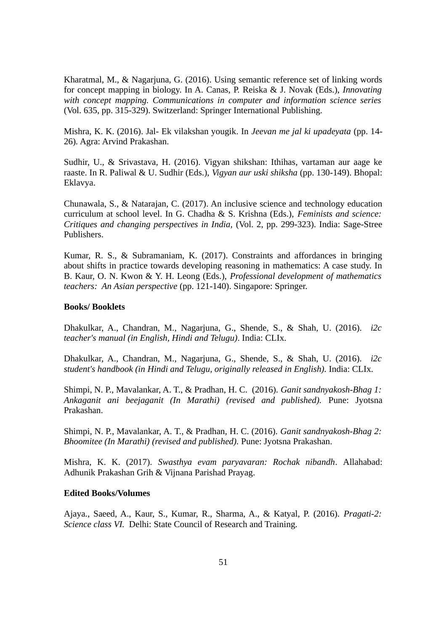Kharatmal, M., & Nagarjuna, G. (2016). Using semantic reference set of linking words for concept mapping in biology. In A. Canas, P. Reiska & J. Novak (Eds.), *Innovating with concept mapping. Communications in computer and information science series* (Vol. 635, pp. 315-329). Switzerland: Springer International Publishing.

Mishra, K. K. (2016). Jal- Ek vilakshan yougik. In *Jeevan me jal ki upadeyata* (pp. 14- 26)*.* Agra: Arvind Prakashan.

Sudhir, U., & Srivastava, H. (2016). Vigyan shikshan: Ithihas, vartaman aur aage ke raaste. In R. Paliwal & U. Sudhir (Eds.), *Vigyan aur uski shiksha* (pp. 130-149). Bhopal: Eklavya.

Chunawala, S., & Natarajan, C. (2017). An inclusive science and technology education curriculum at school level. In G. Chadha & S. Krishna (Eds.), *Feminists and science: Critiques and changing perspectives in India,* (Vol. 2, pp. 299-323). India: Sage-Stree Publishers.

Kumar, R. S., & Subramaniam, K. (2017). Constraints and affordances in bringing about shifts in practice towards developing reasoning in mathematics: A case study. In B. Kaur, O. N. Kwon & Y. H. Leong (Eds.), *Professional development of mathematics teachers: An Asian perspective* (pp. 121-140). Singapore: Springer.

#### **Books/ Booklets**

Dhakulkar, A., Chandran, M., Nagarjuna, G., Shende, S., & Shah, U. (2016). *i2c teacher's manual (in English, Hindi and Telugu)*. India: CLIx.

Dhakulkar, A., Chandran, M., Nagarjuna, G., Shende, S., & Shah, U. (2016). *i2c student's handbook (in Hindi and Telugu, originally released in English).* India: CLIx.

Shimpi, N. P., Mavalankar, A. T., & Pradhan, H. C. (2016). *Ganit sandnyakosh-Bhag 1: Ankaganit ani beejaganit (In Marathi) (revised and published).* Pune: Jyotsna Prakashan.

Shimpi, N. P., Mavalankar, A. T., & Pradhan, H. C. (2016). *Ganit sandnyakosh-Bhag 2: Bhoomitee (In Marathi) (revised and published).* Pune: Jyotsna Prakashan.

Mishra, K. K. (2017). *Swasthya evam paryavaran: Rochak nibandh*. Allahabad: Adhunik Prakashan Grih & Vijnana Parishad Prayag.

#### **Edited Books/Volumes**

Ajaya., Saeed, A., Kaur, S., Kumar, R., Sharma, A., & Katyal, P. (2016). *Pragati-2: Science class VI.* Delhi: State Council of Research and Training.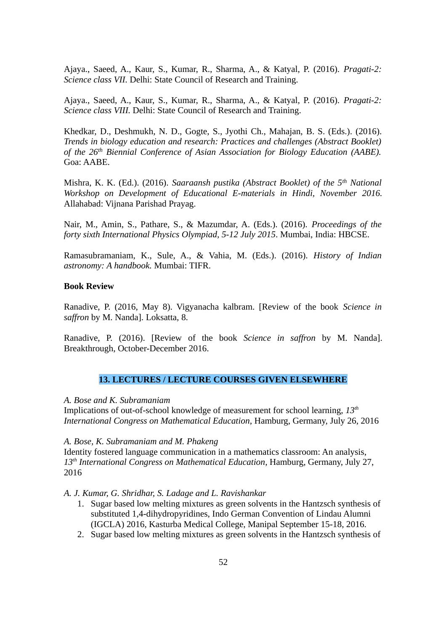Ajaya., Saeed, A., Kaur, S., Kumar, R., Sharma, A., & Katyal, P. (2016). *Pragati-2: Science class VII.* Delhi: State Council of Research and Training.

Ajaya., Saeed, A., Kaur, S., Kumar, R., Sharma, A., & Katyal, P. (2016). *Pragati-2: Science class VIII.* Delhi: State Council of Research and Training.

Khedkar, D., Deshmukh, N. D., Gogte, S., Jyothi Ch., Mahajan, B. S. (Eds.). (2016). *Trends in biology education and research: Practices and challenges (Abstract Booklet) of the 26th Biennial Conference of Asian Association for Biology Education (AABE).* Goa: AABE.

Mishra, K. K. (Ed.). (2016). *Saaraansh pustika (Abstract Booklet) of the 5th National Workshop on Development of Educational E-materials in Hindi, November 2016.* Allahabad: Vijnana Parishad Prayag.

Nair, M., Amin, S., Pathare, S., & Mazumdar, A. (Eds.). (2016). *Proceedings of the forty sixth International Physics Olympiad, 5-12 July 2015*. Mumbai, India: HBCSE.

Ramasubramaniam, K., Sule, A., & Vahia, M. (Eds.). (2016). *History of Indian astronomy: A handbook.* Mumbai: TIFR.

### **Book Review**

Ranadive, P. (2016, May 8). Vigyanacha kalbram. [Review of the book *Science in saffron* by M. Nanda]. Loksatta, 8.

Ranadive, P. (2016). [Review of the book *Science in saffron* by M. Nanda]. Breakthrough, October-December 2016.

# **13. LECTURES / LECTURE COURSES GIVEN ELSEWHERE**

#### *A. Bose and K. Subramaniam*

Implications of out-of-school knowledge of measurement for school learning, *13th International Congress on Mathematical Education*, Hamburg, Germany, July 26, 2016

#### *A. Bose, K. Subramaniam and M. Phakeng*

Identity fostered language communication in a mathematics classroom: An analysis, *13th International Congress on Mathematical Education*, Hamburg, Germany, July 27, 2016

#### *A. J. Kumar, G. Shridhar, S. Ladage and L. Ravishankar*

- 1. Sugar based low melting mixtures as green solvents in the Hantzsch synthesis of substituted 1,4-dihydropyridines, Indo German Convention of Lindau Alumni (IGCLA) 2016, Kasturba Medical College, Manipal September 15-18, 2016.
- 2. Sugar based low melting mixtures as green solvents in the Hantzsch synthesis of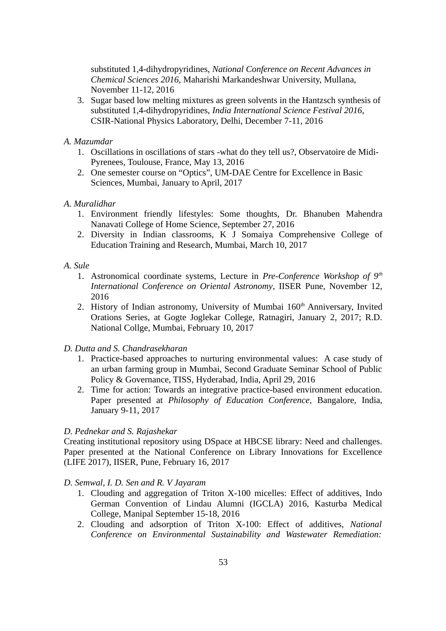substituted 1,4-dihydropyridines, *National Conference on Recent Advances in Chemical Sciences 2016*, Maharishi Markandeshwar University, Mullana, November 11-12, 2016

3. Sugar based low melting mixtures as green solvents in the Hantzsch synthesis of substituted 1,4-dihydropyridines, *India International Science Festival 2016*, CSIR-National Physics Laboratory, Delhi, December 7-11, 2016

# *A. Mazumdar*

- 1. Oscillations in oscillations of stars -what do they tell us?, Observatoire de Midi-Pyrenees, Toulouse, France, May 13, 2016
- 2. One semester course on "Optics", UM-DAE Centre for Excellence in Basic Sciences, Mumbai, January to April, 2017

# *A. Muralidhar*

- 1. Environment friendly lifestyles: Some thoughts, Dr. Bhanuben Mahendra Nanavati College of Home Science, September 27, 2016
- 2. Diversity in Indian classrooms, K J Somaiya Comprehensive College of Education Training and Research, Mumbai, March 10, 2017

### *A. Sule*

- 1. Astronomical coordinate systems, Lecture in *Pre-Conference Workshop of 9th International Conference on Oriental Astronomy*, IISER Pune, November 12, 2016
- 2. History of Indian astronomy, University of Mumbai 160<sup>th</sup> Anniversary, Invited Orations Series, at Gogte Joglekar College, Ratnagiri, January 2, 2017; R.D. National Collge, Mumbai, February 10, 2017

# *D. Dutta and S. Chandrasekharan*

- 1. Practice-based approaches to nurturing environmental values: A case study of an urban farming group in Mumbai, Second Graduate Seminar School of Public Policy & Governance, TISS, Hyderabad, India, April 29, 2016
- 2. Time for action: Towards an integrative practice-based environment education. Paper presented at *Philosophy of Education Conference,* Bangalore, India, January 9-11, 2017

### *D. Pednekar and S. Rajashekar*

Creating institutional repository using DSpace at HBCSE library: Need and challenges. Paper presented at the National Conference on Library Innovations for Excellence (LIFE 2017), IISER, Pune, February 16, 2017

### *D. Semwal, I. D. Sen and R. V Jayaram*

- 1. Clouding and aggregation of Triton X-100 micelles: Effect of additives, Indo German Convention of Lindau Alumni (IGCLA) 2016, Kasturba Medical College, Manipal September 15-18, 2016
- 2. Clouding and adsorption of Triton X-100: Effect of additives, *National Conference on Environmental Sustainability and Wastewater Remediation:*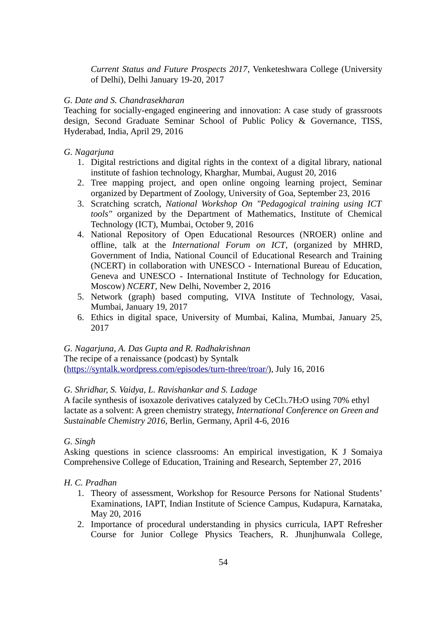*Current Status and Future Prospects 2017*, Venketeshwara College (University of Delhi), Delhi January 19-20, 2017

# *G. Date and S. Chandrasekharan*

Teaching for socially-engaged engineering and innovation: A case study of grassroots design, Second Graduate Seminar School of Public Policy & Governance, TISS, Hyderabad, India, April 29, 2016

# *G. Nagarjuna*

- 1. Digital restrictions and digital rights in the context of a digital library, national institute of fashion technology, Kharghar, Mumbai, August 20, 2016
- 2. Tree mapping project, and open online ongoing learning project, Seminar organized by Department of Zoology, University of Goa, September 23, 2016
- 3. Scratching scratch, *National Workshop On "Pedagogical training using ICT tools"* organized by the Department of Mathematics, Institute of Chemical Technology (ICT), Mumbai, October 9, 2016
- 4. National Repository of Open Educational Resources (NROER) online and offline, talk at the *International Forum on ICT*, (organized by MHRD, Government of India, National Council of Educational Research and Training (NCERT) in collaboration with UNESCO - International Bureau of Education, Geneva and UNESCO - International Institute of Technology for Education, Moscow) *NCERT*, New Delhi, November 2, 2016
- 5. Network (graph) based computing, VIVA Institute of Technology, Vasai, Mumbai, January 19, 2017
- 6. Ethics in digital space, University of Mumbai, Kalina, Mumbai, January 25, 2017

### *G. Nagarjuna, A. Das Gupta and R. Radhakrishnan*

The recipe of a renaissance (podcast) by Syntalk [\(https://syntalk.wordpress.com/episodes/turn-three/troar/\)](https://syntalk.wordpress.com/episodes/turn-three/troar/), July 16, 2016

# *G. Shridhar, S. Vaidya, L. Ravishankar and S. Ladage*

A facile synthesis of isoxazole derivatives catalyzed by CeCl3.7H2O using 70% ethyl lactate as a solvent: A green chemistry strategy, *International Conference on Green and Sustainable Chemistry 2016*, Berlin, Germany, April 4-6, 2016

### *G. Singh*

Asking questions in science classrooms: An empirical investigation, K J Somaiya Comprehensive College of Education, Training and Research, September 27, 2016

### *H. C. Pradhan*

- 1. Theory of assessment, Workshop for Resource Persons for National Students' Examinations, IAPT, Indian Institute of Science Campus, Kudapura, Karnataka, May 20, 2016
- 2. Importance of procedural understanding in physics curricula, IAPT Refresher Course for Junior College Physics Teachers, R. Jhunjhunwala College,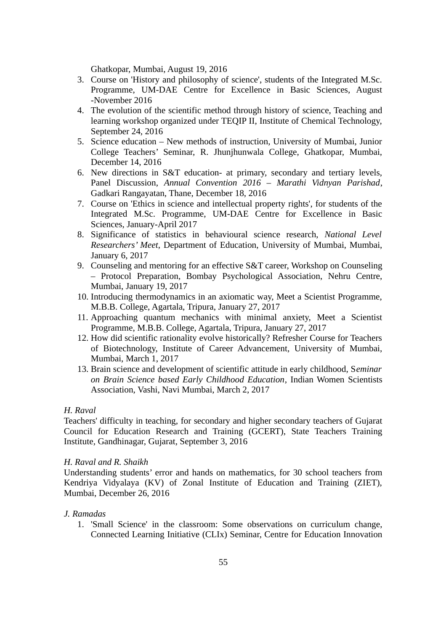Ghatkopar, Mumbai, August 19, 2016

- 3. Course on 'History and philosophy of science', students of the Integrated M.Sc. Programme, UM-DAE Centre for Excellence in Basic Sciences, August -November 2016
- 4. The evolution of the scientific method through history of science, Teaching and learning workshop organized under TEQIP II, Institute of Chemical Technology, September 24, 2016
- 5. Science education New methods of instruction, University of Mumbai, Junior College Teachers' Seminar, R. Jhunjhunwala College, Ghatkopar, Mumbai, December 14, 2016
- 6. New directions in S&T education- at primary, secondary and tertiary levels, Panel Discussion, *Annual Convention 2016 – Marathi Vidnyan Parishad*, Gadkari Rangayatan, Thane, December 18, 2016
- 7. Course on 'Ethics in science and intellectual property rights', for students of the Integrated M.Sc. Programme, UM-DAE Centre for Excellence in Basic Sciences, January-April 2017
- 8. Significance of statistics in behavioural science research, *National Level Researchers' Meet*, Department of Education, University of Mumbai, Mumbai, January 6, 2017
- 9. Counseling and mentoring for an effective S&T career, Workshop on Counseling – Protocol Preparation, Bombay Psychological Association, Nehru Centre, Mumbai, January 19, 2017
- 10. Introducing thermodynamics in an axiomatic way, Meet a Scientist Programme, M.B.B. College, Agartala, Tripura, January 27, 2017
- 11. Approaching quantum mechanics with minimal anxiety, Meet a Scientist Programme, M.B.B. College, Agartala, Tripura, January 27, 2017
- 12. How did scientific rationality evolve historically? Refresher Course for Teachers of Biotechnology, Institute of Career Advancement, University of Mumbai, Mumbai, March 1, 2017
- 13. Brain science and development of scientific attitude in early childhood, S*eminar on Brain Science based Early Childhood Education*, Indian Women Scientists Association, Vashi, Navi Mumbai, March 2, 2017

### *H. Raval*

Teachers' difficulty in teaching, for secondary and higher secondary teachers of Gujarat Council for Education Research and Training (GCERT), State Teachers Training Institute, Gandhinagar, Gujarat, September 3, 2016

# *H. Raval and R. Shaikh*

Understanding students' error and hands on mathematics, for 30 school teachers from Kendriya Vidyalaya (KV) of Zonal Institute of Education and Training (ZIET), Mumbai, December 26, 2016

# *J. Ramadas*

1. 'Small Science' in the classroom: Some observations on curriculum change, Connected Learning Initiative (CLIx) Seminar, Centre for Education Innovation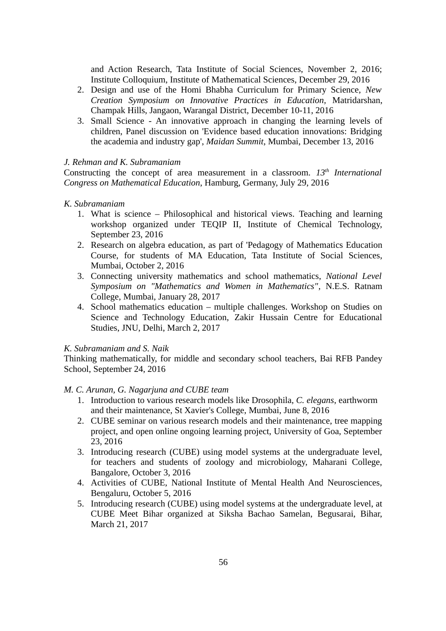and Action Research, Tata Institute of Social Sciences, November 2, 2016; Institute Colloquium, Institute of Mathematical Sciences, December 29, 2016

- 2. Design and use of the Homi Bhabha Curriculum for Primary Science, *New Creation Symposium on Innovative Practices in Education,* Matridarshan, Champak Hills, Jangaon, Warangal District, December 10-11, 2016
- 3. Small Science An innovative approach in changing the learning levels of children, Panel discussion on 'Evidence based education innovations: Bridging the academia and industry gap', *Maidan Summit*, Mumbai, December 13, 2016

# *J. Rehman and K. Subramaniam*

Constructing the concept of area measurement in a classroom. *13th International Congress on Mathematical Education*, Hamburg, Germany, July 29, 2016

# *K. Subramaniam*

- 1. What is science Philosophical and historical views. Teaching and learning workshop organized under TEQIP II, Institute of Chemical Technology, September 23, 2016
- 2. Research on algebra education, as part of 'Pedagogy of Mathematics Education Course, for students of MA Education, Tata Institute of Social Sciences, Mumbai, October 2, 2016
- 3. Connecting university mathematics and school mathematics, *National Level Symposium on "Mathematics and Women in Mathematics"*, N.E.S. Ratnam College, Mumbai, January 28, 2017
- 4. School mathematics education multiple challenges. Workshop on Studies on Science and Technology Education, Zakir Hussain Centre for Educational Studies, JNU, Delhi, March 2, 2017

# *K. Subramaniam and S. Naik*

Thinking mathematically, for middle and secondary school teachers, Bai RFB Pandey School, September 24, 2016

# *M. C. Arunan, G. Nagarjuna and CUBE team*

- 1. Introduction to various research models like Drosophila, *C. elegans*, earthworm and their maintenance, St Xavier's College, Mumbai, June 8, 2016
- 2. CUBE seminar on various research models and their maintenance, tree mapping project, and open online ongoing learning project, University of Goa, September 23, 2016
- 3. Introducing research (CUBE) using model systems at the undergraduate level, for teachers and students of zoology and microbiology, Maharani College, Bangalore, October 3, 2016
- 4. Activities of CUBE, National Institute of Mental Health And Neurosciences, Bengaluru, October 5, 2016
- 5. Introducing research (CUBE) using model systems at the undergraduate level, at CUBE Meet Bihar organized at Siksha Bachao Samelan, Begusarai, Bihar, March 21, 2017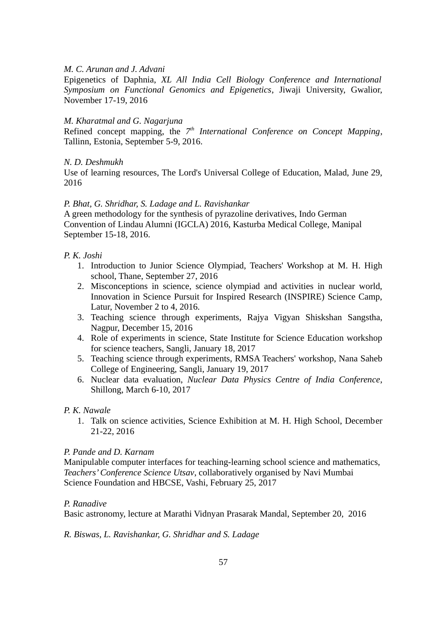### *M. C. Arunan and J. Advani*

Epigenetics of Daphnia, *XL All India Cell Biology Conference and International Symposium on Functional Genomics and Epigenetics*, Jiwaji University, Gwalior, November 17-19, 2016

# *M. Kharatmal and G. Nagarjuna*

Refined concept mapping, the 7<sup>th</sup> International Conference on Concept Mapping, Tallinn, Estonia, September 5-9, 2016.

# *N. D. Deshmukh*

Use of learning resources, The Lord's Universal College of Education, Malad, June 29, 2016

# *P. Bhat, G. Shridhar, S. Ladage and L. Ravishankar*

A green methodology for the synthesis of pyrazoline derivatives, Indo German Convention of Lindau Alumni (IGCLA) 2016, Kasturba Medical College, Manipal September 15-18, 2016.

# *P. K. Joshi*

- 1. Introduction to Junior Science Olympiad, Teachers' Workshop at M. H. High school, Thane, September 27, 2016
- 2. Misconceptions in science, science olympiad and activities in nuclear world, Innovation in Science Pursuit for Inspired Research (INSPIRE) Science Camp, Latur, November 2 to 4, 2016.
- 3. Teaching science through experiments, Rajya Vigyan Shiskshan Sangstha, Nagpur, December 15, 2016
- 4. Role of experiments in science, State Institute for Science Education workshop for science teachers, Sangli, January 18, 2017
- 5. Teaching science through experiments, RMSA Teachers' workshop, Nana Saheb College of Engineering, Sangli, January 19, 2017
- 6. Nuclear data evaluation, *Nuclear Data Physics Centre of India Conference*, Shillong, March 6-10, 2017

### *P. K. Nawale*

1. Talk on science activities, Science Exhibition at M. H. High School, December 21-22, 2016

### *P. Pande and D. Karnam*

Manipulable computer interfaces for teaching-learning school science and mathematics, *Teachers' Conference Science Utsav*, collaboratively organised by Navi Mumbai Science Foundation and HBCSE, Vashi, February 25, 2017

### *P. Ranadive*

Basic astronomy, lecture at Marathi Vidnyan Prasarak Mandal, September 20, 2016

*R. Biswas, L. Ravishankar, G. Shridhar and S. Ladage*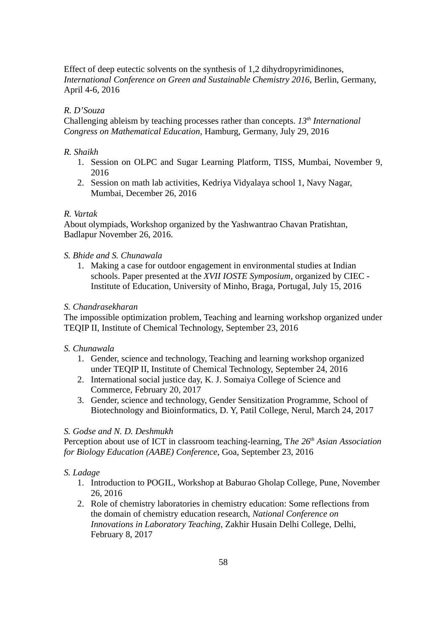Effect of deep eutectic solvents on the synthesis of 1,2 dihydropyrimidinones, *International Conference on Green and Sustainable Chemistry 2016,* Berlin, Germany, April 4-6, 2016

# *R. D'Souza*

Challenging ableism by teaching processes rather than concepts. *13th International Congress on Mathematical Education*, Hamburg, Germany, July 29, 2016

# *R. Shaikh*

- 1. Session on OLPC and Sugar Learning Platform, TISS, Mumbai, November 9, 2016
- 2. Session on math lab activities, Kedriya Vidyalaya school 1, Navy Nagar, Mumbai, December 26, 2016

# *R. Vartak*

About olympiads, Workshop organized by the Yashwantrao Chavan Pratishtan, Badlapur November 26, 2016.

# *S. Bhide and S. Chunawala*

1. Making a case for outdoor engagement in environmental studies at Indian schools. Paper presented at the *XVII IOSTE Symposium*, organized by CIEC - Institute of Education, University of Minho, Braga, Portugal, July 15, 2016

# *S. Chandrasekharan*

The impossible optimization problem, Teaching and learning workshop organized under TEQIP II, Institute of Chemical Technology, September 23, 2016

# *S. Chunawala*

- 1. Gender, science and technology, Teaching and learning workshop organized under TEQIP II, Institute of Chemical Technology, September 24, 2016
- 2. International social justice day, K. J. Somaiya College of Science and Commerce, February 20, 2017
- 3. Gender, science and technology, Gender Sensitization Programme, School of Biotechnology and Bioinformatics, D. Y, Patil College, Nerul, March 24, 2017

# *S. Godse and N. D. Deshmukh*

Perception about use of ICT in classroom teaching-learning, T*he 26th Asian Association for Biology Education (AABE) Conference*, Goa, September 23, 2016

# *S. Ladage*

- 1. Introduction to POGIL, Workshop at Baburao Gholap College, Pune, November 26, 2016
- 2. Role of chemistry laboratories in chemistry education: Some reflections from the domain of chemistry education research, *National Conference on Innovations in Laboratory Teaching*, Zakhir Husain Delhi College, Delhi, February 8, 2017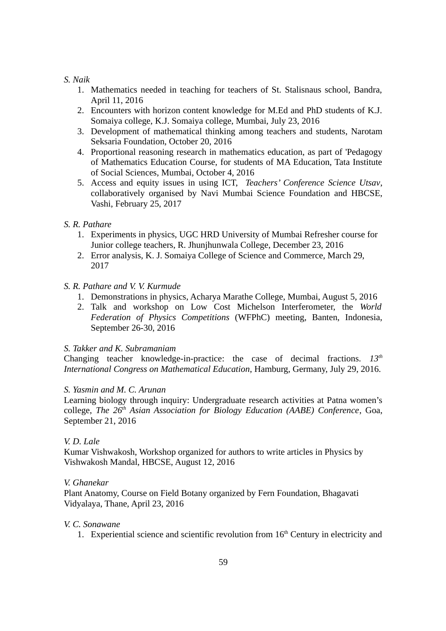# *S. Naik*

- 1. Mathematics needed in teaching for teachers of St. Stalisnaus school, Bandra, April 11, 2016
- 2. Encounters with horizon content knowledge for M.Ed and PhD students of K.J. Somaiya college, K.J. Somaiya college, Mumbai, July 23, 2016
- 3. Development of mathematical thinking among teachers and students, Narotam Seksaria Foundation, October 20, 2016
- 4. Proportional reasoning research in mathematics education, as part of 'Pedagogy of Mathematics Education Course, for students of MA Education, Tata Institute of Social Sciences, Mumbai, October 4, 2016
- 5. Access and equity issues in using ICT, *Teachers' Conference Science Utsav*, collaboratively organised by Navi Mumbai Science Foundation and HBCSE, Vashi, February 25, 2017

# *S. R. Pathare*

- 1. Experiments in physics, UGC HRD University of Mumbai Refresher course for Junior college teachers, R. Jhunjhunwala College, December 23, 2016
- 2. Error analysis, K. J. Somaiya College of Science and Commerce, March 29, 2017

# *S. R. Pathare and V. V. Kurmude*

- 1. Demonstrations in physics, Acharya Marathe College, Mumbai, August 5, 2016
- 2. Talk and workshop on Low Cost Michelson Interferometer, the *World Federation of Physics Competitions* (WFPhC) meeting, Banten, Indonesia, September 26-30, 2016

# *S. Takker and K. Subramaniam*

Changing teacher knowledge-in-practice: the case of decimal fractions. *13th International Congress on Mathematical Education*, Hamburg, Germany, July 29, 2016.

# *S. Yasmin and M. C. Arunan*

Learning biology through inquiry: Undergraduate research activities at Patna women's college, *The 26th Asian Association for Biology Education (AABE) Conference*, Goa, September 21, 2016

### *V. D. Lale*

Kumar Vishwakosh, Workshop organized for authors to write articles in Physics by Vishwakosh Mandal, HBCSE, August 12, 2016

### *V. Ghanekar*

Plant Anatomy, Course on Field Botany organized by Fern Foundation, Bhagavati Vidyalaya, Thane, April 23, 2016

### *V. C. Sonawane*

1. Experiential science and scientific revolution from  $16<sup>th</sup>$  Century in electricity and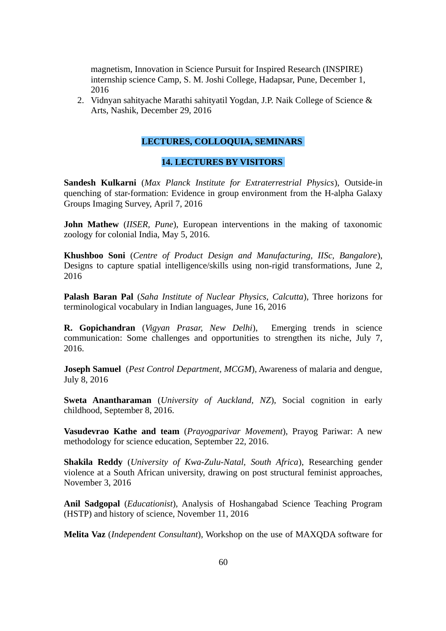magnetism, Innovation in Science Pursuit for Inspired Research (INSPIRE) internship science Camp, S. M. Joshi College, Hadapsar, Pune, December 1, 2016

2. Vidnyan sahityache Marathi sahityatil Yogdan, J.P. Naik College of Science & Arts, Nashik, December 29, 2016

# **LECTURES, COLLOQUIA, SEMINARS**

# **14. LECTURES BY VISITORS**

**Sandesh Kulkarni** (*Max Planck Institute for Extraterrestrial Physics*), Outside-in quenching of star-formation: Evidence in group environment from the H-alpha Galaxy Groups Imaging Survey, April 7, 2016

**John Mathew** (*IISER, Pune*), European interventions in the making of taxonomic zoology for colonial India, May 5, 2016.

**Khushboo Soni** (*Centre of Product Design and Manufacturing, IISc, Bangalore*), Designs to capture spatial intelligence/skills using non-rigid transformations, June 2, 2016

**Palash Baran Pal** (*Saha Institute of Nuclear Physics, Calcutta*), Three horizons for terminological vocabulary in Indian languages, June 16, 2016

**R. Gopichandran** (*Vigyan Prasar, New Delhi*), Emerging trends in science communication: Some challenges and opportunities to strengthen its niche, July 7, 2016.

**Joseph Samuel** (*Pest Control Department, MCGM*), Awareness of malaria and dengue, July 8, 2016

**Sweta Anantharaman** (*University of Auckland, NZ*), Social cognition in early childhood, September 8, 2016.

**Vasudevrao Kathe and team** (*Prayogparivar Movement*), Prayog Pariwar: A new methodology for science education, September 22, 2016.

**Shakila Reddy** (*University of Kwa-Zulu-Natal, South Africa*), Researching gender violence at a South African university, drawing on post structural feminist approaches, November 3, 2016

**Anil Sadgopal** (*Educationist*), Analysis of Hoshangabad Science Teaching Program (HSTP) and history of science, November 11, 2016

**Melita Vaz** (*Independent Consultant*), Workshop on the use of MAXQDA software for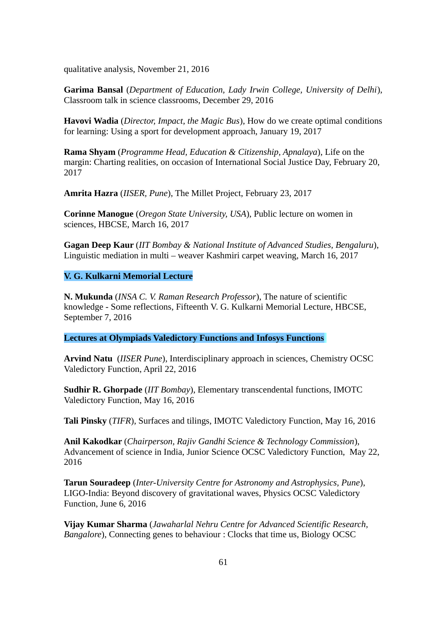qualitative analysis, November 21, 2016

**Garima Bansal** (*Department of Education, Lady Irwin College, University of Delhi*), Classroom talk in science classrooms, December 29, 2016

**Havovi Wadia** (*Director, Impact, the Magic Bus*), How do we create optimal conditions for learning: Using a sport for development approach, January 19, 2017

**Rama Shyam** (*Programme Head, Education & Citizenship, Apnalaya*), Life on the margin: Charting realities, on occasion of International Social Justice Day, February 20, 2017

**Amrita Hazra** (*IISER, Pune*), The Millet Project, February 23, 2017

**Corinne Manogue** (*Oregon State University, USA*), Public lecture on women in sciences, HBCSE, March 16, 2017

**Gagan Deep Kaur** (*IIT Bombay & National Institute of Advanced Studies, Bengaluru*), Linguistic mediation in multi – weaver Kashmiri carpet weaving, March 16, 2017

# **V. G. Kulkarni Memorial Lecture**

**N. Mukunda** (*INSA C. V. Raman Research Professor*), The nature of scientific knowledge - Some reflections, Fifteenth V. G. Kulkarni Memorial Lecture, HBCSE, September 7, 2016

**Lectures at Olympiads Valedictory Functions and Infosys Functions**

**Arvind Natu** (*IISER Pune*), Interdisciplinary approach in sciences, Chemistry OCSC Valedictory Function, April 22, 2016

**Sudhir R. Ghorpade** (*IIT Bombay*), Elementary transcendental functions, IMOTC Valedictory Function, May 16, 2016

**Tali Pinsky** (*TIFR*), Surfaces and tilings, IMOTC Valedictory Function, May 16, 2016

**Anil Kakodkar** (*Chairperson, Rajiv Gandhi Science & Technology Commission*), Advancement of science in India, Junior Science OCSC Valedictory Function, May 22, 2016

**Tarun Souradeep** (*Inter-University Centre for Astronomy and Astrophysics, Pune*), LIGO-India: Beyond discovery of gravitational waves, Physics OCSC Valedictory Function, June 6, 2016

**Vijay Kumar Sharma** (*Jawaharlal Nehru Centre for Advanced Scientific Research, Bangalore*), Connecting genes to behaviour : Clocks that time us, Biology OCSC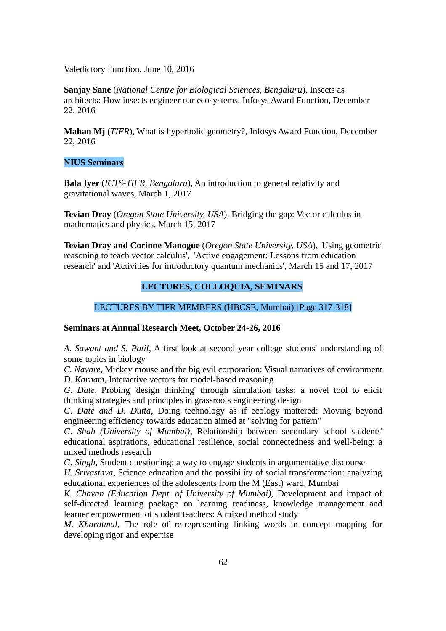Valedictory Function, June 10, 2016

**Sanjay Sane** (*National Centre for Biological Sciences, Bengaluru*), Insects as architects: How insects engineer our ecosystems, Infosys Award Function, December 22, 2016

**Mahan Mj** (*TIFR*), What is hyperbolic geometry?, Infosys Award Function, December 22, 2016

# **NIUS Seminars**

**Bala Iyer** (*ICTS-TIFR, Bengaluru*), An introduction to general relativity and gravitational waves, March 1, 2017

**Tevian Dray** (*Oregon State University, USA*), Bridging the gap: Vector calculus in mathematics and physics, March 15, 2017

**Tevian Dray and Corinne Manogue** (*Oregon State University, USA*), 'Using geometric reasoning to teach vector calculus', 'Active engagement: Lessons from education research' and 'Activities for introductory quantum mechanics', March 15 and 17, 2017

# **LECTURES, COLLOQUIA, SEMINARS**

# LECTURES BY TIFR MEMBERS (HBCSE, Mumbai) [Page 317-318]

### **Seminars at Annual Research Meet, October 24-26, 2016**

*A. Sawant and S. Patil*, A first look at second year college students' understanding of some topics in biology

*C. Navare*, Mickey mouse and the big evil corporation: Visual narratives of environment *D. Karnam*, Interactive vectors for model-based reasoning

*G. Date,* Probing 'design thinking' through simulation tasks: a novel tool to elicit thinking strategies and principles in grassroots engineering design

*G. Date and D. Dutta*, Doing technology as if ecology mattered: Moving beyond engineering efficiency towards education aimed at "solving for pattern"

*G. Shah (University of Mumbai)*, Relationship between secondary school students' educational aspirations, educational resilience, social connectedness and well-being: a mixed methods research

*G. Singh*, Student questioning: a way to engage students in argumentative discourse

*H. Srivastava*, Science education and the possibility of social transformation: analyzing educational experiences of the adolescents from the M (East) ward, Mumbai

*K. Chavan (Education Dept. of University of Mumbai),* Development and impact of self-directed learning package on learning readiness, knowledge management and learner empowerment of student teachers: A mixed method study

*M. Kharatmal*, The role of re-representing linking words in concept mapping for developing rigor and expertise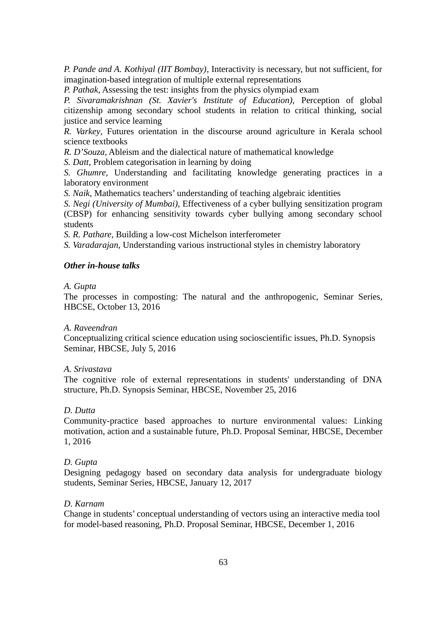*P. Pande and A. Kothiyal (IIT Bombay)*, Interactivity is necessary, but not sufficient, for imagination-based integration of multiple external representations

*P. Pathak*, Assessing the test: insights from the physics olympiad exam

*P. Sivaramakrishnan (St. Xavier's Institute of Education),* Perception of global citizenship among secondary school students in relation to critical thinking, social justice and service learning

*R. Varkey*, Futures orientation in the discourse around agriculture in Kerala school science textbooks

*R. D'Souza*, Ableism and the dialectical nature of mathematical knowledge

*S. Datt*, Problem categorisation in learning by doing

*S. Ghumre*, Understanding and facilitating knowledge generating practices in a laboratory environment

*S. Naik*, Mathematics teachers' understanding of teaching algebraic identities

*S. Negi (University of Mumbai)*, Effectiveness of a cyber bullying sensitization program (CBSP) for enhancing sensitivity towards cyber bullying among secondary school students

*S. R. Pathare*, Building a low-cost Michelson interferometer

*S. Varadarajan*, Understanding various instructional styles in chemistry laboratory

# *Other in-house talks*

# *A. Gupta*

The processes in composting: The natural and the anthropogenic, Seminar Series, HBCSE, October 13, 2016

# *A. Raveendran*

Conceptualizing critical science education using socioscientific issues, Ph.D. Synopsis Seminar, HBCSE, July 5, 2016

# *A. Srivastava*

The cognitive role of external representations in students' understanding of DNA structure, Ph.D. Synopsis Seminar, HBCSE, November 25, 2016

# *D. Dutta*

Community-practice based approaches to nurture environmental values: Linking motivation, action and a sustainable future, Ph.D. Proposal Seminar, HBCSE, December 1, 2016

# *D. Gupta*

Designing pedagogy based on secondary data analysis for undergraduate biology students, Seminar Series, HBCSE, January 12, 2017

# *D. Karnam*

Change in students' conceptual understanding of vectors using an interactive media tool for model-based reasoning, Ph.D. Proposal Seminar, HBCSE, December 1, 2016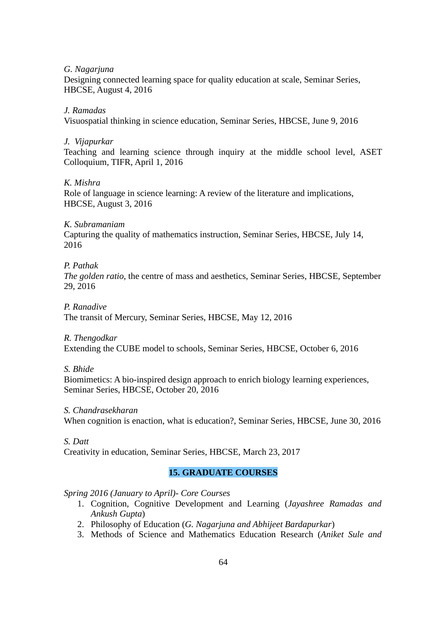### *G. Nagarjuna*

Designing connected learning space for quality education at scale, Seminar Series, HBCSE, August 4, 2016

# *J. Ramadas*

Visuospatial thinking in science education, Seminar Series, HBCSE, June 9, 2016

# *J. Vijapurkar*

Teaching and learning science through inquiry at the middle school level, ASET Colloquium, TIFR, April 1, 2016

# *K. Mishra*

Role of language in science learning: A review of the literature and implications, HBCSE, August 3, 2016

# *K. Subramaniam*

Capturing the quality of mathematics instruction, Seminar Series, HBCSE, July 14, 2016

# *P. Pathak*

*The golden ratio,* the centre of mass and aesthetics, Seminar Series, HBCSE, September 29, 2016

### *P. Ranadive*

The transit of Mercury, Seminar Series, HBCSE, May 12, 2016

*R. Thengodkar*

Extending the CUBE model to schools, Seminar Series, HBCSE, October 6, 2016

### *S. Bhide*

Biomimetics: A bio-inspired design approach to enrich biology learning experiences, Seminar Series, HBCSE, October 20, 2016

### *S. Chandrasekharan*

When cognition is enaction, what is education?, Seminar Series, HBCSE, June 30, 2016

# *S. Datt*

Creativity in education, Seminar Series, HBCSE, March 23, 2017

# **15. GRADUATE COURSES**

# *Spring 2016 (January to April)- Core Courses*

- 1. Cognition, Cognitive Development and Learning (*Jayashree Ramadas and Ankush Gupta*)
- 2. Philosophy of Education (*G. Nagarjuna and Abhijeet Bardapurkar*)
- 3. Methods of Science and Mathematics Education Research (*Aniket Sule and*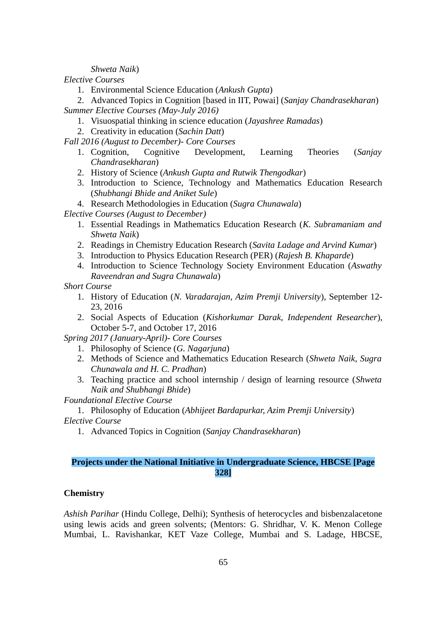*Shweta Naik*)

*Elective Courses*

1. Environmental Science Education (*Ankush Gupta*)

2. Advanced Topics in Cognition [based in IIT, Powai] (*Sanjay Chandrasekharan*) *Summer Elective Courses (May-July 2016)*

- 1. Visuospatial thinking in science education (*Jayashree Ramadas*)
- 2. Creativity in education (*Sachin Datt*)
- *Fall 2016 (August to December)- Core Courses*
	- 1. Cognition, Cognitive Development, Learning Theories (*Sanjay Chandrasekharan*)
	- 2. History of Science (*Ankush Gupta and Rutwik Thengodkar*)
	- 3. Introduction to Science, Technology and Mathematics Education Research (*Shubhangi Bhide and Aniket Sule*)
	- 4. Research Methodologies in Education (*Sugra Chunawala*)

*Elective Courses (August to December)*

- 1. Essential Readings in Mathematics Education Research (*K. Subramaniam and Shweta Naik*)
- 2. Readings in Chemistry Education Research (*Savita Ladage and Arvind Kumar*)
- 3. Introduction to Physics Education Research (PER) (*Rajesh B. Khaparde*)
- 4. Introduction to Science Technology Society Environment Education (*Aswathy Raveendran and Sugra Chunawala*)

*Short Course*

- 1. History of Education (*N. Varadarajan, Azim Premji University*), September 12- 23, 2016
- 2. Social Aspects of Education (*Kishorkumar Darak, Independent Researcher*), October 5-7, and October 17, 2016

*Spring 2017 (January-April)- Core Courses*

- 1. Philosophy of Science (*G. Nagarjuna*)
- 2. Methods of Science and Mathematics Education Research (*Shweta Naik, Sugra Chunawala and H. C. Pradhan*)
- 3. Teaching practice and school internship / design of learning resource (*Shweta Naik and Shubhangi Bhide*)

*Foundational Elective Course*

1. Philosophy of Education (*Abhijeet Bardapurkar, Azim Premji University*) *Elective Course*

1. Advanced Topics in Cognition (*Sanjay Chandrasekharan*)

# **Projects under the National Initiative in Undergraduate Science, HBCSE [Page 328]**

# **Chemistry**

*Ashish Parihar* (Hindu College, Delhi); Synthesis of heterocycles and bisbenzalacetone using lewis acids and green solvents; (Mentors: G. Shridhar, V. K. Menon College Mumbai, L. Ravishankar, KET Vaze College, Mumbai and S. Ladage, HBCSE,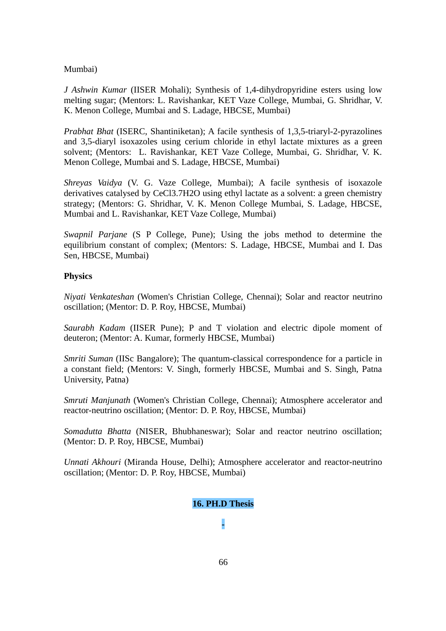# Mumbai)

*J Ashwin Kumar* (IISER Mohali); Synthesis of 1,4-dihydropyridine esters using low melting sugar; (Mentors: L. Ravishankar, KET Vaze College, Mumbai, G. Shridhar, V. K. Menon College, Mumbai and S. Ladage, HBCSE, Mumbai)

*Prabhat Bhat* (ISERC, Shantiniketan); A facile synthesis of 1,3,5-triaryl-2-pyrazolines and 3,5-diaryl isoxazoles using cerium chloride in ethyl lactate mixtures as a green solvent; (Mentors: L. Ravishankar, KET Vaze College, Mumbai, G. Shridhar, V. K. Menon College, Mumbai and S. Ladage, HBCSE, Mumbai)

*Shreyas Vaidya* (V. G. Vaze College, Mumbai); A facile synthesis of isoxazole derivatives catalysed by CeCl3.7H2O using ethyl lactate as a solvent: a green chemistry strategy; (Mentors: G. Shridhar, V. K. Menon College Mumbai, S. Ladage, HBCSE, Mumbai and L. Ravishankar, KET Vaze College, Mumbai)

*Swapnil Parjane* (S P College, Pune); Using the jobs method to determine the equilibrium constant of complex; (Mentors: S. Ladage, HBCSE, Mumbai and I. Das Sen, HBCSE, Mumbai)

# **Physics**

*Niyati Venkateshan* (Women's Christian College, Chennai); Solar and reactor neutrino oscillation; (Mentor: D. P. Roy, HBCSE, Mumbai)

*Saurabh Kadam* (IISER Pune); P and T violation and electric dipole moment of deuteron; (Mentor: A. Kumar, formerly HBCSE, Mumbai)

*Smriti Suman* (IISc Bangalore); The quantum-classical correspondence for a particle in a constant field; (Mentors: V. Singh, formerly HBCSE, Mumbai and S. Singh, Patna University, Patna)

*Smruti Manjunath* (Women's Christian College, Chennai); Atmosphere accelerator and reactor-neutrino oscillation; (Mentor: D. P. Roy, HBCSE, Mumbai)

*Somadutta Bhatta* (NISER, Bhubhaneswar); Solar and reactor neutrino oscillation; (Mentor: D. P. Roy, HBCSE, Mumbai)

*Unnati Akhouri* (Miranda House, Delhi); Atmosphere accelerator and reactor-neutrino oscillation; (Mentor: D. P. Roy, HBCSE, Mumbai)

# **16. PH.D Thesis**

**-**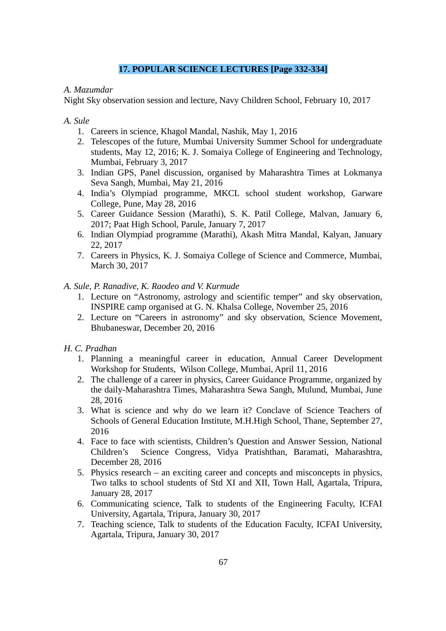# **17. POPULAR SCIENCE LECTURES [Page 332-334]**

# *A. Mazumdar*

Night Sky observation session and lecture, Navy Children School, February 10, 2017

*A. Sule* 

- 1. Careers in science, Khagol Mandal, Nashik, May 1, 2016
- 2. Telescopes of the future, Mumbai University Summer School for undergraduate students, May 12, 2016; K. J. Somaiya College of Engineering and Technology, Mumbai, February 3, 2017
- 3. Indian GPS, Panel discussion, organised by Maharashtra Times at Lokmanya Seva Sangh, Mumbai, May 21, 2016
- 4. India's Olympiad programme, MKCL school student workshop, Garware College, Pune, May 28, 2016
- 5. Career Guidance Session (Marathi), S. K. Patil College, Malvan, January 6, 2017; Paat High School, Parule, January 7, 2017
- 6. Indian Olympiad programme (Marathi), Akash Mitra Mandal, Kalyan, January 22, 2017
- 7. Careers in Physics, K. J. Somaiya College of Science and Commerce, Mumbai, March 30, 2017

# *A. Sule, P. Ranadive, K. Raodeo and V. Kurmude*

- 1. Lecture on "Astronomy, astrology and scientific temper" and sky observation, INSPIRE camp organised at G. N. Khalsa College, November 25, 2016
- 2. Lecture on "Careers in astronomy" and sky observation, Science Movement, Bhubaneswar, December 20, 2016
- *H. C. Pradhan* 
	- 1. Planning a meaningful career in education, Annual Career Development Workshop for Students, Wilson College, Mumbai, April 11, 2016
	- 2. The challenge of a career in physics, Career Guidance Programme, organized by the daily-Maharashtra Times, Maharashtra Sewa Sangh, Mulund, Mumbai, June 28, 2016
	- 3. What is science and why do we learn it? Conclave of Science Teachers of Schools of General Education Institute, M.H.High School, Thane, September 27, 2016
	- 4. Face to face with scientists, Children's Question and Answer Session, National Children's Science Congress, Vidya Pratishthan, Baramati, Maharashtra, December 28, 2016
	- 5. Physics research an exciting career and concepts and misconcepts in physics, Two talks to school students of Std XI and XII, Town Hall, Agartala, Tripura, January 28, 2017
	- 6. Communicating science, Talk to students of the Engineering Faculty, ICFAI University, Agartala, Tripura, January 30, 2017
	- 7. Teaching science, Talk to students of the Education Faculty, ICFAI University, Agartala, Tripura, January 30, 2017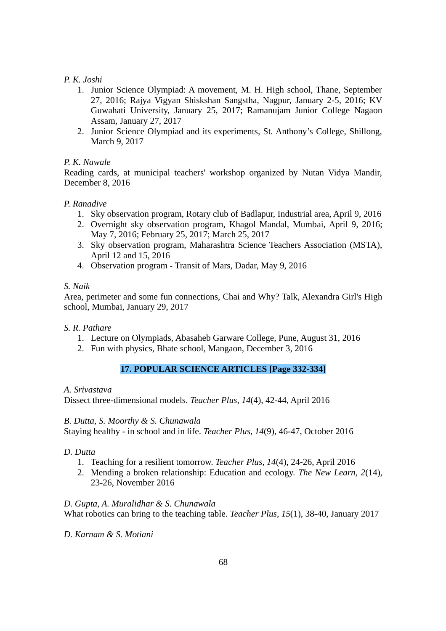# *P. K. Joshi*

- 1. Junior Science Olympiad: A movement, M. H. High school, Thane, September 27, 2016; Rajya Vigyan Shiskshan Sangstha, Nagpur, January 2-5, 2016; KV Guwahati University, January 25, 2017; Ramanujam Junior College Nagaon Assam, January 27, 2017
- 2. Junior Science Olympiad and its experiments, St. Anthony's College, Shillong, March 9, 2017

# *P. K. Nawale*

Reading cards, at municipal teachers' workshop organized by Nutan Vidya Mandir, December 8, 2016

# *P. Ranadive*

- 1. Sky observation program, Rotary club of Badlapur, Industrial area, April 9, 2016
- 2. Overnight sky observation program, Khagol Mandal, Mumbai, April 9, 2016; May 7, 2016; February 25, 2017; March 25, 2017
- 3. Sky observation program, Maharashtra Science Teachers Association (MSTA), April 12 and 15, 2016
- 4. Observation program Transit of Mars, Dadar, May 9, 2016

# *S. Naik*

Area, perimeter and some fun connections, Chai and Why? Talk, Alexandra Girl's High school, Mumbai, January 29, 2017

# *S. R. Pathare*

- 1. Lecture on Olympiads, Abasaheb Garware College, Pune, August 31, 2016
- 2. Fun with physics, Bhate school, Mangaon, December 3, 2016

# **17. POPULAR SCIENCE ARTICLES [Page 332-334]**

# *A. Srivastava*

Dissect three-dimensional models. *Teacher Plus, 14*(4), 42-44, April 2016

# *B. Dutta, S. Moorthy & S. Chunawala*

Staying healthy - in school and in life. *Teacher Plus*, *14*(9), 46-47, October 2016

# *D. Dutta*

- 1. Teaching for a resilient tomorrow. *Teacher Plus, 14*(4), 24-26, April 2016
- 2. Mending a broken relationship: Education and ecology. *The New Learn, 2*(14), 23-26, November 2016

# *D. Gupta, A. Muralidhar & S. Chunawala*

What robotics can bring to the teaching table. *Teacher Plus, 15*(1), 38-40, January 2017

*D. Karnam & S. Motiani*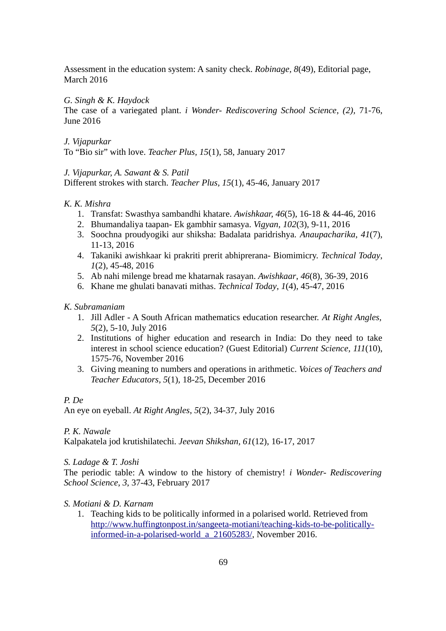Assessment in the education system: A sanity check. *Robinage, 8*(49), Editorial page, March 2016

# *G. Singh & K. Haydock*

The case of a variegated plant. *i Wonder- Rediscovering School Science*, *(2),* 71-76, June 2016

# *J. Vijapurkar*

To "Bio sir" with love. *Teacher Plus, 15*(1), 58, January 2017

# *J. Vijapurkar, A. Sawant & S. Patil*

Different strokes with starch. *Teacher Plus, 15*(1), 45-46, January 2017

# *K. K. Mishra*

- 1. Transfat: Swasthya sambandhi khatare. *Awishkaar, 46*(5), 16-18 & 44-46, 2016
- 2. Bhumandaliya taapan- Ek gambhir samasya. *Vigyan, 102*(3), 9-11, 2016
- 3. Soochna proudyogiki aur shiksha: Badalata paridrishya. *Anaupacharika*, *41*(7), 11-13, 2016
- 4. Takaniki awishkaar ki prakriti prerit abhiprerana- Biomimicry. *Technical Today*, *1*(2), 45-48, 2016
- 5. Ab nahi milenge bread me khatarnak rasayan. *Awishkaar*, *46*(8), 36-39, 2016
- 6. Khane me ghulati banavati mithas. *Technical Today*, *1*(4), 45-47, 2016

# *K. Subramaniam*

- 1. Jill Adler A South African mathematics education researcher. *At Right Angles, 5*(2), 5-10, July 2016
- 2. Institutions of higher education and research in India: Do they need to take interest in school science education? (Guest Editorial) *Current Science, 111*(10), 1575-76, November 2016
- 3. Giving meaning to numbers and operations in arithmetic. *Voices of Teachers and Teacher Educators, 5*(1)*,* 18-25, December 2016

# *P. De*

An eye on eyeball. *At Right Angles*, *5*(2), 34-37, July 2016

*P. K. Nawale*

Kalpakatela jod krutishilatechi. *Jeevan Shikshan, 61*(12), 16-17, 2017

# *S. Ladage & T. Joshi*

The periodic table: A window to the history of chemistry! *i Wonder- Rediscovering School Science*, *3*, 37-43, February 2017

# *S. Motiani & D. Karnam*

1. Teaching kids to be politically informed in a polarised world. Retrieved from [http://www.huffingtonpost.in/sangeeta-motiani/teaching-kids-to-be-politically](http://www.huffingtonpost.in/sangeeta-motiani/teaching-kids-to-be-politically-informed-in-a-polarised-world_a_21605283/)[informed-in-a-polarised-world\\_a\\_21605283/,](http://www.huffingtonpost.in/sangeeta-motiani/teaching-kids-to-be-politically-informed-in-a-polarised-world_a_21605283/) November 2016.